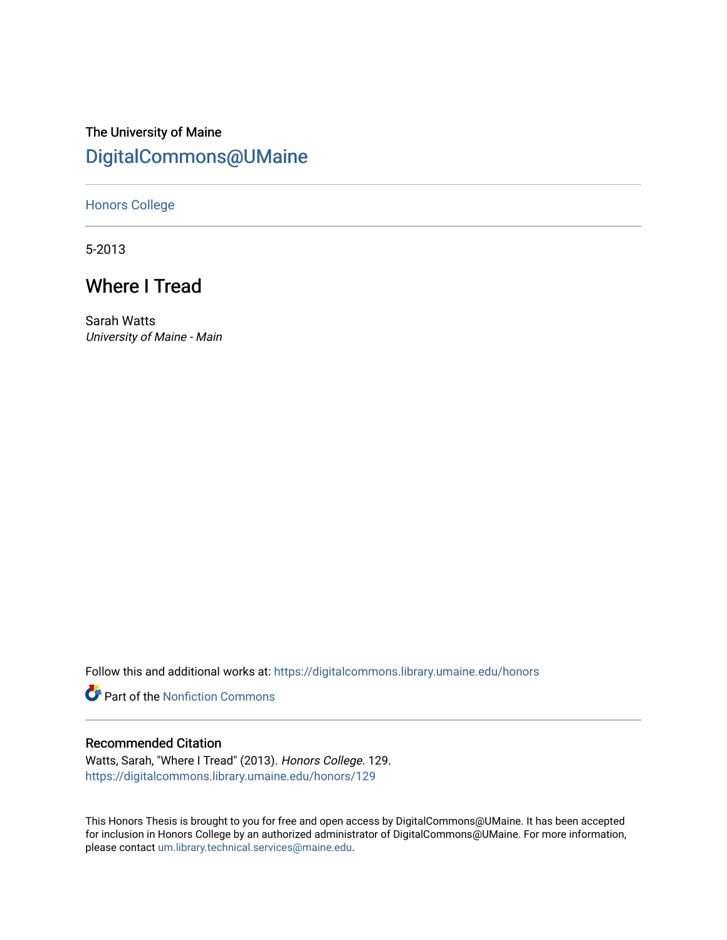## The University of Maine [DigitalCommons@UMaine](https://digitalcommons.library.umaine.edu/)

[Honors College](https://digitalcommons.library.umaine.edu/honors)

5-2013

# Where I Tread

Sarah Watts University of Maine - Main

Follow this and additional works at: [https://digitalcommons.library.umaine.edu/honors](https://digitalcommons.library.umaine.edu/honors?utm_source=digitalcommons.library.umaine.edu%2Fhonors%2F129&utm_medium=PDF&utm_campaign=PDFCoverPages) 

**Part of the Nonfiction Commons** 

### Recommended Citation

Watts, Sarah, "Where I Tread" (2013). Honors College. 129. [https://digitalcommons.library.umaine.edu/honors/129](https://digitalcommons.library.umaine.edu/honors/129?utm_source=digitalcommons.library.umaine.edu%2Fhonors%2F129&utm_medium=PDF&utm_campaign=PDFCoverPages) 

This Honors Thesis is brought to you for free and open access by DigitalCommons@UMaine. It has been accepted for inclusion in Honors College by an authorized administrator of DigitalCommons@UMaine. For more information, please contact [um.library.technical.services@maine.edu.](mailto:um.library.technical.services@maine.edu)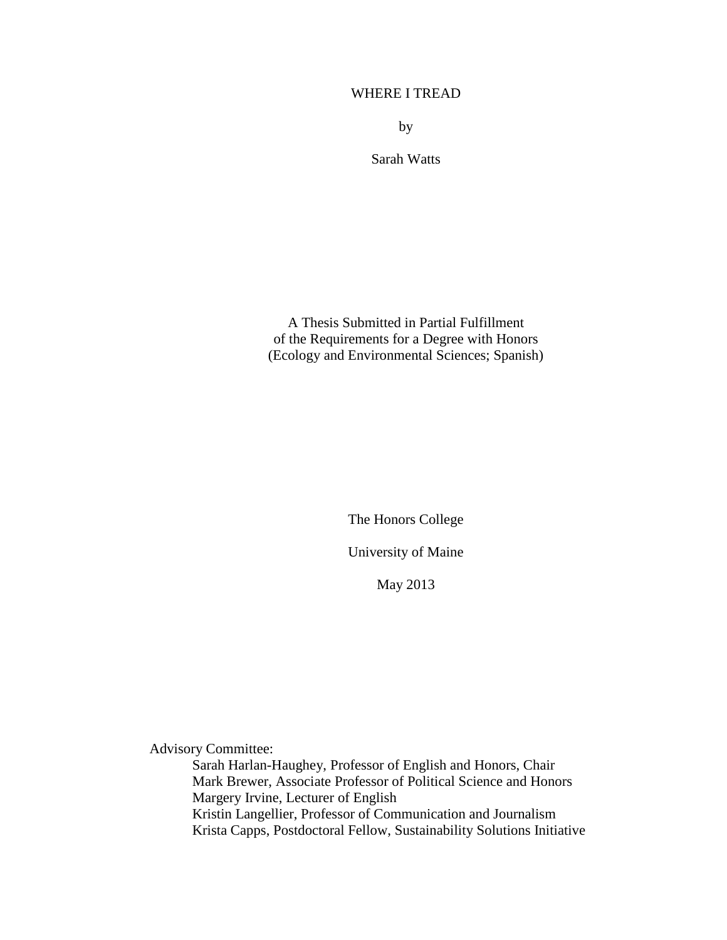## WHERE I TREAD

by

Sarah Watts

A Thesis Submitted in Partial Fulfillment of the Requirements for a Degree with Honors (Ecology and Environmental Sciences; Spanish)

> The Honors College University of Maine

> > May 2013

Advisory Committee:

Sarah Harlan-Haughey, Professor of English and Honors, Chair Mark Brewer, Associate Professor of Political Science and Honors Margery Irvine, Lecturer of English Kristin Langellier, Professor of Communication and Journalism Krista Capps, Postdoctoral Fellow, Sustainability Solutions Initiative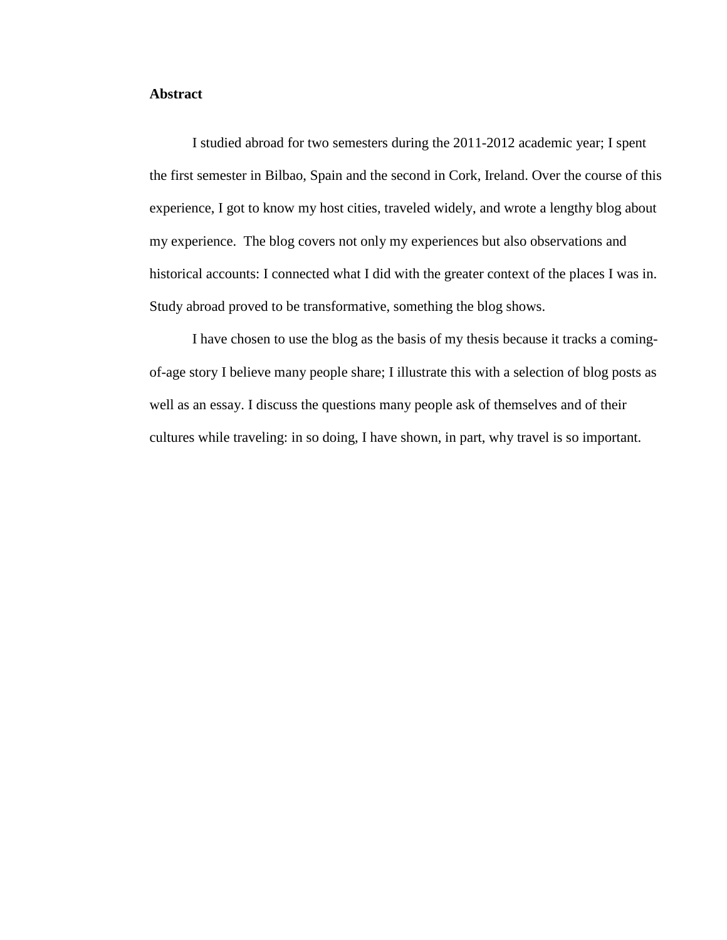## **Abstract**

I studied abroad for two semesters during the 2011-2012 academic year; I spent the first semester in Bilbao, Spain and the second in Cork, Ireland. Over the course of this experience, I got to know my host cities, traveled widely, and wrote a lengthy blog about my experience. The blog covers not only my experiences but also observations and historical accounts: I connected what I did with the greater context of the places I was in. Study abroad proved to be transformative, something the blog shows.

I have chosen to use the blog as the basis of my thesis because it tracks a comingof-age story I believe many people share; I illustrate this with a selection of blog posts as well as an essay. I discuss the questions many people ask of themselves and of their cultures while traveling: in so doing, I have shown, in part, why travel is so important.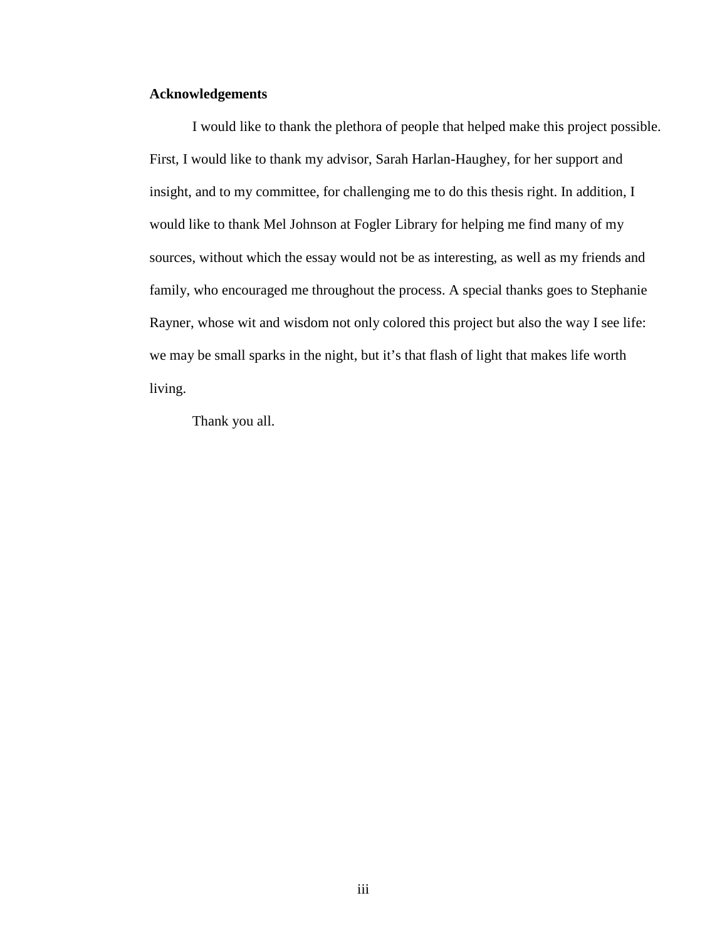## **Acknowledgements**

I would like to thank the plethora of people that helped make this project possible. First, I would like to thank my advisor, Sarah Harlan-Haughey, for her support and insight, and to my committee, for challenging me to do this thesis right. In addition, I would like to thank Mel Johnson at Fogler Library for helping me find many of my sources, without which the essay would not be as interesting, as well as my friends and family, who encouraged me throughout the process. A special thanks goes to Stephanie Rayner, whose wit and wisdom not only colored this project but also the way I see life: we may be small sparks in the night, but it's that flash of light that makes life worth living.

Thank you all.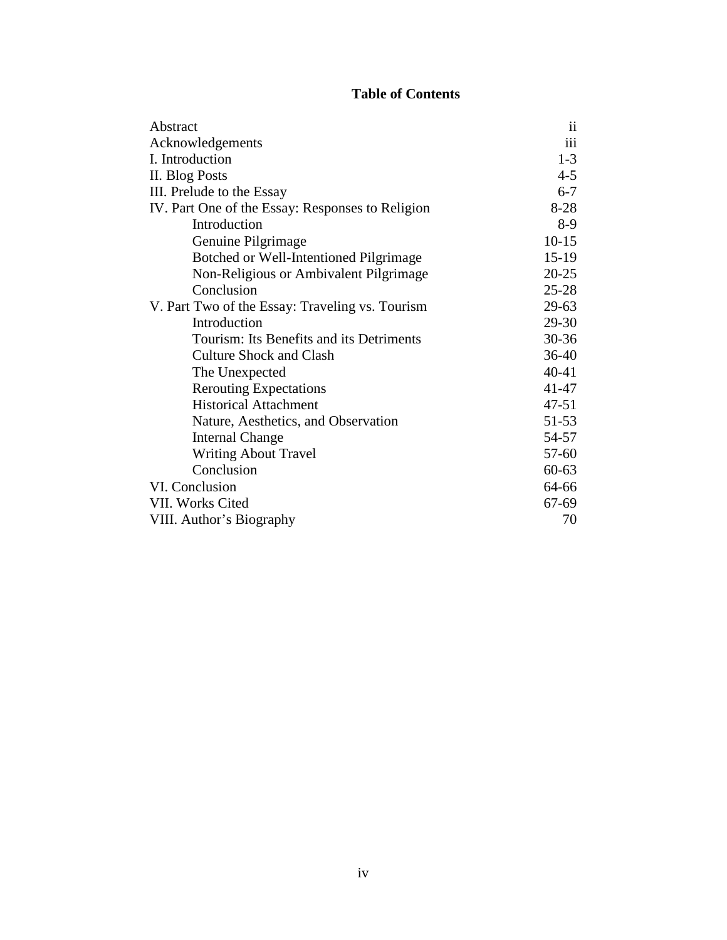## **Table of Contents**

| Abstract                                         | $\mathbf{ii}$ |
|--------------------------------------------------|---------------|
| Acknowledgements                                 | iii           |
| I. Introduction                                  | $1-3$         |
| II. Blog Posts                                   | $4 - 5$       |
| III. Prelude to the Essay                        | $6 - 7$       |
| IV. Part One of the Essay: Responses to Religion | $8-28$        |
| Introduction                                     | $8-9$         |
| Genuine Pilgrimage                               | $10 - 15$     |
| Botched or Well-Intentioned Pilgrimage           | $15-19$       |
| Non-Religious or Ambivalent Pilgrimage           | $20 - 25$     |
| Conclusion                                       | $25 - 28$     |
| V. Part Two of the Essay: Traveling vs. Tourism  | $29-63$       |
| Introduction                                     | 29-30         |
| Tourism: Its Benefits and its Detriments         | $30 - 36$     |
| <b>Culture Shock and Clash</b>                   | $36-40$       |
| The Unexpected                                   | $40 - 41$     |
| <b>Rerouting Expectations</b>                    | 41-47         |
| <b>Historical Attachment</b>                     | $47 - 51$     |
| Nature, Aesthetics, and Observation              | $51 - 53$     |
| <b>Internal Change</b>                           | 54-57         |
| <b>Writing About Travel</b>                      | 57-60         |
| Conclusion                                       | $60 - 63$     |
| VI. Conclusion                                   | 64-66         |
| VII. Works Cited                                 | 67-69         |
| VIII. Author's Biography                         | 70            |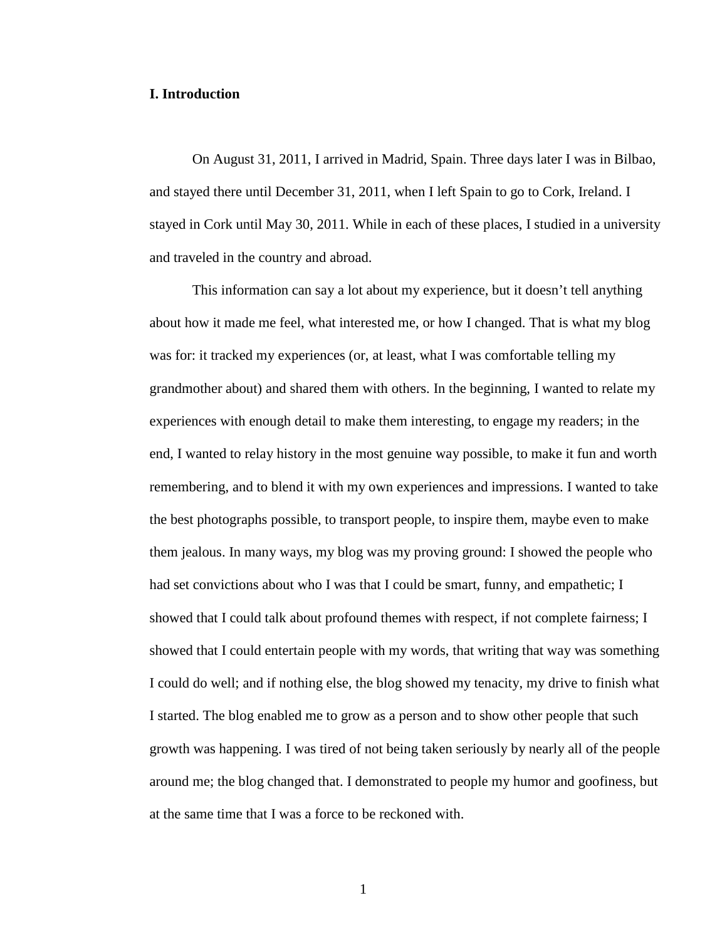#### **I. Introduction**

On August 31, 2011, I arrived in Madrid, Spain. Three days later I was in Bilbao, and stayed there until December 31, 2011, when I left Spain to go to Cork, Ireland. I stayed in Cork until May 30, 2011. While in each of these places, I studied in a university and traveled in the country and abroad.

This information can say a lot about my experience, but it doesn't tell anything about how it made me feel, what interested me, or how I changed. That is what my blog was for: it tracked my experiences (or, at least, what I was comfortable telling my grandmother about) and shared them with others. In the beginning, I wanted to relate my experiences with enough detail to make them interesting, to engage my readers; in the end, I wanted to relay history in the most genuine way possible, to make it fun and worth remembering, and to blend it with my own experiences and impressions. I wanted to take the best photographs possible, to transport people, to inspire them, maybe even to make them jealous. In many ways, my blog was my proving ground: I showed the people who had set convictions about who I was that I could be smart, funny, and empathetic; I showed that I could talk about profound themes with respect, if not complete fairness; I showed that I could entertain people with my words, that writing that way was something I could do well; and if nothing else, the blog showed my tenacity, my drive to finish what I started. The blog enabled me to grow as a person and to show other people that such growth was happening. I was tired of not being taken seriously by nearly all of the people around me; the blog changed that. I demonstrated to people my humor and goofiness, but at the same time that I was a force to be reckoned with.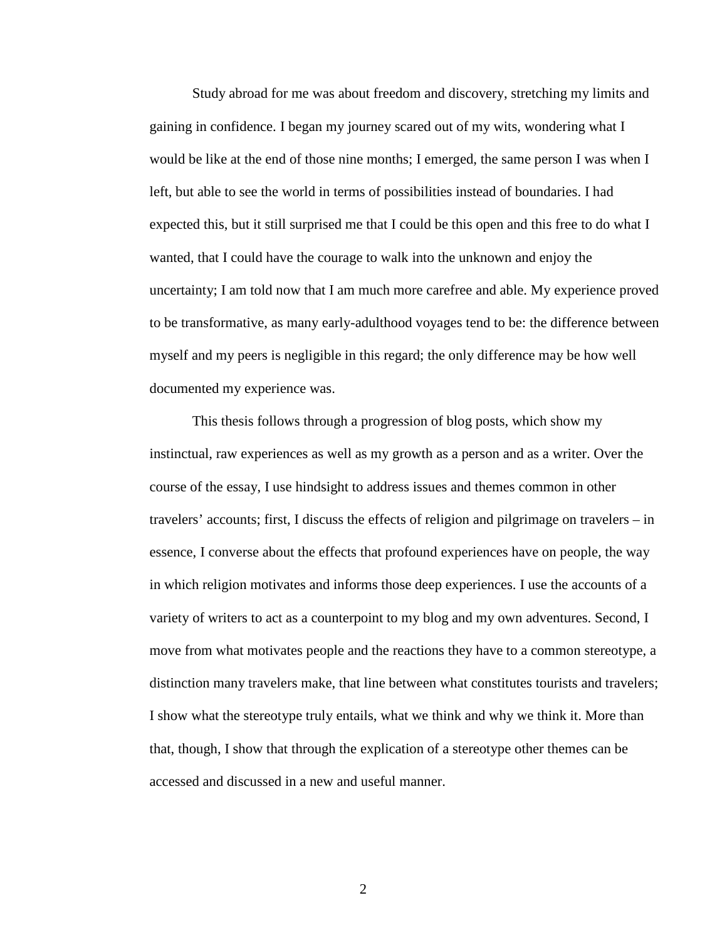Study abroad for me was about freedom and discovery, stretching my limits and gaining in confidence. I began my journey scared out of my wits, wondering what I would be like at the end of those nine months; I emerged, the same person I was when I left, but able to see the world in terms of possibilities instead of boundaries. I had expected this, but it still surprised me that I could be this open and this free to do what I wanted, that I could have the courage to walk into the unknown and enjoy the uncertainty; I am told now that I am much more carefree and able. My experience proved to be transformative, as many early-adulthood voyages tend to be: the difference between myself and my peers is negligible in this regard; the only difference may be how well documented my experience was.

This thesis follows through a progression of blog posts, which show my instinctual, raw experiences as well as my growth as a person and as a writer. Over the course of the essay, I use hindsight to address issues and themes common in other travelers' accounts; first, I discuss the effects of religion and pilgrimage on travelers – in essence, I converse about the effects that profound experiences have on people, the way in which religion motivates and informs those deep experiences. I use the accounts of a variety of writers to act as a counterpoint to my blog and my own adventures. Second, I move from what motivates people and the reactions they have to a common stereotype, a distinction many travelers make, that line between what constitutes tourists and travelers; I show what the stereotype truly entails, what we think and why we think it. More than that, though, I show that through the explication of a stereotype other themes can be accessed and discussed in a new and useful manner.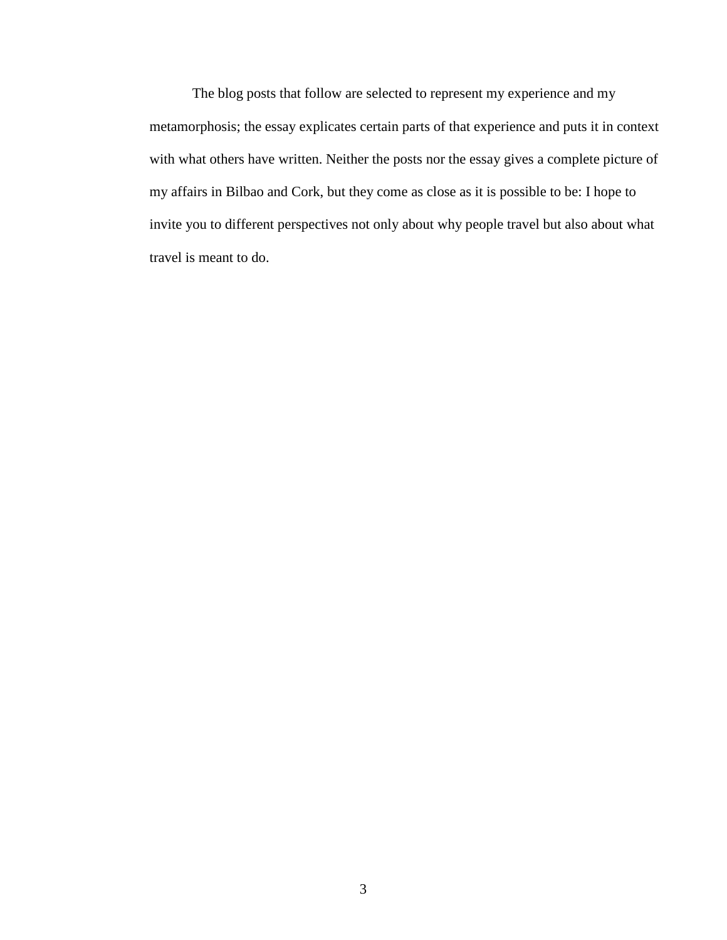The blog posts that follow are selected to represent my experience and my metamorphosis; the essay explicates certain parts of that experience and puts it in context with what others have written. Neither the posts nor the essay gives a complete picture of my affairs in Bilbao and Cork, but they come as close as it is possible to be: I hope to invite you to different perspectives not only about why people travel but also about what travel is meant to do.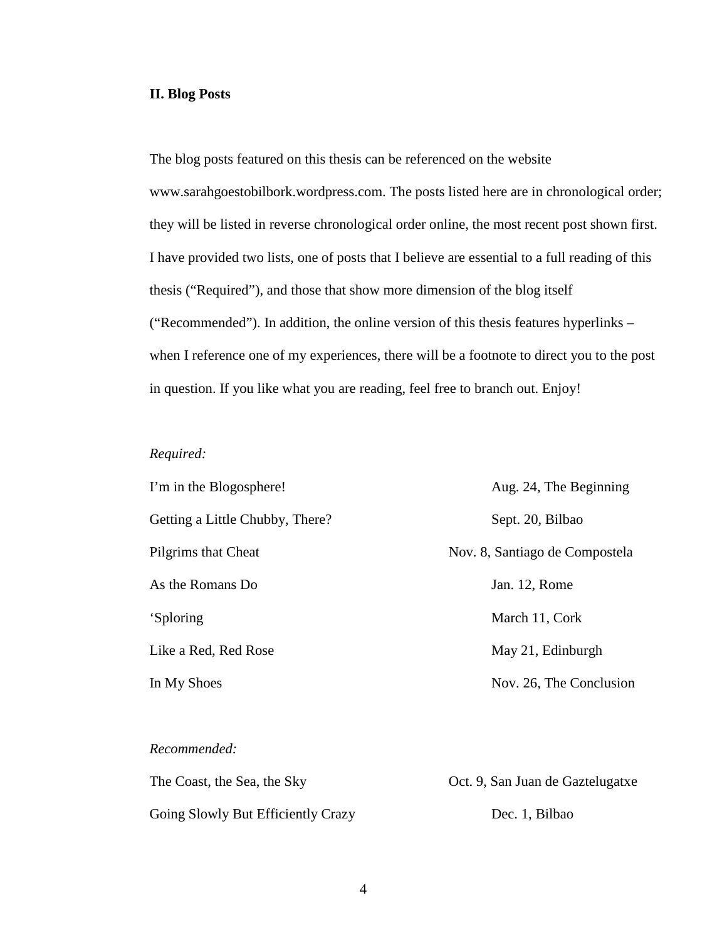#### **II. Blog Posts**

The blog posts featured on this thesis can be referenced on the website www.sarahgoestobilbork.wordpress.com. The posts listed here are in chronological order; they will be listed in reverse chronological order online, the most recent post shown first. I have provided two lists, one of posts that I believe are essential to a full reading of this thesis ("Required"), and those that show more dimension of the blog itself ("Recommended"). In addition, the online version of this thesis features hyperlinks – when I reference one of my experiences, there will be a footnote to direct you to the post in question. If you like what you are reading, feel free to branch out. Enjoy!

## *Required:*

| I'm in the Blogosphere!         | Aug. 24, The Beginning         |
|---------------------------------|--------------------------------|
| Getting a Little Chubby, There? | Sept. 20, Bilbao               |
| Pilgrims that Cheat             | Nov. 8, Santiago de Compostela |
| As the Romans Do                | Jan. 12, Rome                  |
| 'Sploring                       | March 11, Cork                 |
| Like a Red, Red Rose            | May 21, Edinburgh              |
| In My Shoes                     | Nov. 26, The Conclusion        |

#### *Recommended:*

| The Coast, the Sea, the Sky        | Oct. 9, San Juan de Gaztelugatxe |  |
|------------------------------------|----------------------------------|--|
| Going Slowly But Efficiently Crazy | Dec. 1, Bilbao                   |  |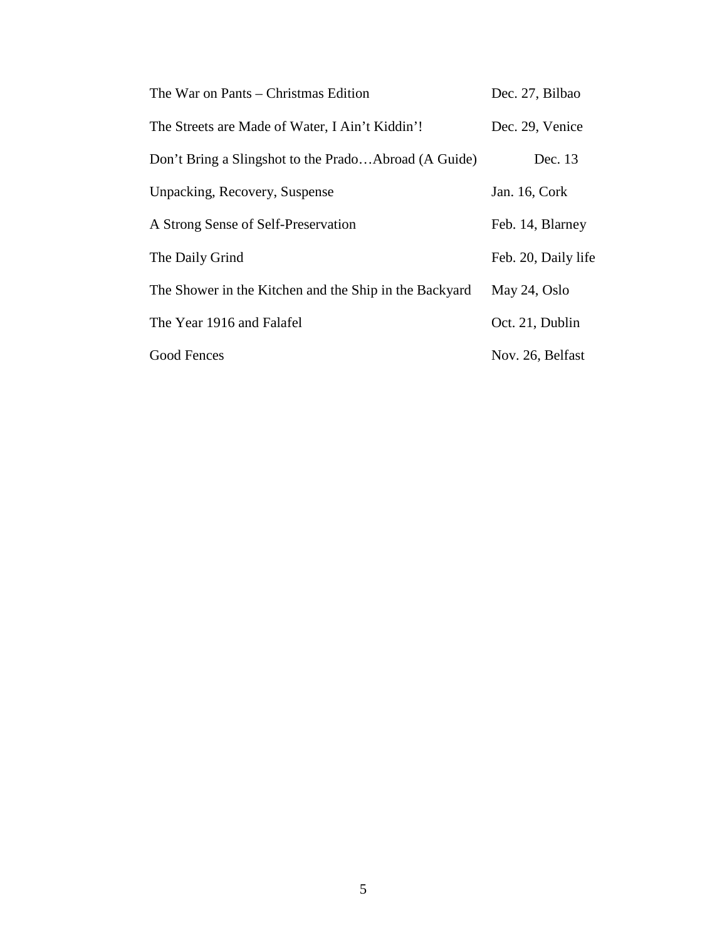| The War on Pants – Christmas Edition                   | Dec. 27, Bilbao     |
|--------------------------------------------------------|---------------------|
| The Streets are Made of Water, I Ain't Kiddin'!        | Dec. 29, Venice     |
| Don't Bring a Slingshot to the PradoAbroad (A Guide)   | Dec. 13             |
| Unpacking, Recovery, Suspense                          | Jan. 16, Cork       |
| A Strong Sense of Self-Preservation                    | Feb. 14, Blarney    |
| The Daily Grind                                        | Feb. 20, Daily life |
| The Shower in the Kitchen and the Ship in the Backyard | May 24, Oslo        |
| The Year 1916 and Falafel                              | Oct. 21, Dublin     |
| Good Fences                                            | Nov. 26, Belfast    |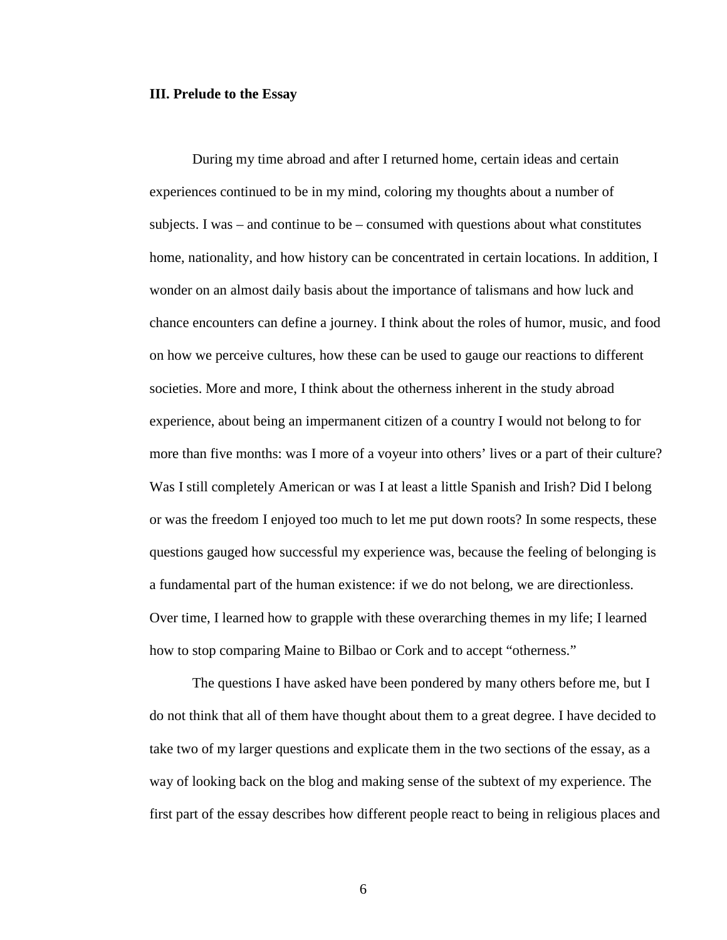#### **III. Prelude to the Essay**

During my time abroad and after I returned home, certain ideas and certain experiences continued to be in my mind, coloring my thoughts about a number of subjects. I was – and continue to be – consumed with questions about what constitutes home, nationality, and how history can be concentrated in certain locations. In addition, I wonder on an almost daily basis about the importance of talismans and how luck and chance encounters can define a journey. I think about the roles of humor, music, and food on how we perceive cultures, how these can be used to gauge our reactions to different societies. More and more, I think about the otherness inherent in the study abroad experience, about being an impermanent citizen of a country I would not belong to for more than five months: was I more of a voyeur into others' lives or a part of their culture? Was I still completely American or was I at least a little Spanish and Irish? Did I belong or was the freedom I enjoyed too much to let me put down roots? In some respects, these questions gauged how successful my experience was, because the feeling of belonging is a fundamental part of the human existence: if we do not belong, we are directionless. Over time, I learned how to grapple with these overarching themes in my life; I learned how to stop comparing Maine to Bilbao or Cork and to accept "otherness."

The questions I have asked have been pondered by many others before me, but I do not think that all of them have thought about them to a great degree. I have decided to take two of my larger questions and explicate them in the two sections of the essay, as a way of looking back on the blog and making sense of the subtext of my experience. The first part of the essay describes how different people react to being in religious places and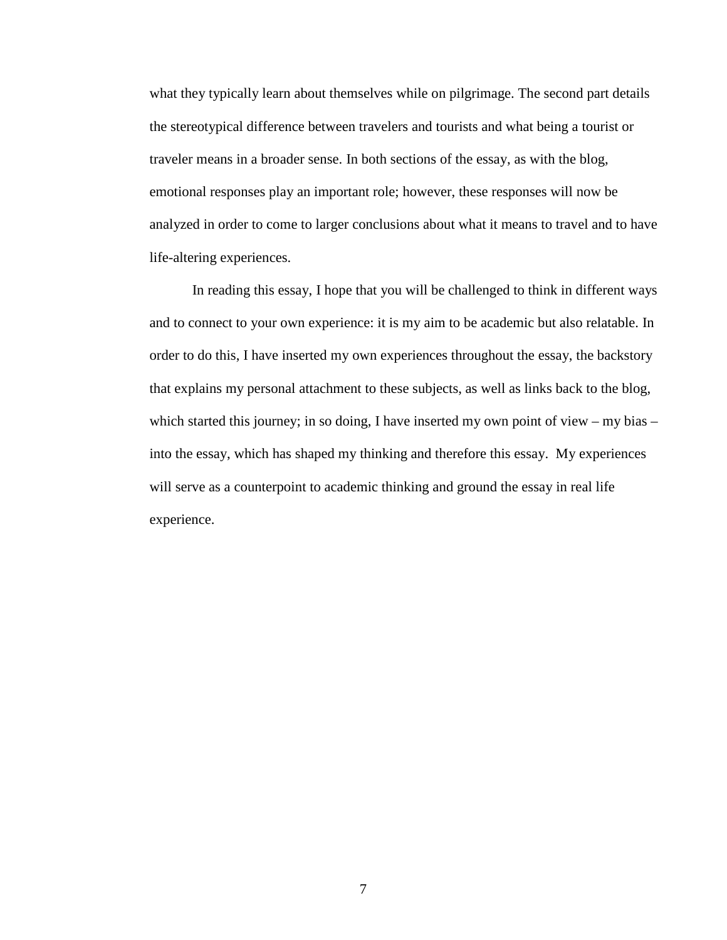what they typically learn about themselves while on pilgrimage. The second part details the stereotypical difference between travelers and tourists and what being a tourist or traveler means in a broader sense. In both sections of the essay, as with the blog, emotional responses play an important role; however, these responses will now be analyzed in order to come to larger conclusions about what it means to travel and to have life-altering experiences.

In reading this essay, I hope that you will be challenged to think in different ways and to connect to your own experience: it is my aim to be academic but also relatable. In order to do this, I have inserted my own experiences throughout the essay, the backstory that explains my personal attachment to these subjects, as well as links back to the blog, which started this journey; in so doing, I have inserted my own point of view – my bias – into the essay, which has shaped my thinking and therefore this essay. My experiences will serve as a counterpoint to academic thinking and ground the essay in real life experience.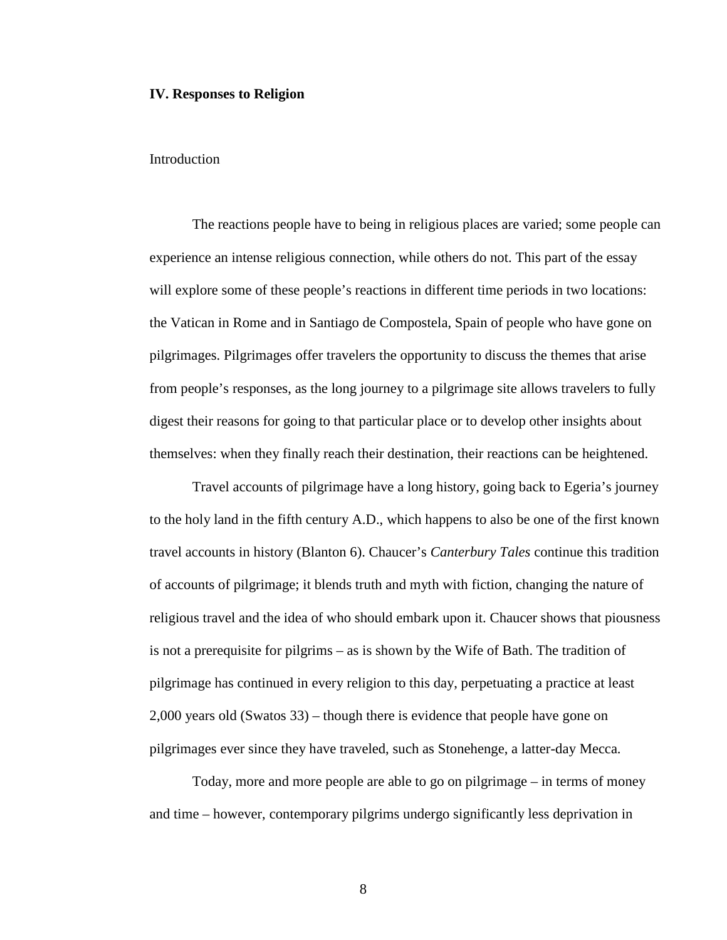#### **IV. Responses to Religion**

#### Introduction

The reactions people have to being in religious places are varied; some people can experience an intense religious connection, while others do not. This part of the essay will explore some of these people's reactions in different time periods in two locations: the Vatican in Rome and in Santiago de Compostela, Spain of people who have gone on pilgrimages. Pilgrimages offer travelers the opportunity to discuss the themes that arise from people's responses, as the long journey to a pilgrimage site allows travelers to fully digest their reasons for going to that particular place or to develop other insights about themselves: when they finally reach their destination, their reactions can be heightened.

Travel accounts of pilgrimage have a long history, going back to Egeria's journey to the holy land in the fifth century A.D., which happens to also be one of the first known travel accounts in history (Blanton 6). Chaucer's *Canterbury Tales* continue this tradition of accounts of pilgrimage; it blends truth and myth with fiction, changing the nature of religious travel and the idea of who should embark upon it. Chaucer shows that piousness is not a prerequisite for pilgrims – as is shown by the Wife of Bath. The tradition of pilgrimage has continued in every religion to this day, perpetuating a practice at least 2,000 years old (Swatos 33) – though there is evidence that people have gone on pilgrimages ever since they have traveled, such as Stonehenge, a latter-day Mecca.

Today, more and more people are able to go on pilgrimage – in terms of money and time – however, contemporary pilgrims undergo significantly less deprivation in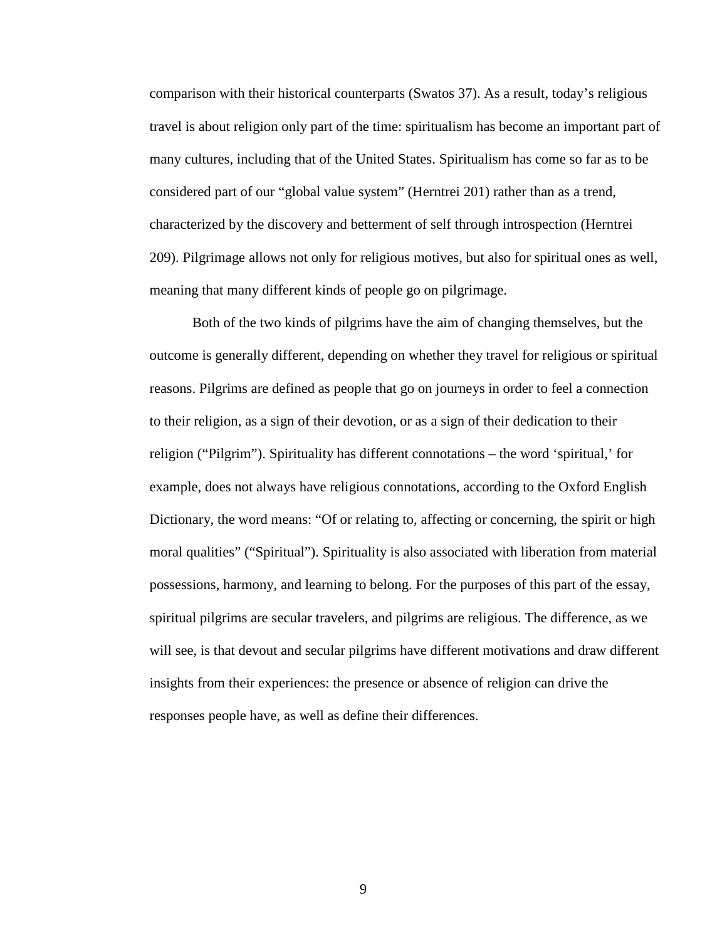comparison with their historical counterparts (Swatos 37). As a result, today's religious travel is about religion only part of the time: spiritualism has become an important part of many cultures, including that of the United States. Spiritualism has come so far as to be considered part of our "global value system" (Herntrei 201) rather than as a trend, characterized by the discovery and betterment of self through introspection (Herntrei 209). Pilgrimage allows not only for religious motives, but also for spiritual ones as well, meaning that many different kinds of people go on pilgrimage.

Both of the two kinds of pilgrims have the aim of changing themselves, but the outcome is generally different, depending on whether they travel for religious or spiritual reasons. Pilgrims are defined as people that go on journeys in order to feel a connection to their religion, as a sign of their devotion, or as a sign of their dedication to their religion ("Pilgrim"). Spirituality has different connotations – the word 'spiritual,' for example, does not always have religious connotations, according to the Oxford English Dictionary, the word means: "Of or relating to, affecting or concerning, the spirit or high moral qualities" ("Spiritual"). Spirituality is also associated with liberation from material possessions, harmony, and learning to belong. For the purposes of this part of the essay, spiritual pilgrims are secular travelers, and pilgrims are religious. The difference, as we will see, is that devout and secular pilgrims have different motivations and draw different insights from their experiences: the presence or absence of religion can drive the responses people have, as well as define their differences.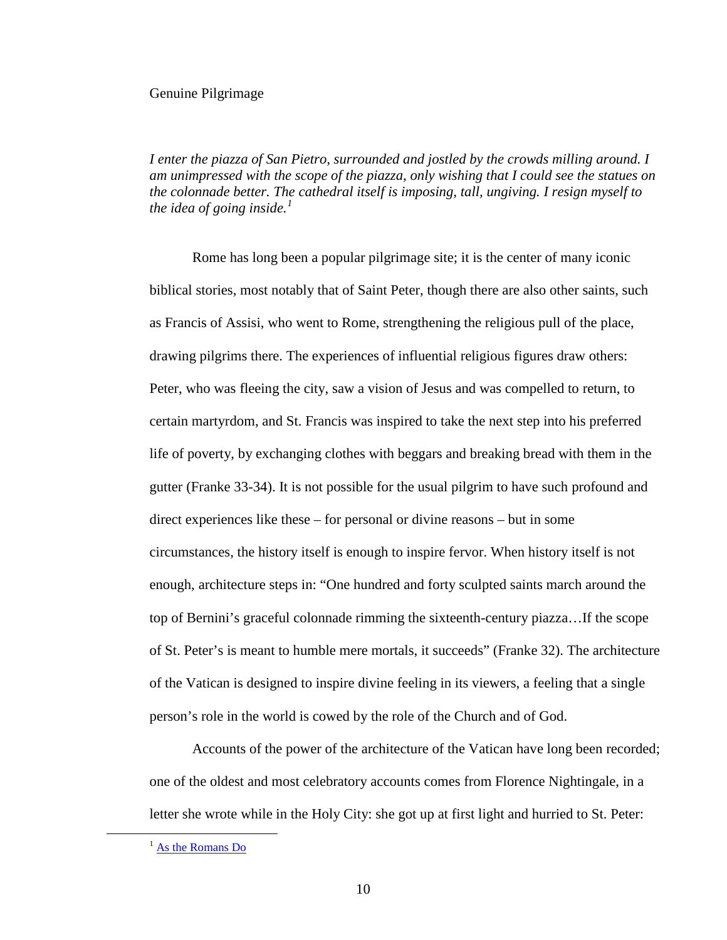#### Genuine Pilgrimage

*I enter the piazza of San Pietro, surrounded and jostled by the crowds milling around. I am unimpressed with the scope of the piazza, only wishing that I could see the statues on the colonnade better. The cathedral itself is imposing, tall, ungiving. I resign myself to the idea of going inside.[1](#page-14-0)*

Rome has long been a popular pilgrimage site; it is the center of many iconic biblical stories, most notably that of Saint Peter, though there are also other saints, such as Francis of Assisi, who went to Rome, strengthening the religious pull of the place, drawing pilgrims there. The experiences of influential religious figures draw others: Peter, who was fleeing the city, saw a vision of Jesus and was compelled to return, to certain martyrdom, and St. Francis was inspired to take the next step into his preferred life of poverty, by exchanging clothes with beggars and breaking bread with them in the gutter (Franke 33-34). It is not possible for the usual pilgrim to have such profound and direct experiences like these – for personal or divine reasons – but in some circumstances, the history itself is enough to inspire fervor. When history itself is not enough, architecture steps in: "One hundred and forty sculpted saints march around the top of Bernini's graceful colonnade rimming the sixteenth-century piazza…If the scope of St. Peter's is meant to humble mere mortals, it succeeds" (Franke 32). The architecture of the Vatican is designed to inspire divine feeling in its viewers, a feeling that a single person's role in the world is cowed by the role of the Church and of God.

Accounts of the power of the architecture of the Vatican have long been recorded; one of the oldest and most celebratory accounts comes from Florence Nightingale, in a letter she wrote while in the Holy City: she got up at first light and hurried to St. Peter:

<span id="page-14-0"></span><sup>&</sup>lt;sup>1</sup> [As the Romans Do](http://sarahgoestobilbork.wordpress.com/2012/01/12/as-the-romans-do/)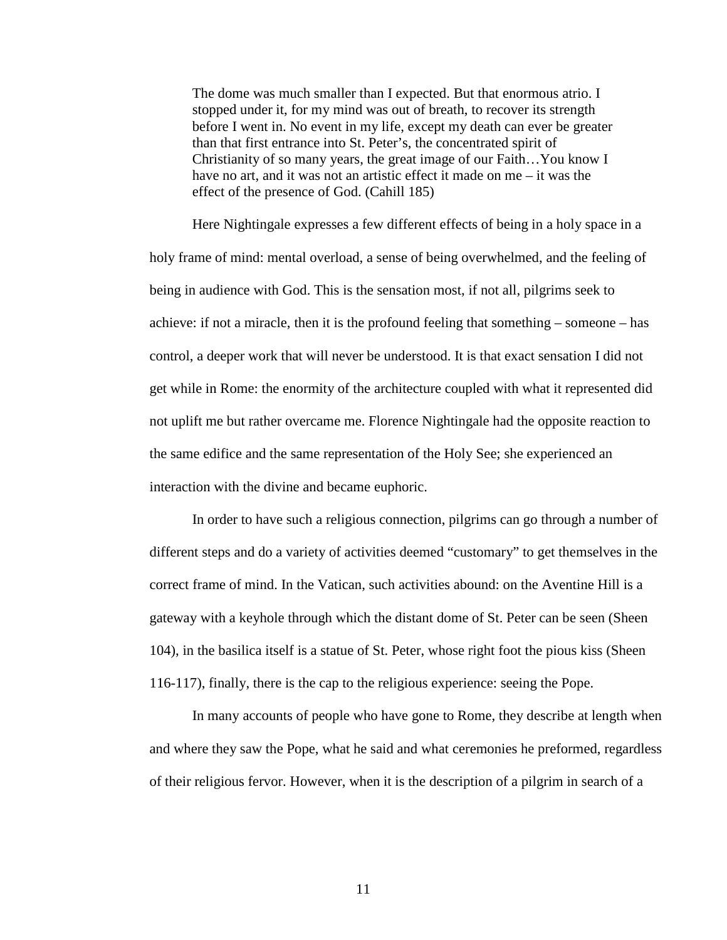The dome was much smaller than I expected. But that enormous atrio. I stopped under it, for my mind was out of breath, to recover its strength before I went in. No event in my life, except my death can ever be greater than that first entrance into St. Peter's, the concentrated spirit of Christianity of so many years, the great image of our Faith…You know I have no art, and it was not an artistic effect it made on me – it was the effect of the presence of God. (Cahill 185)

Here Nightingale expresses a few different effects of being in a holy space in a holy frame of mind: mental overload, a sense of being overwhelmed, and the feeling of being in audience with God. This is the sensation most, if not all, pilgrims seek to achieve: if not a miracle, then it is the profound feeling that something – someone – has control, a deeper work that will never be understood. It is that exact sensation I did not get while in Rome: the enormity of the architecture coupled with what it represented did not uplift me but rather overcame me. Florence Nightingale had the opposite reaction to the same edifice and the same representation of the Holy See; she experienced an interaction with the divine and became euphoric.

In order to have such a religious connection, pilgrims can go through a number of different steps and do a variety of activities deemed "customary" to get themselves in the correct frame of mind. In the Vatican, such activities abound: on the Aventine Hill is a gateway with a keyhole through which the distant dome of St. Peter can be seen (Sheen 104), in the basilica itself is a statue of St. Peter, whose right foot the pious kiss (Sheen 116-117), finally, there is the cap to the religious experience: seeing the Pope.

In many accounts of people who have gone to Rome, they describe at length when and where they saw the Pope, what he said and what ceremonies he preformed, regardless of their religious fervor. However, when it is the description of a pilgrim in search of a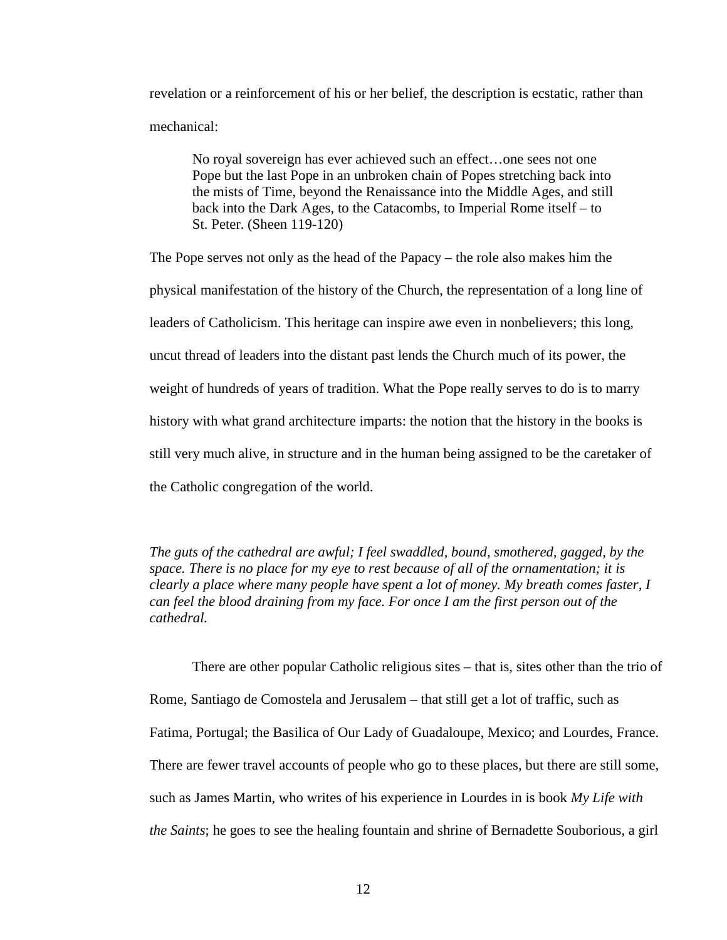revelation or a reinforcement of his or her belief, the description is ecstatic, rather than mechanical:

No royal sovereign has ever achieved such an effect…one sees not one Pope but the last Pope in an unbroken chain of Popes stretching back into the mists of Time, beyond the Renaissance into the Middle Ages, and still back into the Dark Ages, to the Catacombs, to Imperial Rome itself – to St. Peter. (Sheen 119-120)

The Pope serves not only as the head of the Papacy – the role also makes him the physical manifestation of the history of the Church, the representation of a long line of leaders of Catholicism. This heritage can inspire awe even in nonbelievers; this long, uncut thread of leaders into the distant past lends the Church much of its power, the weight of hundreds of years of tradition. What the Pope really serves to do is to marry history with what grand architecture imparts: the notion that the history in the books is still very much alive, in structure and in the human being assigned to be the caretaker of the Catholic congregation of the world.

*The guts of the cathedral are awful; I feel swaddled, bound, smothered, gagged, by the space. There is no place for my eye to rest because of all of the ornamentation; it is clearly a place where many people have spent a lot of money. My breath comes faster, I can feel the blood draining from my face. For once I am the first person out of the cathedral.*

There are other popular Catholic religious sites – that is, sites other than the trio of Rome, Santiago de Comostela and Jerusalem – that still get a lot of traffic, such as Fatima, Portugal; the Basilica of Our Lady of Guadaloupe, Mexico; and Lourdes, France. There are fewer travel accounts of people who go to these places, but there are still some, such as James Martin, who writes of his experience in Lourdes in is book *My Life with the Saints*; he goes to see the healing fountain and shrine of Bernadette Souborious, a girl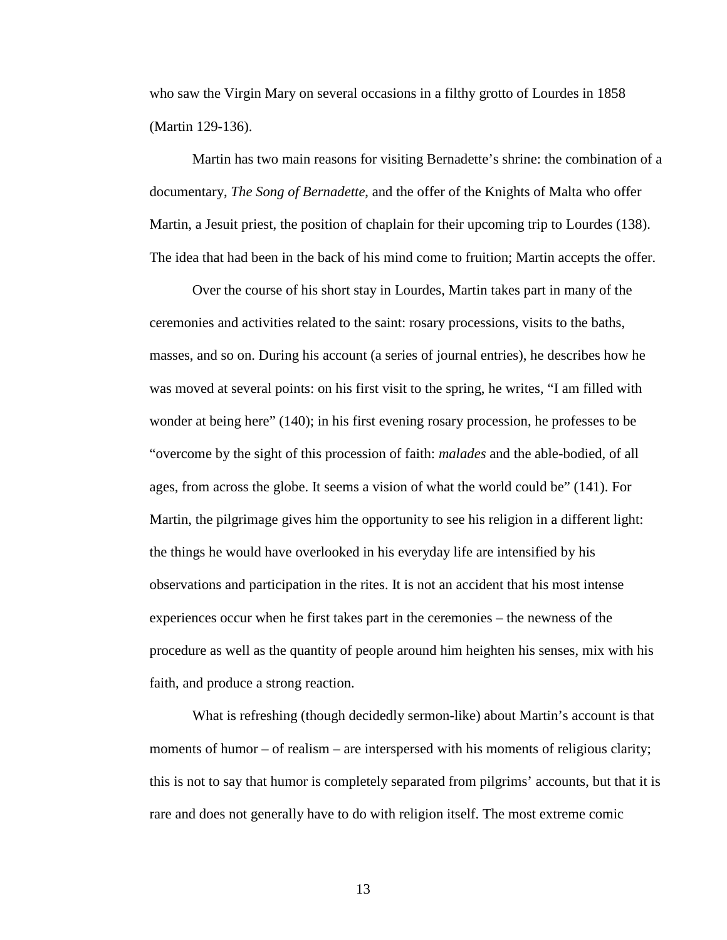who saw the Virgin Mary on several occasions in a filthy grotto of Lourdes in 1858 (Martin 129-136).

Martin has two main reasons for visiting Bernadette's shrine: the combination of a documentary, *The Song of Bernadette*, and the offer of the Knights of Malta who offer Martin, a Jesuit priest, the position of chaplain for their upcoming trip to Lourdes (138). The idea that had been in the back of his mind come to fruition; Martin accepts the offer.

Over the course of his short stay in Lourdes, Martin takes part in many of the ceremonies and activities related to the saint: rosary processions, visits to the baths, masses, and so on. During his account (a series of journal entries), he describes how he was moved at several points: on his first visit to the spring, he writes, "I am filled with wonder at being here" (140); in his first evening rosary procession, he professes to be "overcome by the sight of this procession of faith: *malades* and the able-bodied, of all ages, from across the globe. It seems a vision of what the world could be" (141). For Martin, the pilgrimage gives him the opportunity to see his religion in a different light: the things he would have overlooked in his everyday life are intensified by his observations and participation in the rites. It is not an accident that his most intense experiences occur when he first takes part in the ceremonies – the newness of the procedure as well as the quantity of people around him heighten his senses, mix with his faith, and produce a strong reaction.

What is refreshing (though decidedly sermon-like) about Martin's account is that moments of humor – of realism – are interspersed with his moments of religious clarity; this is not to say that humor is completely separated from pilgrims' accounts, but that it is rare and does not generally have to do with religion itself. The most extreme comic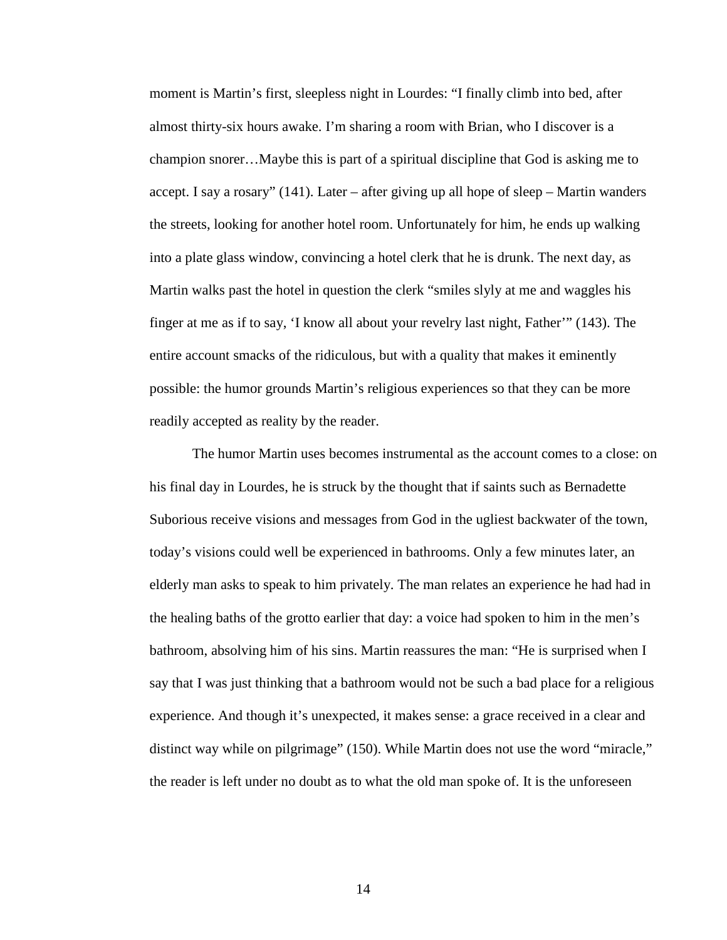moment is Martin's first, sleepless night in Lourdes: "I finally climb into bed, after almost thirty-six hours awake. I'm sharing a room with Brian, who I discover is a champion snorer…Maybe this is part of a spiritual discipline that God is asking me to accept. I say a rosary" (141). Later – after giving up all hope of sleep – Martin wanders the streets, looking for another hotel room. Unfortunately for him, he ends up walking into a plate glass window, convincing a hotel clerk that he is drunk. The next day, as Martin walks past the hotel in question the clerk "smiles slyly at me and waggles his finger at me as if to say, 'I know all about your revelry last night, Father'" (143). The entire account smacks of the ridiculous, but with a quality that makes it eminently possible: the humor grounds Martin's religious experiences so that they can be more readily accepted as reality by the reader.

The humor Martin uses becomes instrumental as the account comes to a close: on his final day in Lourdes, he is struck by the thought that if saints such as Bernadette Suborious receive visions and messages from God in the ugliest backwater of the town, today's visions could well be experienced in bathrooms. Only a few minutes later, an elderly man asks to speak to him privately. The man relates an experience he had had in the healing baths of the grotto earlier that day: a voice had spoken to him in the men's bathroom, absolving him of his sins. Martin reassures the man: "He is surprised when I say that I was just thinking that a bathroom would not be such a bad place for a religious experience. And though it's unexpected, it makes sense: a grace received in a clear and distinct way while on pilgrimage" (150). While Martin does not use the word "miracle," the reader is left under no doubt as to what the old man spoke of. It is the unforeseen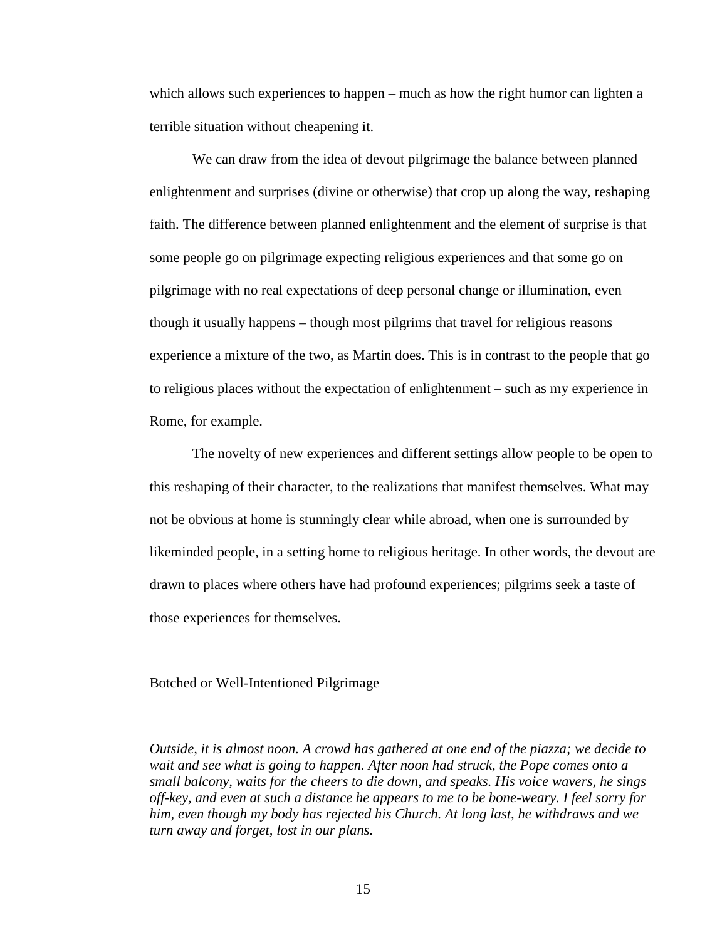which allows such experiences to happen – much as how the right humor can lighten a terrible situation without cheapening it.

We can draw from the idea of devout pilgrimage the balance between planned enlightenment and surprises (divine or otherwise) that crop up along the way, reshaping faith. The difference between planned enlightenment and the element of surprise is that some people go on pilgrimage expecting religious experiences and that some go on pilgrimage with no real expectations of deep personal change or illumination, even though it usually happens – though most pilgrims that travel for religious reasons experience a mixture of the two, as Martin does. This is in contrast to the people that go to religious places without the expectation of enlightenment – such as my experience in Rome, for example.

The novelty of new experiences and different settings allow people to be open to this reshaping of their character, to the realizations that manifest themselves. What may not be obvious at home is stunningly clear while abroad, when one is surrounded by likeminded people, in a setting home to religious heritage. In other words, the devout are drawn to places where others have had profound experiences; pilgrims seek a taste of those experiences for themselves.

Botched or Well-Intentioned Pilgrimage

*Outside, it is almost noon. A crowd has gathered at one end of the piazza; we decide to wait and see what is going to happen. After noon had struck, the Pope comes onto a small balcony, waits for the cheers to die down, and speaks. His voice wavers, he sings off-key, and even at such a distance he appears to me to be bone-weary. I feel sorry for him, even though my body has rejected his Church. At long last, he withdraws and we turn away and forget, lost in our plans.*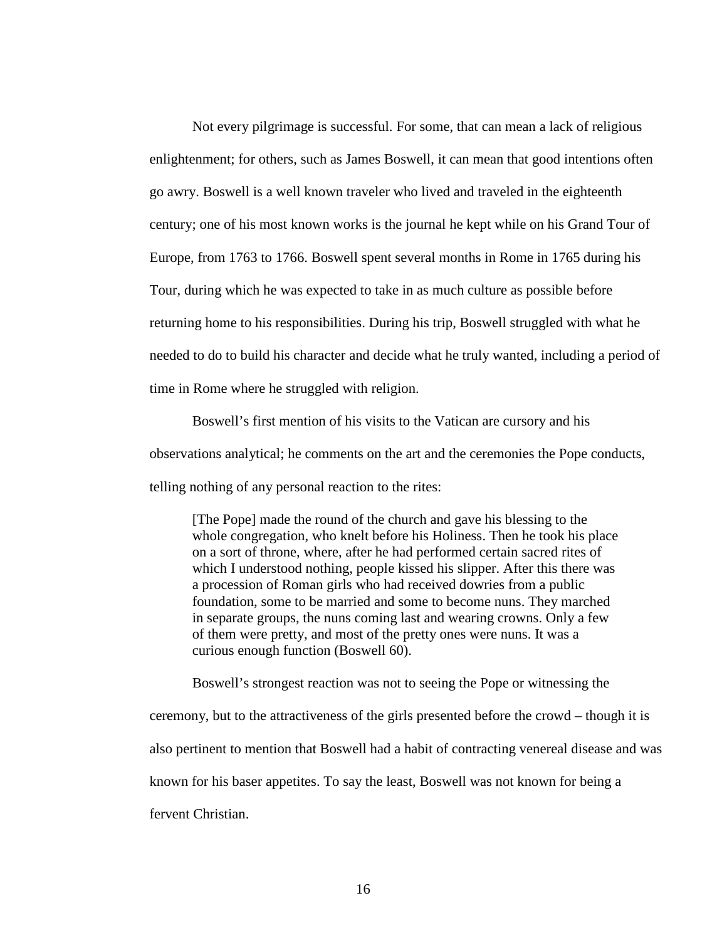Not every pilgrimage is successful. For some, that can mean a lack of religious enlightenment; for others, such as James Boswell, it can mean that good intentions often go awry. Boswell is a well known traveler who lived and traveled in the eighteenth century; one of his most known works is the journal he kept while on his Grand Tour of Europe, from 1763 to 1766. Boswell spent several months in Rome in 1765 during his Tour, during which he was expected to take in as much culture as possible before returning home to his responsibilities. During his trip, Boswell struggled with what he needed to do to build his character and decide what he truly wanted, including a period of time in Rome where he struggled with religion.

Boswell's first mention of his visits to the Vatican are cursory and his observations analytical; he comments on the art and the ceremonies the Pope conducts, telling nothing of any personal reaction to the rites:

[The Pope] made the round of the church and gave his blessing to the whole congregation, who knelt before his Holiness. Then he took his place on a sort of throne, where, after he had performed certain sacred rites of which I understood nothing, people kissed his slipper. After this there was a procession of Roman girls who had received dowries from a public foundation, some to be married and some to become nuns. They marched in separate groups, the nuns coming last and wearing crowns. Only a few of them were pretty, and most of the pretty ones were nuns. It was a curious enough function (Boswell 60).

Boswell's strongest reaction was not to seeing the Pope or witnessing the ceremony, but to the attractiveness of the girls presented before the crowd – though it is also pertinent to mention that Boswell had a habit of contracting venereal disease and was known for his baser appetites. To say the least, Boswell was not known for being a fervent Christian.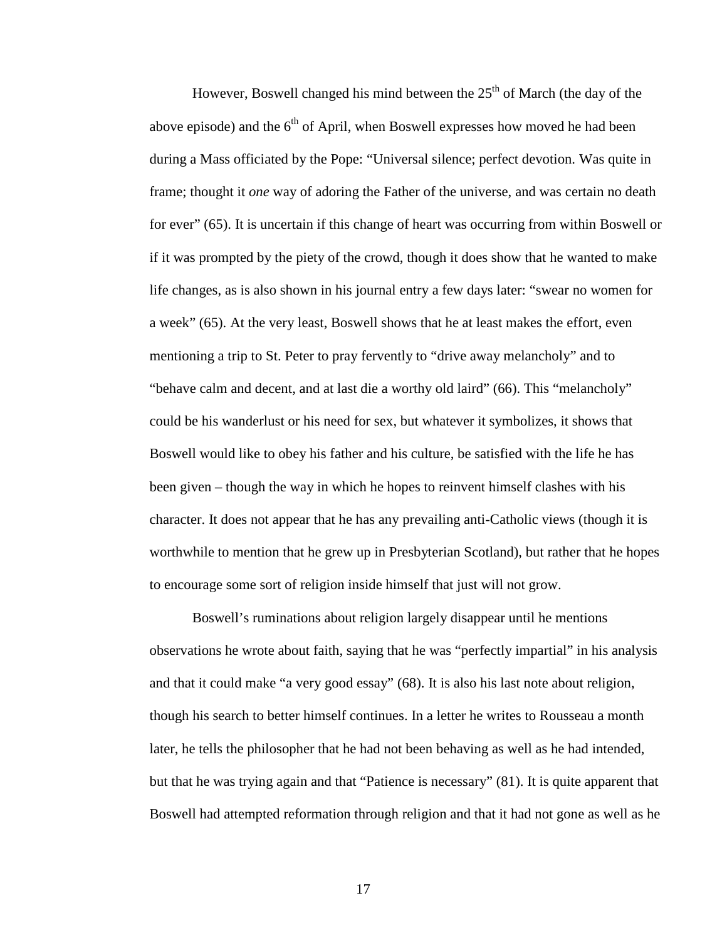However. Boswell changed his mind between the  $25<sup>th</sup>$  of March (the day of the above episode) and the  $6<sup>th</sup>$  of April, when Boswell expresses how moved he had been during a Mass officiated by the Pope: "Universal silence; perfect devotion. Was quite in frame; thought it *one* way of adoring the Father of the universe, and was certain no death for ever" (65). It is uncertain if this change of heart was occurring from within Boswell or if it was prompted by the piety of the crowd, though it does show that he wanted to make life changes, as is also shown in his journal entry a few days later: "swear no women for a week" (65). At the very least, Boswell shows that he at least makes the effort, even mentioning a trip to St. Peter to pray fervently to "drive away melancholy" and to "behave calm and decent, and at last die a worthy old laird" (66). This "melancholy" could be his wanderlust or his need for sex, but whatever it symbolizes, it shows that Boswell would like to obey his father and his culture, be satisfied with the life he has been given – though the way in which he hopes to reinvent himself clashes with his character. It does not appear that he has any prevailing anti-Catholic views (though it is worthwhile to mention that he grew up in Presbyterian Scotland), but rather that he hopes to encourage some sort of religion inside himself that just will not grow.

Boswell's ruminations about religion largely disappear until he mentions observations he wrote about faith, saying that he was "perfectly impartial" in his analysis and that it could make "a very good essay" (68). It is also his last note about religion, though his search to better himself continues. In a letter he writes to Rousseau a month later, he tells the philosopher that he had not been behaving as well as he had intended, but that he was trying again and that "Patience is necessary" (81). It is quite apparent that Boswell had attempted reformation through religion and that it had not gone as well as he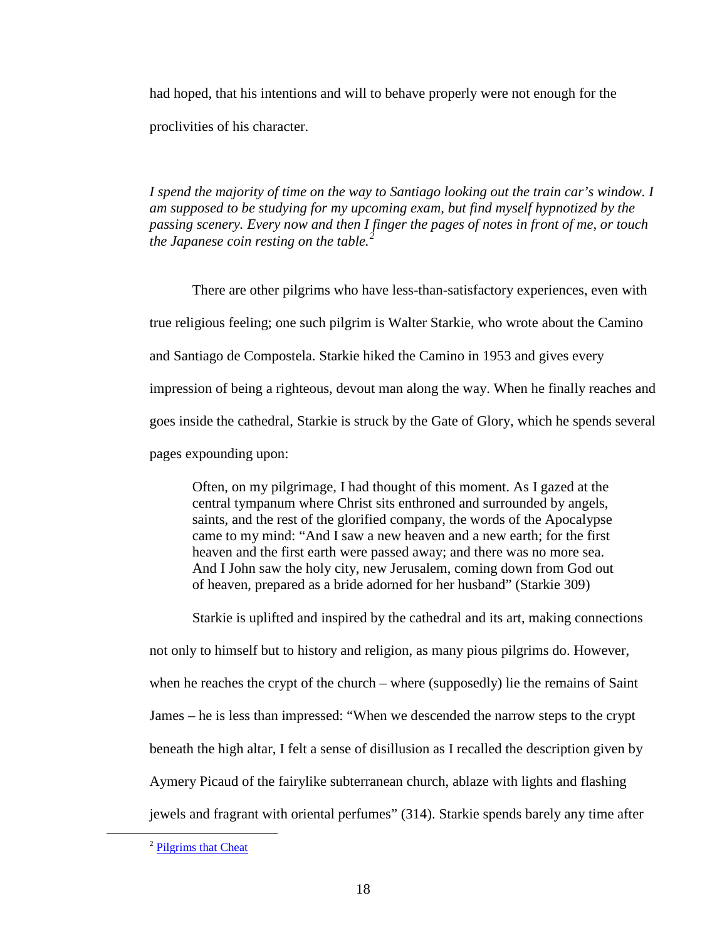had hoped, that his intentions and will to behave properly were not enough for the proclivities of his character.

*I spend the majority of time on the way to Santiago looking out the train car's window. I am supposed to be studying for my upcoming exam, but find myself hypnotized by the passing scenery. Every now and then I finger the pages of notes in front of me, or touch the Japanese coin resting on the table.[2](#page-22-0)*

There are other pilgrims who have less-than-satisfactory experiences, even with true religious feeling; one such pilgrim is Walter Starkie, who wrote about the Camino and Santiago de Compostela. Starkie hiked the Camino in 1953 and gives every impression of being a righteous, devout man along the way. When he finally reaches and goes inside the cathedral, Starkie is struck by the Gate of Glory, which he spends several pages expounding upon:

Often, on my pilgrimage, I had thought of this moment. As I gazed at the central tympanum where Christ sits enthroned and surrounded by angels, saints, and the rest of the glorified company, the words of the Apocalypse came to my mind: "And I saw a new heaven and a new earth; for the first heaven and the first earth were passed away; and there was no more sea. And I John saw the holy city, new Jerusalem, coming down from God out of heaven, prepared as a bride adorned for her husband" (Starkie 309)

Starkie is uplifted and inspired by the cathedral and its art, making connections not only to himself but to history and religion, as many pious pilgrims do. However, when he reaches the crypt of the church – where (supposedly) lie the remains of Saint James – he is less than impressed: "When we descended the narrow steps to the crypt beneath the high altar, I felt a sense of disillusion as I recalled the description given by Aymery Picaud of the fairylike subterranean church, ablaze with lights and flashing jewels and fragrant with oriental perfumes" (314). Starkie spends barely any time after

<span id="page-22-0"></span> <sup>2</sup> [Pilgrims that Cheat](http://sarahgoestobilbork.wordpress.com/2011/11/08/pilgrims-that-cheat/)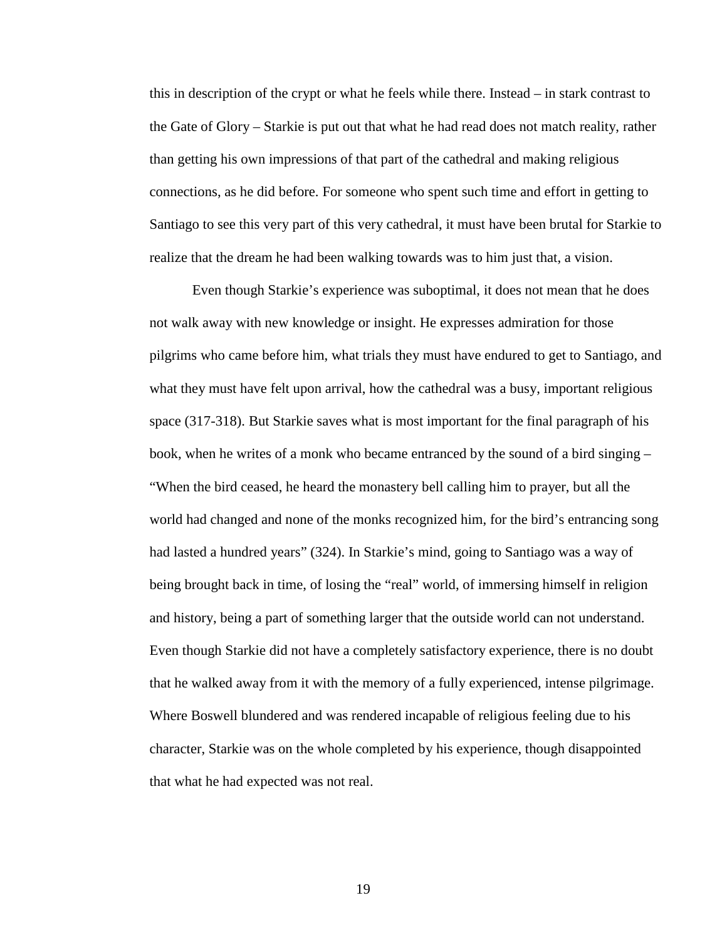this in description of the crypt or what he feels while there. Instead – in stark contrast to the Gate of Glory – Starkie is put out that what he had read does not match reality, rather than getting his own impressions of that part of the cathedral and making religious connections, as he did before. For someone who spent such time and effort in getting to Santiago to see this very part of this very cathedral, it must have been brutal for Starkie to realize that the dream he had been walking towards was to him just that, a vision.

Even though Starkie's experience was suboptimal, it does not mean that he does not walk away with new knowledge or insight. He expresses admiration for those pilgrims who came before him, what trials they must have endured to get to Santiago, and what they must have felt upon arrival, how the cathedral was a busy, important religious space (317-318). But Starkie saves what is most important for the final paragraph of his book, when he writes of a monk who became entranced by the sound of a bird singing – "When the bird ceased, he heard the monastery bell calling him to prayer, but all the world had changed and none of the monks recognized him, for the bird's entrancing song had lasted a hundred years" (324). In Starkie's mind, going to Santiago was a way of being brought back in time, of losing the "real" world, of immersing himself in religion and history, being a part of something larger that the outside world can not understand. Even though Starkie did not have a completely satisfactory experience, there is no doubt that he walked away from it with the memory of a fully experienced, intense pilgrimage. Where Boswell blundered and was rendered incapable of religious feeling due to his character, Starkie was on the whole completed by his experience, though disappointed that what he had expected was not real.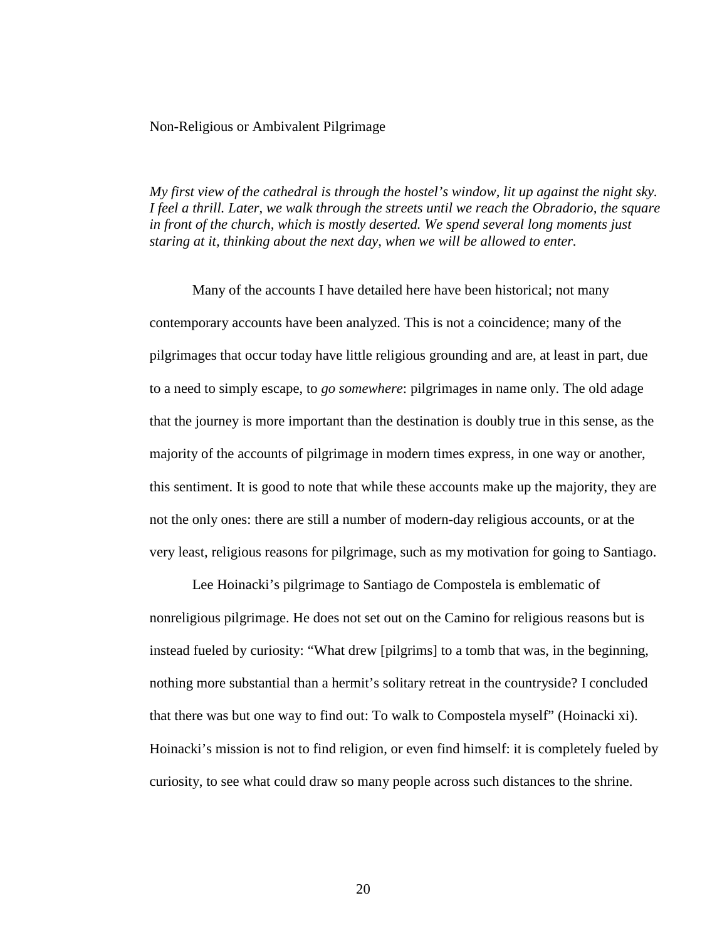#### Non-Religious or Ambivalent Pilgrimage

*My first view of the cathedral is through the hostel's window, lit up against the night sky. I feel a thrill. Later, we walk through the streets until we reach the Obradorio, the square in front of the church, which is mostly deserted. We spend several long moments just staring at it, thinking about the next day, when we will be allowed to enter.*

Many of the accounts I have detailed here have been historical; not many contemporary accounts have been analyzed. This is not a coincidence; many of the pilgrimages that occur today have little religious grounding and are, at least in part, due to a need to simply escape, to *go somewhere*: pilgrimages in name only. The old adage that the journey is more important than the destination is doubly true in this sense, as the majority of the accounts of pilgrimage in modern times express, in one way or another, this sentiment. It is good to note that while these accounts make up the majority, they are not the only ones: there are still a number of modern-day religious accounts, or at the very least, religious reasons for pilgrimage, such as my motivation for going to Santiago.

Lee Hoinacki's pilgrimage to Santiago de Compostela is emblematic of nonreligious pilgrimage. He does not set out on the Camino for religious reasons but is instead fueled by curiosity: "What drew [pilgrims] to a tomb that was, in the beginning, nothing more substantial than a hermit's solitary retreat in the countryside? I concluded that there was but one way to find out: To walk to Compostela myself" (Hoinacki xi). Hoinacki's mission is not to find religion, or even find himself: it is completely fueled by curiosity, to see what could draw so many people across such distances to the shrine.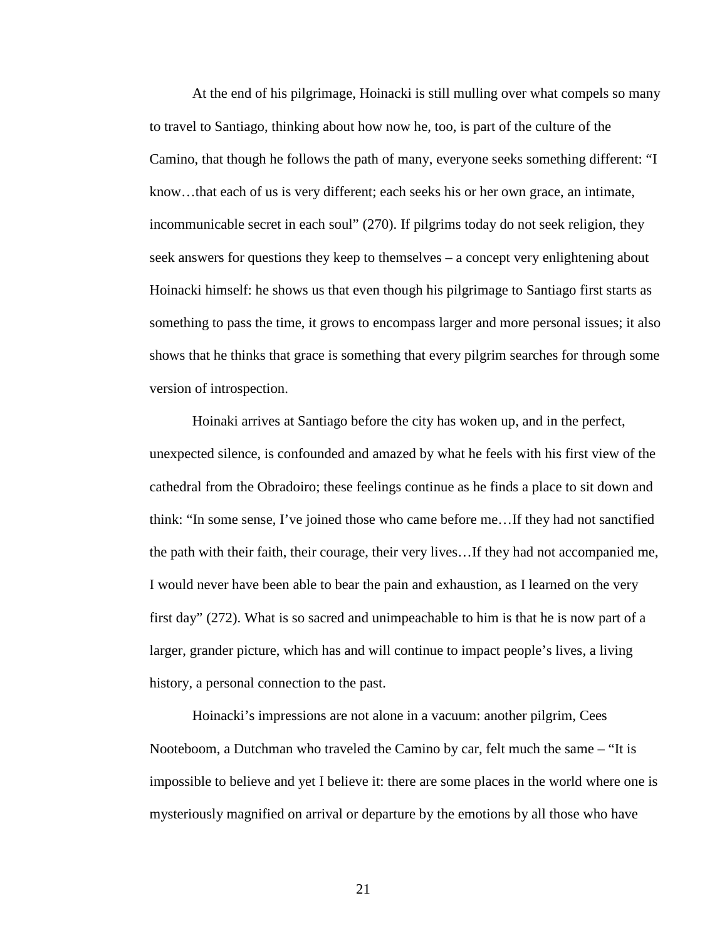At the end of his pilgrimage, Hoinacki is still mulling over what compels so many to travel to Santiago, thinking about how now he, too, is part of the culture of the Camino, that though he follows the path of many, everyone seeks something different: "I know…that each of us is very different; each seeks his or her own grace, an intimate, incommunicable secret in each soul" (270). If pilgrims today do not seek religion, they seek answers for questions they keep to themselves – a concept very enlightening about Hoinacki himself: he shows us that even though his pilgrimage to Santiago first starts as something to pass the time, it grows to encompass larger and more personal issues; it also shows that he thinks that grace is something that every pilgrim searches for through some version of introspection.

Hoinaki arrives at Santiago before the city has woken up, and in the perfect, unexpected silence, is confounded and amazed by what he feels with his first view of the cathedral from the Obradoiro; these feelings continue as he finds a place to sit down and think: "In some sense, I've joined those who came before me…If they had not sanctified the path with their faith, their courage, their very lives…If they had not accompanied me, I would never have been able to bear the pain and exhaustion, as I learned on the very first day" (272). What is so sacred and unimpeachable to him is that he is now part of a larger, grander picture, which has and will continue to impact people's lives, a living history, a personal connection to the past.

Hoinacki's impressions are not alone in a vacuum: another pilgrim, Cees Nooteboom, a Dutchman who traveled the Camino by car, felt much the same – "It is impossible to believe and yet I believe it: there are some places in the world where one is mysteriously magnified on arrival or departure by the emotions by all those who have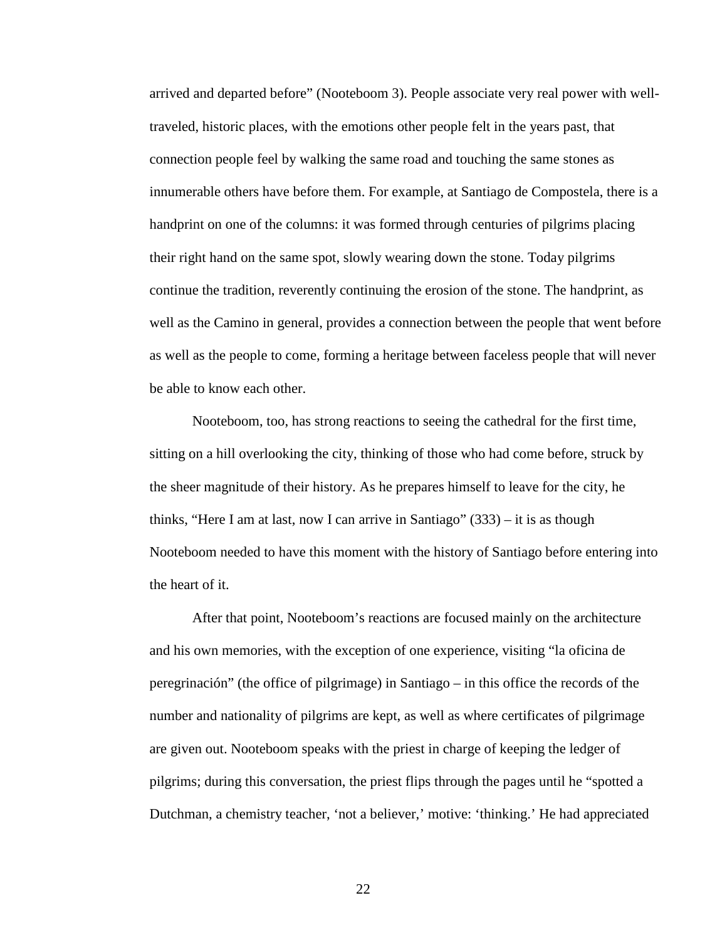arrived and departed before" (Nooteboom 3). People associate very real power with welltraveled, historic places, with the emotions other people felt in the years past, that connection people feel by walking the same road and touching the same stones as innumerable others have before them. For example, at Santiago de Compostela, there is a handprint on one of the columns: it was formed through centuries of pilgrims placing their right hand on the same spot, slowly wearing down the stone. Today pilgrims continue the tradition, reverently continuing the erosion of the stone. The handprint, as well as the Camino in general, provides a connection between the people that went before as well as the people to come, forming a heritage between faceless people that will never be able to know each other.

Nooteboom, too, has strong reactions to seeing the cathedral for the first time, sitting on a hill overlooking the city, thinking of those who had come before, struck by the sheer magnitude of their history. As he prepares himself to leave for the city, he thinks, "Here I am at last, now I can arrive in Santiago"  $(333)$  – it is as though Nooteboom needed to have this moment with the history of Santiago before entering into the heart of it.

After that point, Nooteboom's reactions are focused mainly on the architecture and his own memories, with the exception of one experience, visiting "la oficina de peregrinación" (the office of pilgrimage) in Santiago – in this office the records of the number and nationality of pilgrims are kept, as well as where certificates of pilgrimage are given out. Nooteboom speaks with the priest in charge of keeping the ledger of pilgrims; during this conversation, the priest flips through the pages until he "spotted a Dutchman, a chemistry teacher, 'not a believer,' motive: 'thinking.' He had appreciated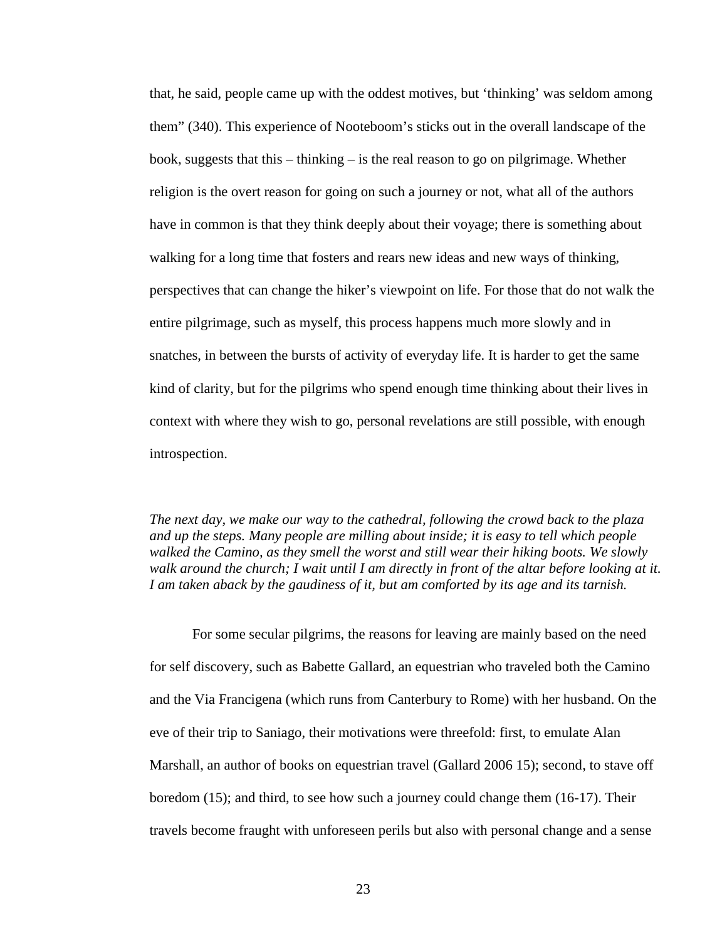that, he said, people came up with the oddest motives, but 'thinking' was seldom among them" (340). This experience of Nooteboom's sticks out in the overall landscape of the book, suggests that this – thinking – is the real reason to go on pilgrimage. Whether religion is the overt reason for going on such a journey or not, what all of the authors have in common is that they think deeply about their voyage; there is something about walking for a long time that fosters and rears new ideas and new ways of thinking, perspectives that can change the hiker's viewpoint on life. For those that do not walk the entire pilgrimage, such as myself, this process happens much more slowly and in snatches, in between the bursts of activity of everyday life. It is harder to get the same kind of clarity, but for the pilgrims who spend enough time thinking about their lives in context with where they wish to go, personal revelations are still possible, with enough introspection.

*The next day, we make our way to the cathedral, following the crowd back to the plaza and up the steps. Many people are milling about inside; it is easy to tell which people walked the Camino, as they smell the worst and still wear their hiking boots. We slowly walk around the church; I wait until I am directly in front of the altar before looking at it.*  I am taken aback by the gaudiness of it, but am comforted by its age and its *tarnish*.

For some secular pilgrims, the reasons for leaving are mainly based on the need for self discovery, such as Babette Gallard, an equestrian who traveled both the Camino and the Via Francigena (which runs from Canterbury to Rome) with her husband. On the eve of their trip to Saniago, their motivations were threefold: first, to emulate Alan Marshall, an author of books on equestrian travel (Gallard 2006 15); second, to stave off boredom (15); and third, to see how such a journey could change them (16-17). Their travels become fraught with unforeseen perils but also with personal change and a sense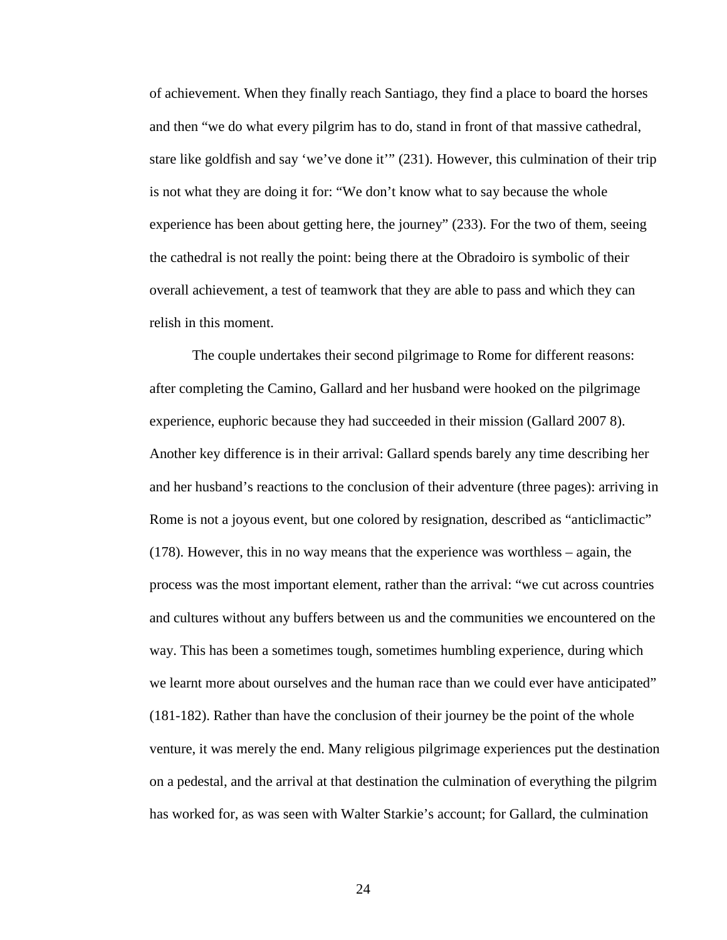of achievement. When they finally reach Santiago, they find a place to board the horses and then "we do what every pilgrim has to do, stand in front of that massive cathedral, stare like goldfish and say 'we've done it'" (231). However, this culmination of their trip is not what they are doing it for: "We don't know what to say because the whole experience has been about getting here, the journey" (233). For the two of them, seeing the cathedral is not really the point: being there at the Obradoiro is symbolic of their overall achievement, a test of teamwork that they are able to pass and which they can relish in this moment.

The couple undertakes their second pilgrimage to Rome for different reasons: after completing the Camino, Gallard and her husband were hooked on the pilgrimage experience, euphoric because they had succeeded in their mission (Gallard 2007 8). Another key difference is in their arrival: Gallard spends barely any time describing her and her husband's reactions to the conclusion of their adventure (three pages): arriving in Rome is not a joyous event, but one colored by resignation, described as "anticlimactic" (178). However, this in no way means that the experience was worthless – again, the process was the most important element, rather than the arrival: "we cut across countries and cultures without any buffers between us and the communities we encountered on the way. This has been a sometimes tough, sometimes humbling experience, during which we learnt more about ourselves and the human race than we could ever have anticipated" (181-182). Rather than have the conclusion of their journey be the point of the whole venture, it was merely the end. Many religious pilgrimage experiences put the destination on a pedestal, and the arrival at that destination the culmination of everything the pilgrim has worked for, as was seen with Walter Starkie's account; for Gallard, the culmination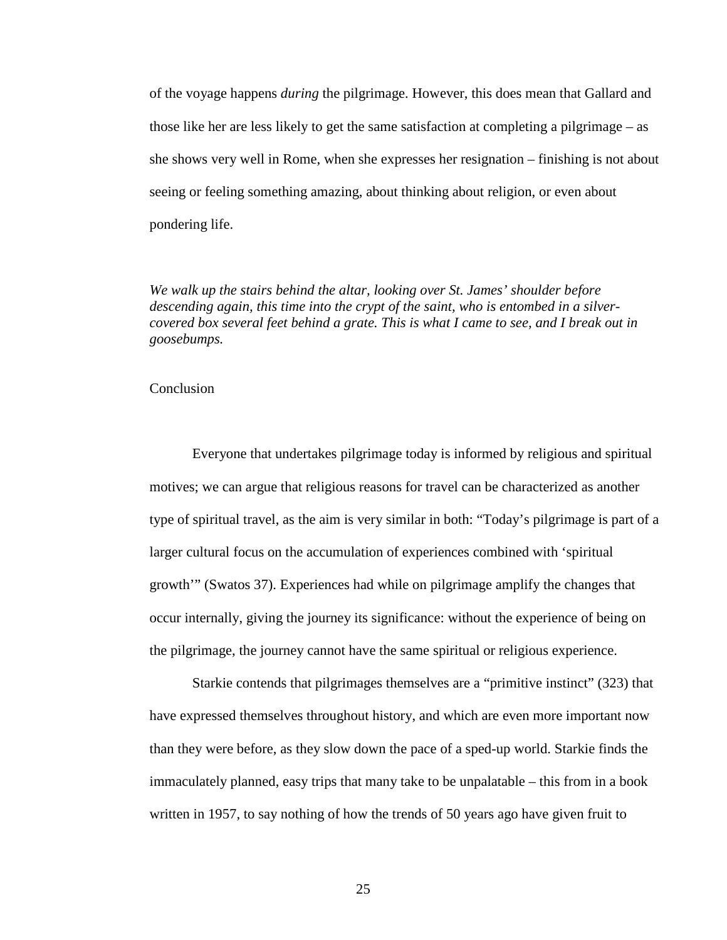of the voyage happens *during* the pilgrimage. However, this does mean that Gallard and those like her are less likely to get the same satisfaction at completing a pilgrimage – as she shows very well in Rome, when she expresses her resignation – finishing is not about seeing or feeling something amazing, about thinking about religion, or even about pondering life.

*We walk up the stairs behind the altar, looking over St. James' shoulder before descending again, this time into the crypt of the saint, who is entombed in a silvercovered box several feet behind a grate. This is what I came to see, and I break out in goosebumps.*

#### **Conclusion**

Everyone that undertakes pilgrimage today is informed by religious and spiritual motives; we can argue that religious reasons for travel can be characterized as another type of spiritual travel, as the aim is very similar in both: "Today's pilgrimage is part of a larger cultural focus on the accumulation of experiences combined with 'spiritual growth'" (Swatos 37). Experiences had while on pilgrimage amplify the changes that occur internally, giving the journey its significance: without the experience of being on the pilgrimage, the journey cannot have the same spiritual or religious experience.

Starkie contends that pilgrimages themselves are a "primitive instinct" (323) that have expressed themselves throughout history, and which are even more important now than they were before, as they slow down the pace of a sped-up world. Starkie finds the immaculately planned, easy trips that many take to be unpalatable – this from in a book written in 1957, to say nothing of how the trends of 50 years ago have given fruit to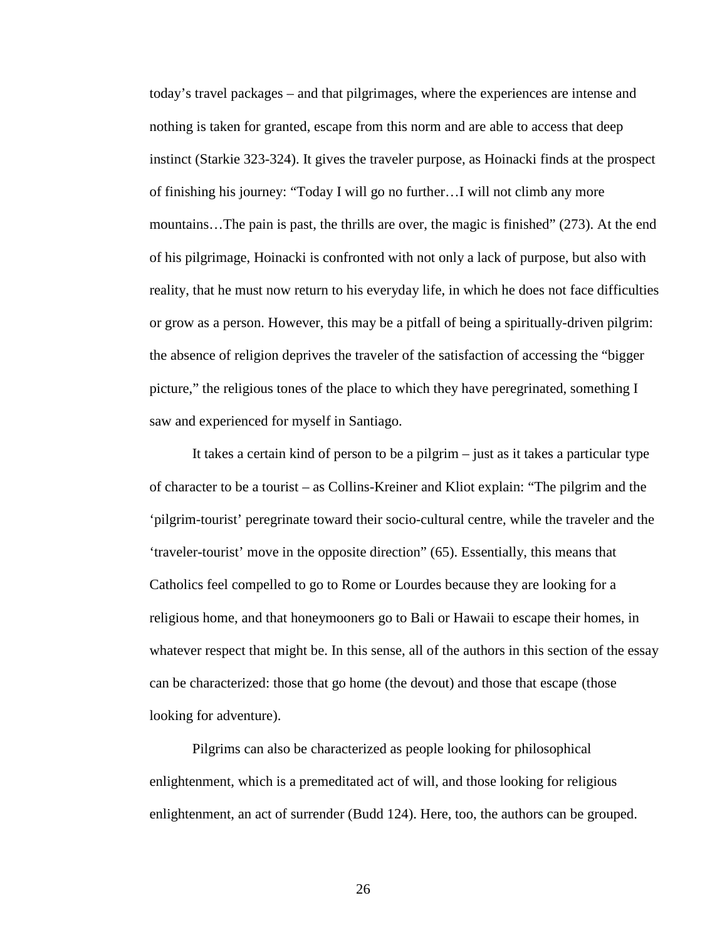today's travel packages – and that pilgrimages, where the experiences are intense and nothing is taken for granted, escape from this norm and are able to access that deep instinct (Starkie 323-324). It gives the traveler purpose, as Hoinacki finds at the prospect of finishing his journey: "Today I will go no further…I will not climb any more mountains…The pain is past, the thrills are over, the magic is finished" (273). At the end of his pilgrimage, Hoinacki is confronted with not only a lack of purpose, but also with reality, that he must now return to his everyday life, in which he does not face difficulties or grow as a person. However, this may be a pitfall of being a spiritually-driven pilgrim: the absence of religion deprives the traveler of the satisfaction of accessing the "bigger picture," the religious tones of the place to which they have peregrinated, something I saw and experienced for myself in Santiago.

It takes a certain kind of person to be a pilgrim – just as it takes a particular type of character to be a tourist – as Collins-Kreiner and Kliot explain: "The pilgrim and the 'pilgrim-tourist' peregrinate toward their socio-cultural centre, while the traveler and the 'traveler-tourist' move in the opposite direction" (65). Essentially, this means that Catholics feel compelled to go to Rome or Lourdes because they are looking for a religious home, and that honeymooners go to Bali or Hawaii to escape their homes, in whatever respect that might be. In this sense, all of the authors in this section of the essay can be characterized: those that go home (the devout) and those that escape (those looking for adventure).

Pilgrims can also be characterized as people looking for philosophical enlightenment, which is a premeditated act of will, and those looking for religious enlightenment, an act of surrender (Budd 124). Here, too, the authors can be grouped.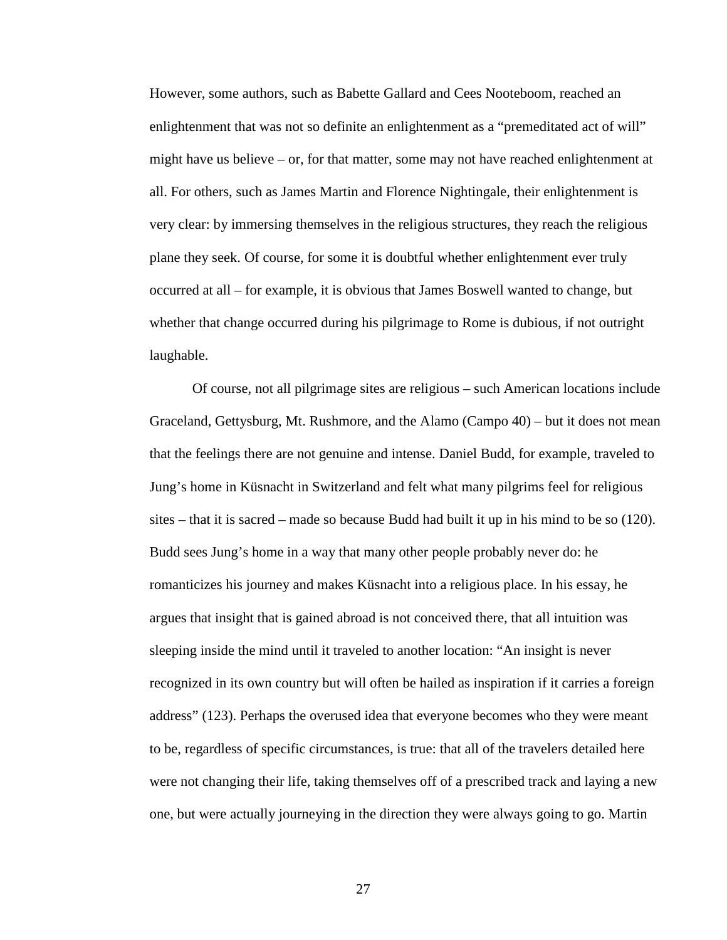However, some authors, such as Babette Gallard and Cees Nooteboom, reached an enlightenment that was not so definite an enlightenment as a "premeditated act of will" might have us believe – or, for that matter, some may not have reached enlightenment at all. For others, such as James Martin and Florence Nightingale, their enlightenment is very clear: by immersing themselves in the religious structures, they reach the religious plane they seek. Of course, for some it is doubtful whether enlightenment ever truly occurred at all – for example, it is obvious that James Boswell wanted to change, but whether that change occurred during his pilgrimage to Rome is dubious, if not outright laughable.

Of course, not all pilgrimage sites are religious – such American locations include Graceland, Gettysburg, Mt. Rushmore, and the Alamo (Campo 40) – but it does not mean that the feelings there are not genuine and intense. Daniel Budd, for example, traveled to Jung's home in Küsnacht in Switzerland and felt what many pilgrims feel for religious sites – that it is sacred – made so because Budd had built it up in his mind to be so (120). Budd sees Jung's home in a way that many other people probably never do: he romanticizes his journey and makes Küsnacht into a religious place. In his essay, he argues that insight that is gained abroad is not conceived there, that all intuition was sleeping inside the mind until it traveled to another location: "An insight is never recognized in its own country but will often be hailed as inspiration if it carries a foreign address" (123). Perhaps the overused idea that everyone becomes who they were meant to be, regardless of specific circumstances, is true: that all of the travelers detailed here were not changing their life, taking themselves off of a prescribed track and laying a new one, but were actually journeying in the direction they were always going to go. Martin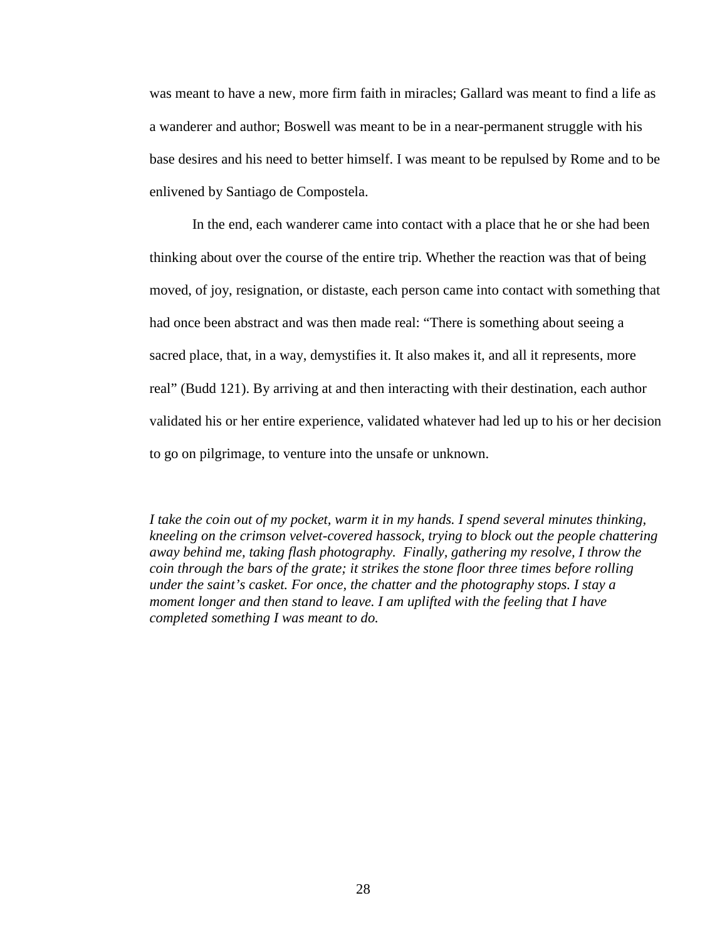was meant to have a new, more firm faith in miracles; Gallard was meant to find a life as a wanderer and author; Boswell was meant to be in a near-permanent struggle with his base desires and his need to better himself. I was meant to be repulsed by Rome and to be enlivened by Santiago de Compostela.

In the end, each wanderer came into contact with a place that he or she had been thinking about over the course of the entire trip. Whether the reaction was that of being moved, of joy, resignation, or distaste, each person came into contact with something that had once been abstract and was then made real: "There is something about seeing a sacred place, that, in a way, demystifies it. It also makes it, and all it represents, more real" (Budd 121). By arriving at and then interacting with their destination, each author validated his or her entire experience, validated whatever had led up to his or her decision to go on pilgrimage, to venture into the unsafe or unknown.

*I take the coin out of my pocket, warm it in my hands. I spend several minutes thinking, kneeling on the crimson velvet-covered hassock, trying to block out the people chattering away behind me, taking flash photography. Finally, gathering my resolve, I throw the coin through the bars of the grate; it strikes the stone floor three times before rolling under the saint's casket. For once, the chatter and the photography stops. I stay a moment longer and then stand to leave. I am uplifted with the feeling that I have completed something I was meant to do.*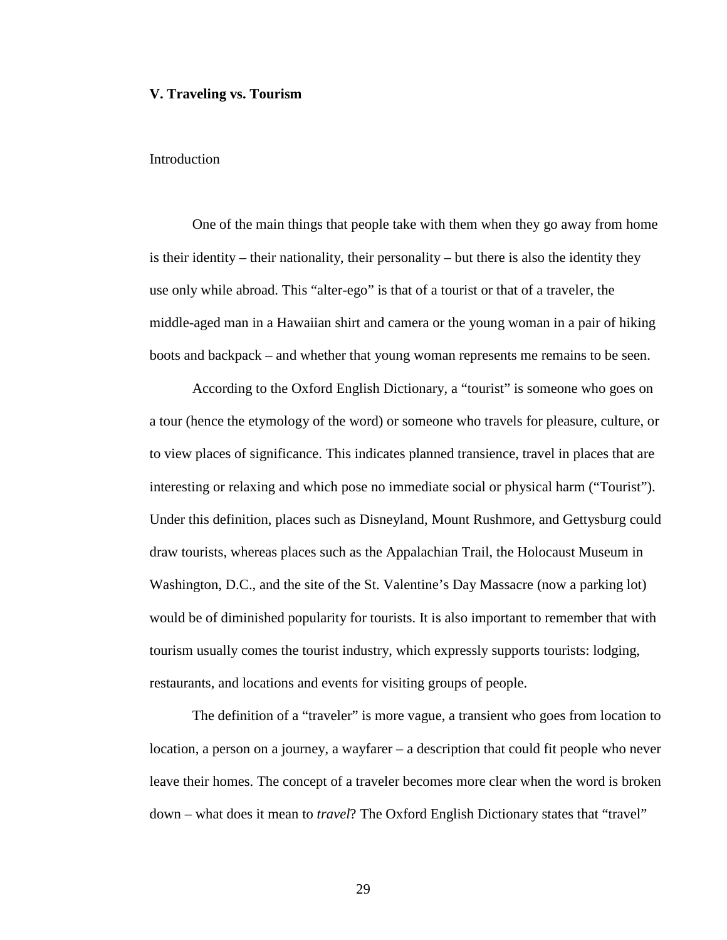#### **V. Traveling vs. Tourism**

#### **Introduction**

One of the main things that people take with them when they go away from home is their identity – their nationality, their personality – but there is also the identity they use only while abroad. This "alter-ego" is that of a tourist or that of a traveler, the middle-aged man in a Hawaiian shirt and camera or the young woman in a pair of hiking boots and backpack – and whether that young woman represents me remains to be seen.

According to the Oxford English Dictionary, a "tourist" is someone who goes on a tour (hence the etymology of the word) or someone who travels for pleasure, culture, or to view places of significance. This indicates planned transience, travel in places that are interesting or relaxing and which pose no immediate social or physical harm ("Tourist"). Under this definition, places such as Disneyland, Mount Rushmore, and Gettysburg could draw tourists, whereas places such as the Appalachian Trail, the Holocaust Museum in Washington, D.C., and the site of the St. Valentine's Day Massacre (now a parking lot) would be of diminished popularity for tourists. It is also important to remember that with tourism usually comes the tourist industry, which expressly supports tourists: lodging, restaurants, and locations and events for visiting groups of people.

The definition of a "traveler" is more vague, a transient who goes from location to location, a person on a journey, a wayfarer – a description that could fit people who never leave their homes. The concept of a traveler becomes more clear when the word is broken down – what does it mean to *travel*? The Oxford English Dictionary states that "travel"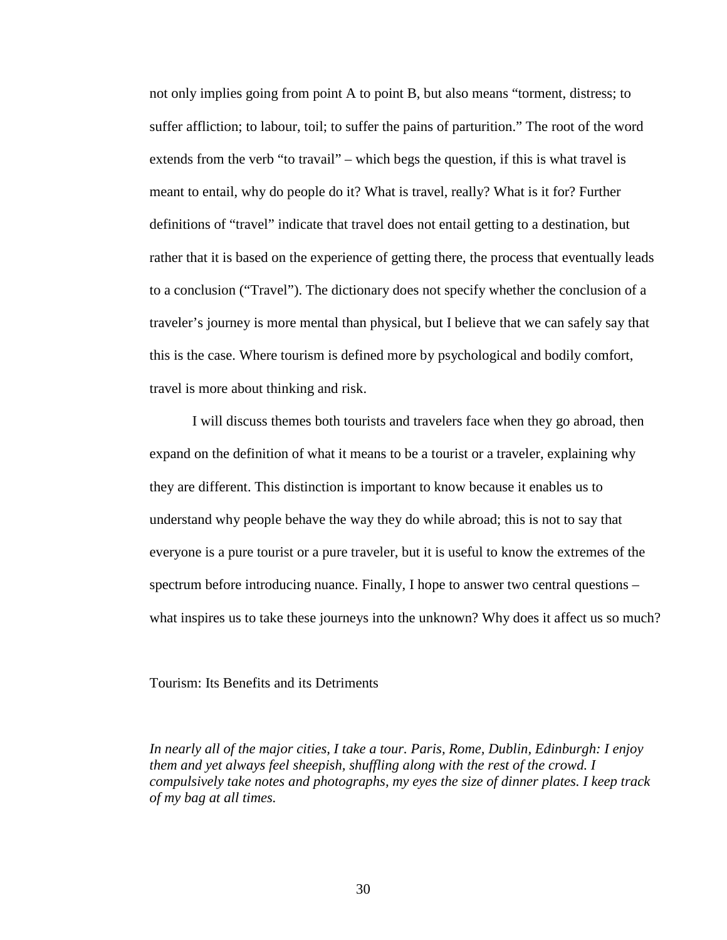not only implies going from point A to point B, but also means "torment, distress; to suffer affliction; to labour, toil; to suffer the pains of parturition." The root of the word extends from the verb "to travail" – which begs the question, if this is what travel is meant to entail, why do people do it? What is travel, really? What is it for? Further definitions of "travel" indicate that travel does not entail getting to a destination, but rather that it is based on the experience of getting there, the process that eventually leads to a conclusion ("Travel"). The dictionary does not specify whether the conclusion of a traveler's journey is more mental than physical, but I believe that we can safely say that this is the case. Where tourism is defined more by psychological and bodily comfort, travel is more about thinking and risk.

I will discuss themes both tourists and travelers face when they go abroad, then expand on the definition of what it means to be a tourist or a traveler, explaining why they are different. This distinction is important to know because it enables us to understand why people behave the way they do while abroad; this is not to say that everyone is a pure tourist or a pure traveler, but it is useful to know the extremes of the spectrum before introducing nuance. Finally, I hope to answer two central questions – what inspires us to take these journeys into the unknown? Why does it affect us so much?

Tourism: Its Benefits and its Detriments

*In nearly all of the major cities, I take a tour. Paris, Rome, Dublin, Edinburgh: I enjoy them and yet always feel sheepish, shuffling along with the rest of the crowd. I compulsively take notes and photographs, my eyes the size of dinner plates. I keep track of my bag at all times.*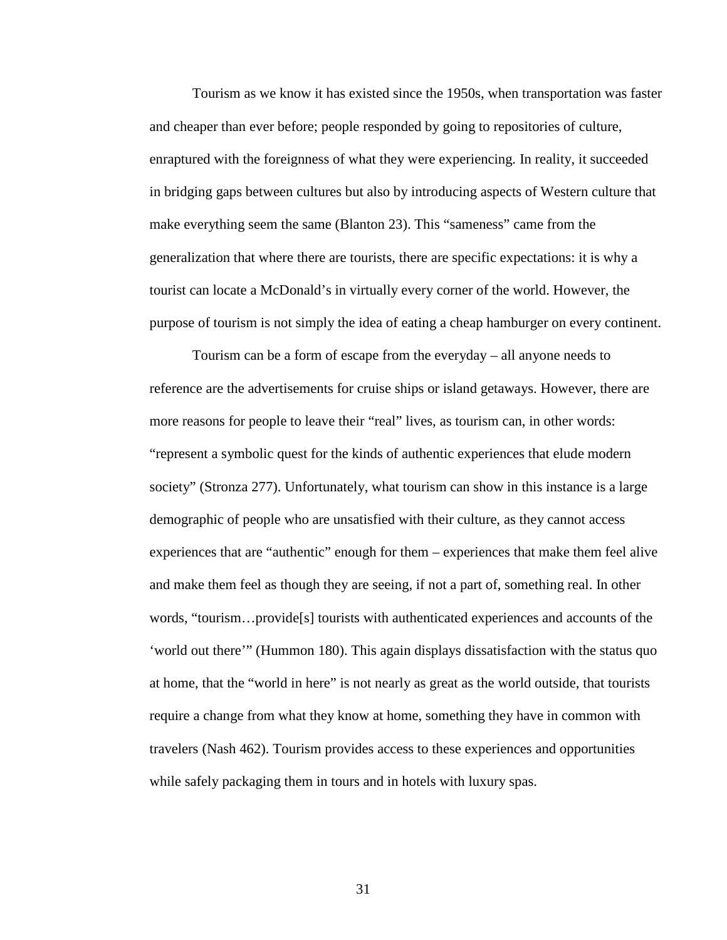Tourism as we know it has existed since the 1950s, when transportation was faster and cheaper than ever before; people responded by going to repositories of culture, enraptured with the foreignness of what they were experiencing. In reality, it succeeded in bridging gaps between cultures but also by introducing aspects of Western culture that make everything seem the same (Blanton 23). This "sameness" came from the generalization that where there are tourists, there are specific expectations: it is why a tourist can locate a McDonald's in virtually every corner of the world. However, the purpose of tourism is not simply the idea of eating a cheap hamburger on every continent.

Tourism can be a form of escape from the everyday – all anyone needs to reference are the advertisements for cruise ships or island getaways. However, there are more reasons for people to leave their "real" lives, as tourism can, in other words: "represent a symbolic quest for the kinds of authentic experiences that elude modern society" (Stronza 277). Unfortunately, what tourism can show in this instance is a large demographic of people who are unsatisfied with their culture, as they cannot access experiences that are "authentic" enough for them – experiences that make them feel alive and make them feel as though they are seeing, if not a part of, something real. In other words, "tourism…provide[s] tourists with authenticated experiences and accounts of the 'world out there'" (Hummon 180). This again displays dissatisfaction with the status quo at home, that the "world in here" is not nearly as great as the world outside, that tourists require a change from what they know at home, something they have in common with travelers (Nash 462). Tourism provides access to these experiences and opportunities while safely packaging them in tours and in hotels with luxury spas.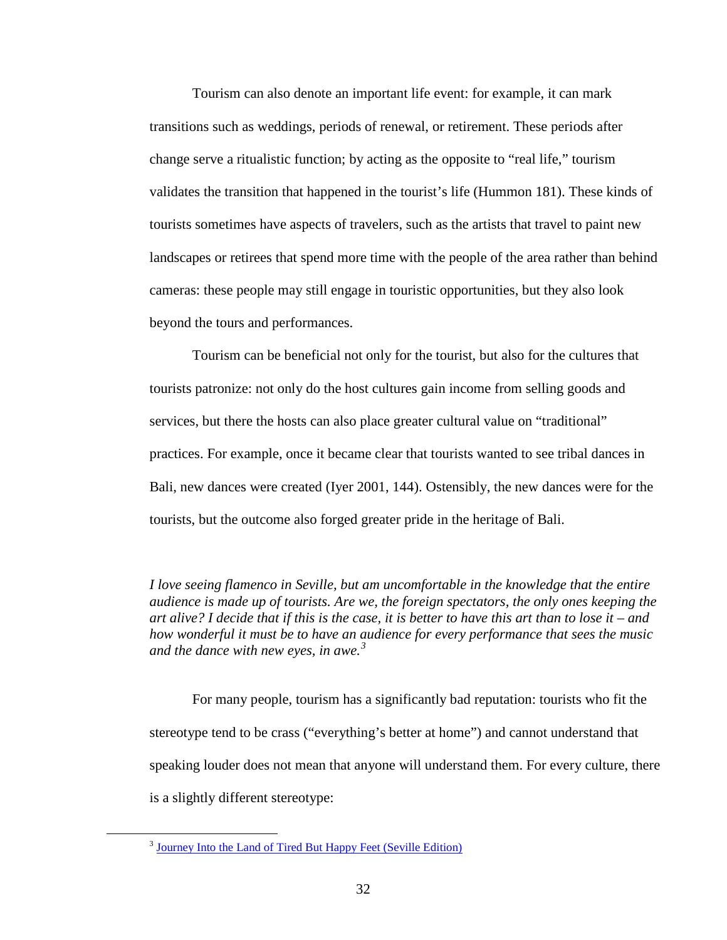Tourism can also denote an important life event: for example, it can mark transitions such as weddings, periods of renewal, or retirement. These periods after change serve a ritualistic function; by acting as the opposite to "real life," tourism validates the transition that happened in the tourist's life (Hummon 181). These kinds of tourists sometimes have aspects of travelers, such as the artists that travel to paint new landscapes or retirees that spend more time with the people of the area rather than behind cameras: these people may still engage in touristic opportunities, but they also look beyond the tours and performances.

Tourism can be beneficial not only for the tourist, but also for the cultures that tourists patronize: not only do the host cultures gain income from selling goods and services, but there the hosts can also place greater cultural value on "traditional" practices. For example, once it became clear that tourists wanted to see tribal dances in Bali, new dances were created (Iyer 2001, 144). Ostensibly, the new dances were for the tourists, but the outcome also forged greater pride in the heritage of Bali.

*I love seeing flamenco in Seville, but am uncomfortable in the knowledge that the entire audience is made up of tourists. Are we, the foreign spectators, the only ones keeping the art alive? I decide that if this is the case, it is better to have this art than to lose it – and how wonderful it must be to have an audience for every performance that sees the music and the dance with new eyes, in awe.[3](#page-36-0)*

For many people, tourism has a significantly bad reputation: tourists who fit the stereotype tend to be crass ("everything's better at home") and cannot understand that speaking louder does not mean that anyone will understand them. For every culture, there is a slightly different stereotype:

<span id="page-36-0"></span><sup>&</sup>lt;sup>3</sup> [Journey Into the Land of Tired But Happy Feet \(Seville Edition\)](http://sarahgoestobilbork.wordpress.com/2011/11/16/journey-into-the-land-of-tired-but-happy-feet-seville-edition/)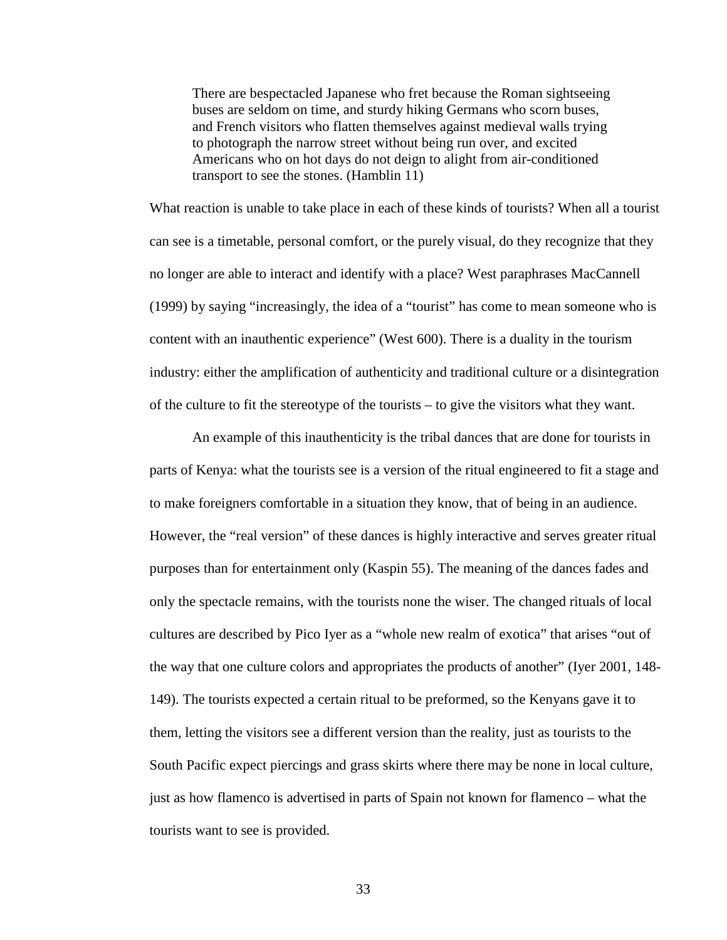There are bespectacled Japanese who fret because the Roman sightseeing buses are seldom on time, and sturdy hiking Germans who scorn buses, and French visitors who flatten themselves against medieval walls trying to photograph the narrow street without being run over, and excited Americans who on hot days do not deign to alight from air-conditioned transport to see the stones. (Hamblin 11)

What reaction is unable to take place in each of these kinds of tourists? When all a tourist can see is a timetable, personal comfort, or the purely visual, do they recognize that they no longer are able to interact and identify with a place? West paraphrases MacCannell (1999) by saying "increasingly, the idea of a "tourist" has come to mean someone who is content with an inauthentic experience" (West 600). There is a duality in the tourism industry: either the amplification of authenticity and traditional culture or a disintegration of the culture to fit the stereotype of the tourists – to give the visitors what they want.

An example of this inauthenticity is the tribal dances that are done for tourists in parts of Kenya: what the tourists see is a version of the ritual engineered to fit a stage and to make foreigners comfortable in a situation they know, that of being in an audience. However, the "real version" of these dances is highly interactive and serves greater ritual purposes than for entertainment only (Kaspin 55). The meaning of the dances fades and only the spectacle remains, with the tourists none the wiser. The changed rituals of local cultures are described by Pico Iyer as a "whole new realm of exotica" that arises "out of the way that one culture colors and appropriates the products of another" (Iyer 2001, 148- 149). The tourists expected a certain ritual to be preformed, so the Kenyans gave it to them, letting the visitors see a different version than the reality, just as tourists to the South Pacific expect piercings and grass skirts where there may be none in local culture, just as how flamenco is advertised in parts of Spain not known for flamenco – what the tourists want to see is provided.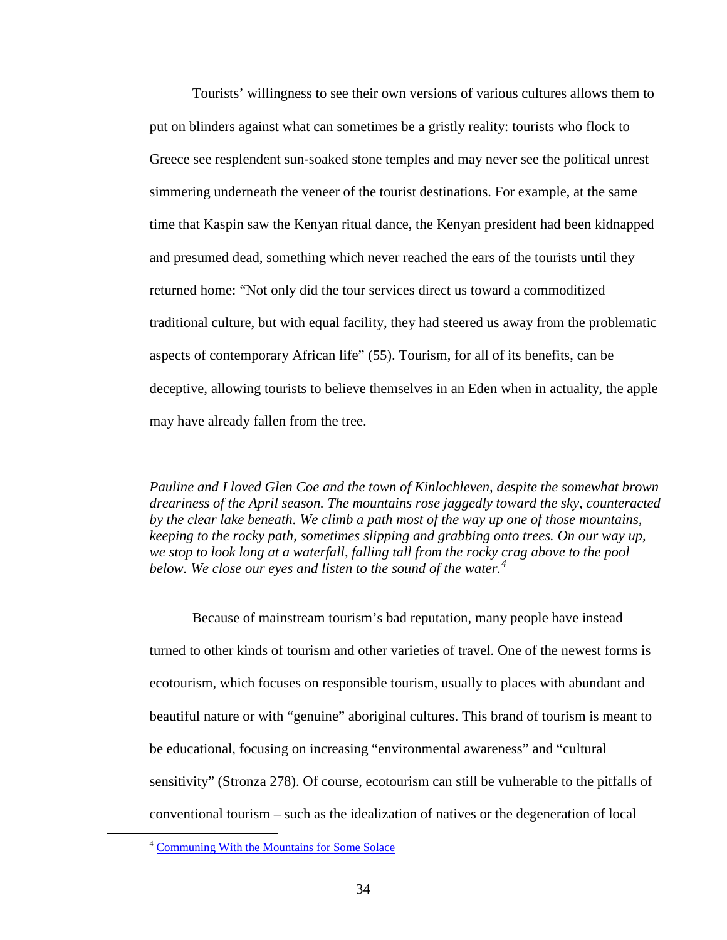Tourists' willingness to see their own versions of various cultures allows them to put on blinders against what can sometimes be a gristly reality: tourists who flock to Greece see resplendent sun-soaked stone temples and may never see the political unrest simmering underneath the veneer of the tourist destinations. For example, at the same time that Kaspin saw the Kenyan ritual dance, the Kenyan president had been kidnapped and presumed dead, something which never reached the ears of the tourists until they returned home: "Not only did the tour services direct us toward a commoditized traditional culture, but with equal facility, they had steered us away from the problematic aspects of contemporary African life" (55). Tourism, for all of its benefits, can be deceptive, allowing tourists to believe themselves in an Eden when in actuality, the apple may have already fallen from the tree.

*Pauline and I loved Glen Coe and the town of Kinlochleven, despite the somewhat brown dreariness of the April season. The mountains rose jaggedly toward the sky, counteracted by the clear lake beneath. We climb a path most of the way up one of those mountains, keeping to the rocky path, sometimes slipping and grabbing onto trees. On our way up, we stop to look long at a waterfall, falling tall from the rocky crag above to the pool below. We close our eyes and listen to the sound of the water.[4](#page-38-0)*

Because of mainstream tourism's bad reputation, many people have instead turned to other kinds of tourism and other varieties of travel. One of the newest forms is ecotourism, which focuses on responsible tourism, usually to places with abundant and beautiful nature or with "genuine" aboriginal cultures. This brand of tourism is meant to be educational, focusing on increasing "environmental awareness" and "cultural sensitivity" (Stronza 278). Of course, ecotourism can still be vulnerable to the pitfalls of conventional tourism – such as the idealization of natives or the degeneration of local

<span id="page-38-0"></span> <sup>4</sup> [Communing With the Mountains for Some Solace](http://sarahgoestobilbork.wordpress.com/2012/05/08/communing-with-the-mountains-for-some-solace/)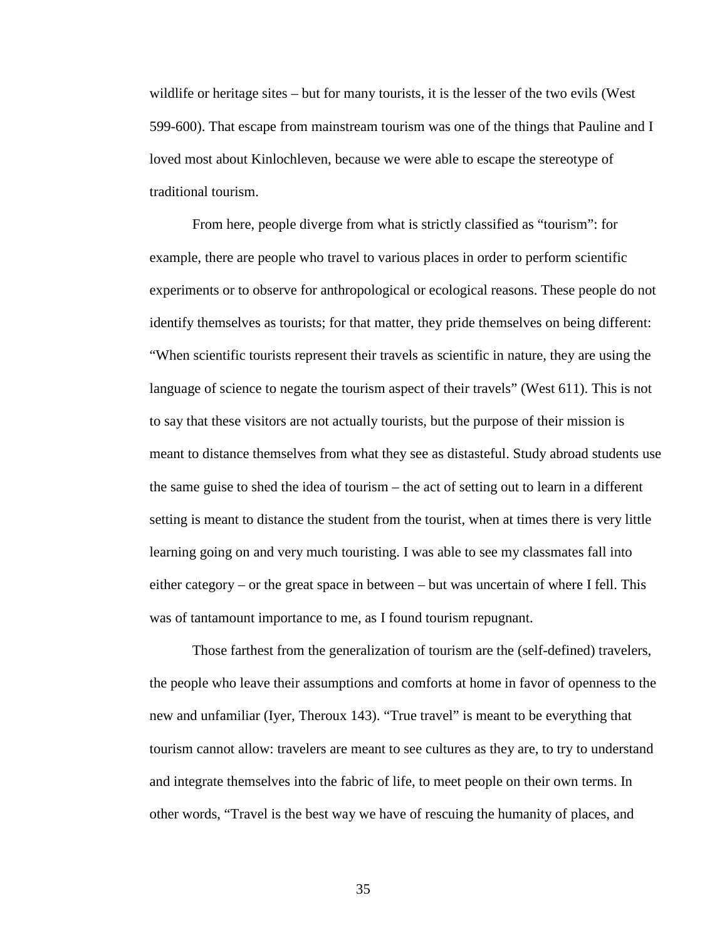wildlife or heritage sites – but for many tourists, it is the lesser of the two evils (West 599-600). That escape from mainstream tourism was one of the things that Pauline and I loved most about Kinlochleven, because we were able to escape the stereotype of traditional tourism.

From here, people diverge from what is strictly classified as "tourism": for example, there are people who travel to various places in order to perform scientific experiments or to observe for anthropological or ecological reasons. These people do not identify themselves as tourists; for that matter, they pride themselves on being different: "When scientific tourists represent their travels as scientific in nature, they are using the language of science to negate the tourism aspect of their travels" (West 611). This is not to say that these visitors are not actually tourists, but the purpose of their mission is meant to distance themselves from what they see as distasteful. Study abroad students use the same guise to shed the idea of tourism – the act of setting out to learn in a different setting is meant to distance the student from the tourist, when at times there is very little learning going on and very much touristing. I was able to see my classmates fall into either category – or the great space in between – but was uncertain of where I fell. This was of tantamount importance to me, as I found tourism repugnant.

Those farthest from the generalization of tourism are the (self-defined) travelers, the people who leave their assumptions and comforts at home in favor of openness to the new and unfamiliar (Iyer, Theroux 143). "True travel" is meant to be everything that tourism cannot allow: travelers are meant to see cultures as they are, to try to understand and integrate themselves into the fabric of life, to meet people on their own terms. In other words, "Travel is the best way we have of rescuing the humanity of places, and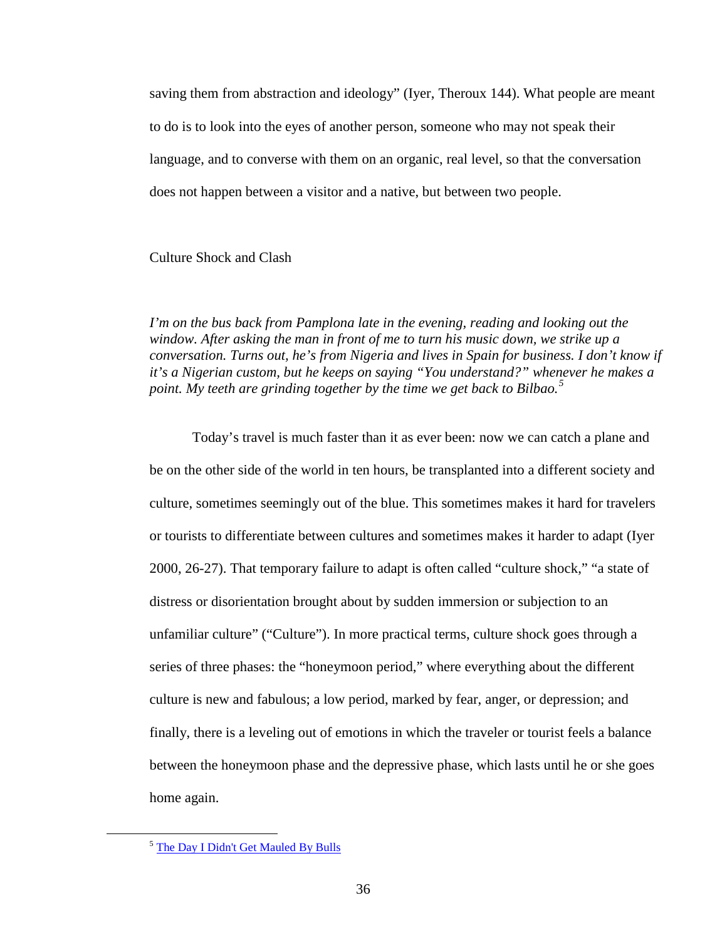saving them from abstraction and ideology" (Iyer, Theroux 144). What people are meant to do is to look into the eyes of another person, someone who may not speak their language, and to converse with them on an organic, real level, so that the conversation does not happen between a visitor and a native, but between two people.

# Culture Shock and Clash

*I'm on the bus back from Pamplona late in the evening, reading and looking out the window. After asking the man in front of me to turn his music down, we strike up a conversation. Turns out, he's from Nigeria and lives in Spain for business. I don't know if it's a Nigerian custom, but he keeps on saying "You understand?" whenever he makes a point. My teeth are grinding together by the time we get back to Bilbao.[5](#page-40-0)*

Today's travel is much faster than it as ever been: now we can catch a plane and be on the other side of the world in ten hours, be transplanted into a different society and culture, sometimes seemingly out of the blue. This sometimes makes it hard for travelers or tourists to differentiate between cultures and sometimes makes it harder to adapt (Iyer 2000, 26-27). That temporary failure to adapt is often called "culture shock," "a state of distress or disorientation brought about by sudden immersion or subjection to an unfamiliar culture" ("Culture"). In more practical terms, culture shock goes through a series of three phases: the "honeymoon period," where everything about the different culture is new and fabulous; a low period, marked by fear, anger, or depression; and finally, there is a leveling out of emotions in which the traveler or tourist feels a balance between the honeymoon phase and the depressive phase, which lasts until he or she goes home again.

<span id="page-40-0"></span> <sup>5</sup> [The Day I Didn't Get Mauled By Bulls](http://sarahgoestobilbork.wordpress.com/2011/11/26/the-day-i-didnt-get-mauled-by-bulls/)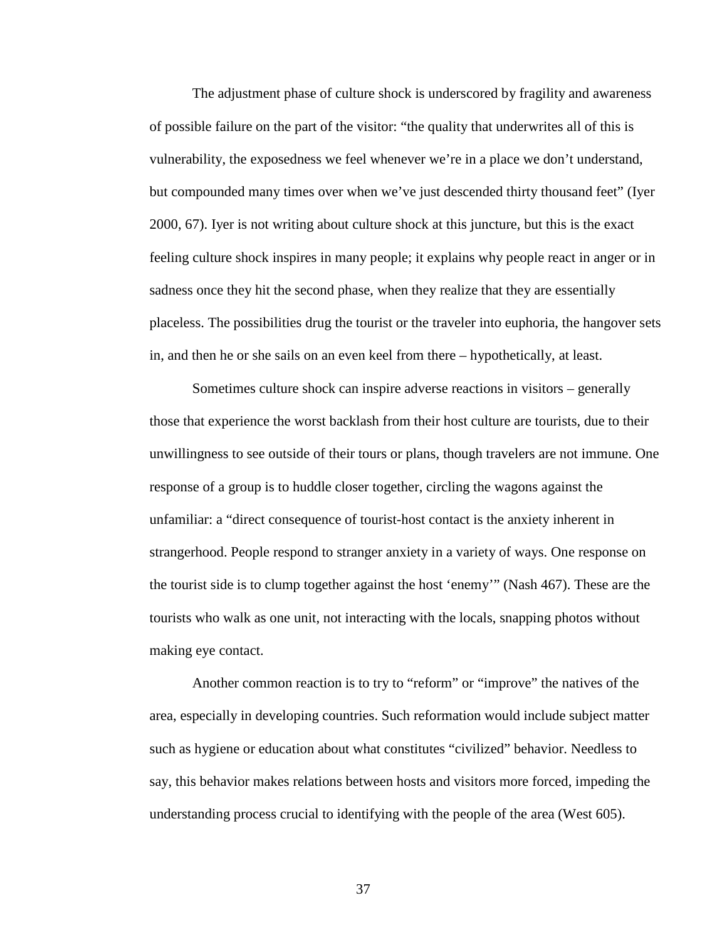The adjustment phase of culture shock is underscored by fragility and awareness of possible failure on the part of the visitor: "the quality that underwrites all of this is vulnerability, the exposedness we feel whenever we're in a place we don't understand, but compounded many times over when we've just descended thirty thousand feet" (Iyer 2000, 67). Iyer is not writing about culture shock at this juncture, but this is the exact feeling culture shock inspires in many people; it explains why people react in anger or in sadness once they hit the second phase, when they realize that they are essentially placeless. The possibilities drug the tourist or the traveler into euphoria, the hangover sets in, and then he or she sails on an even keel from there – hypothetically, at least.

Sometimes culture shock can inspire adverse reactions in visitors – generally those that experience the worst backlash from their host culture are tourists, due to their unwillingness to see outside of their tours or plans, though travelers are not immune. One response of a group is to huddle closer together, circling the wagons against the unfamiliar: a "direct consequence of tourist-host contact is the anxiety inherent in strangerhood. People respond to stranger anxiety in a variety of ways. One response on the tourist side is to clump together against the host 'enemy'" (Nash 467). These are the tourists who walk as one unit, not interacting with the locals, snapping photos without making eye contact.

Another common reaction is to try to "reform" or "improve" the natives of the area, especially in developing countries. Such reformation would include subject matter such as hygiene or education about what constitutes "civilized" behavior. Needless to say, this behavior makes relations between hosts and visitors more forced, impeding the understanding process crucial to identifying with the people of the area (West 605).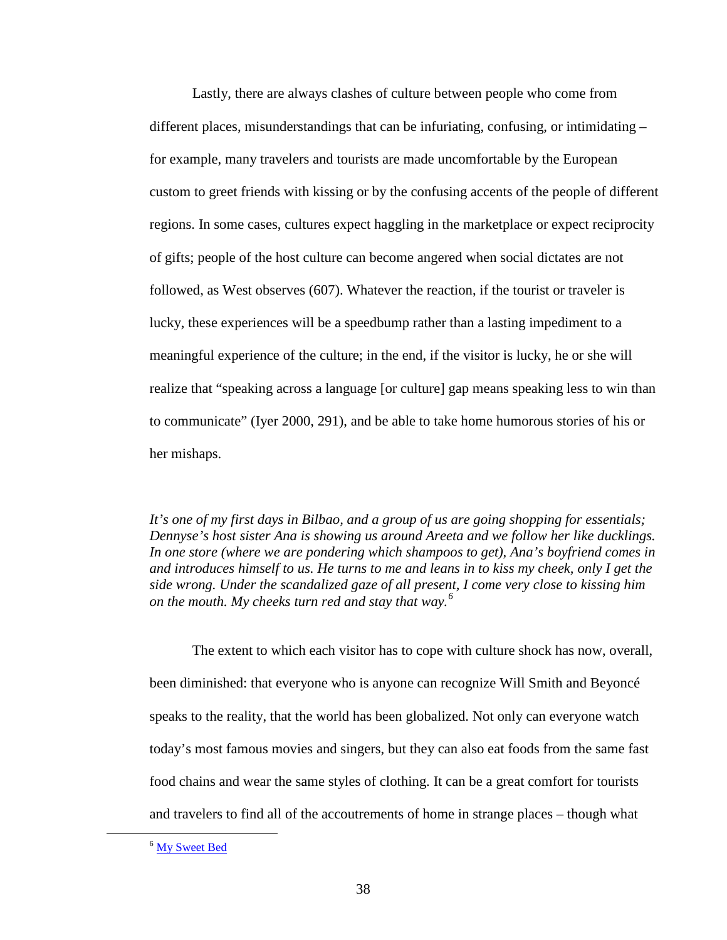Lastly, there are always clashes of culture between people who come from different places, misunderstandings that can be infuriating, confusing, or intimidating – for example, many travelers and tourists are made uncomfortable by the European custom to greet friends with kissing or by the confusing accents of the people of different regions. In some cases, cultures expect haggling in the marketplace or expect reciprocity of gifts; people of the host culture can become angered when social dictates are not followed, as West observes (607). Whatever the reaction, if the tourist or traveler is lucky, these experiences will be a speedbump rather than a lasting impediment to a meaningful experience of the culture; in the end, if the visitor is lucky, he or she will realize that "speaking across a language [or culture] gap means speaking less to win than to communicate" (Iyer 2000, 291), and be able to take home humorous stories of his or her mishaps.

*It's one of my first days in Bilbao, and a group of us are going shopping for essentials; Dennyse's host sister Ana is showing us around Areeta and we follow her like ducklings. In one store (where we are pondering which shampoos to get), Ana's boyfriend comes in and introduces himself to us. He turns to me and leans in to kiss my cheek, only I get the side wrong. Under the scandalized gaze of all present, I come very close to kissing him on the mouth. My cheeks turn red and stay that way.[6](#page-42-0)*

The extent to which each visitor has to cope with culture shock has now, overall, been diminished: that everyone who is anyone can recognize Will Smith and Beyoncé speaks to the reality, that the world has been globalized. Not only can everyone watch today's most famous movies and singers, but they can also eat foods from the same fast food chains and wear the same styles of clothing. It can be a great comfort for tourists and travelers to find all of the accoutrements of home in strange places – though what

<span id="page-42-0"></span><sup>&</sup>lt;sup>6</sup> [My Sweet Bed](http://sarahgoestobilbork.wordpress.com/2011/09/05/my-sweet-bed/)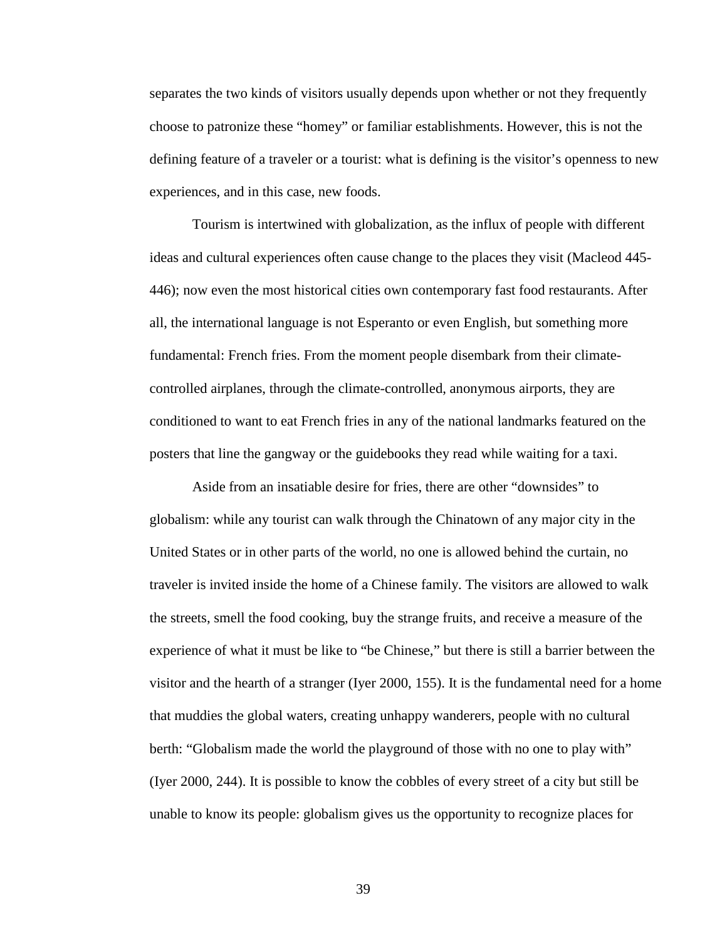separates the two kinds of visitors usually depends upon whether or not they frequently choose to patronize these "homey" or familiar establishments. However, this is not the defining feature of a traveler or a tourist: what is defining is the visitor's openness to new experiences, and in this case, new foods.

Tourism is intertwined with globalization, as the influx of people with different ideas and cultural experiences often cause change to the places they visit (Macleod 445- 446); now even the most historical cities own contemporary fast food restaurants. After all, the international language is not Esperanto or even English, but something more fundamental: French fries. From the moment people disembark from their climatecontrolled airplanes, through the climate-controlled, anonymous airports, they are conditioned to want to eat French fries in any of the national landmarks featured on the posters that line the gangway or the guidebooks they read while waiting for a taxi.

Aside from an insatiable desire for fries, there are other "downsides" to globalism: while any tourist can walk through the Chinatown of any major city in the United States or in other parts of the world, no one is allowed behind the curtain, no traveler is invited inside the home of a Chinese family. The visitors are allowed to walk the streets, smell the food cooking, buy the strange fruits, and receive a measure of the experience of what it must be like to "be Chinese," but there is still a barrier between the visitor and the hearth of a stranger (Iyer 2000, 155). It is the fundamental need for a home that muddies the global waters, creating unhappy wanderers, people with no cultural berth: "Globalism made the world the playground of those with no one to play with" (Iyer 2000, 244). It is possible to know the cobbles of every street of a city but still be unable to know its people: globalism gives us the opportunity to recognize places for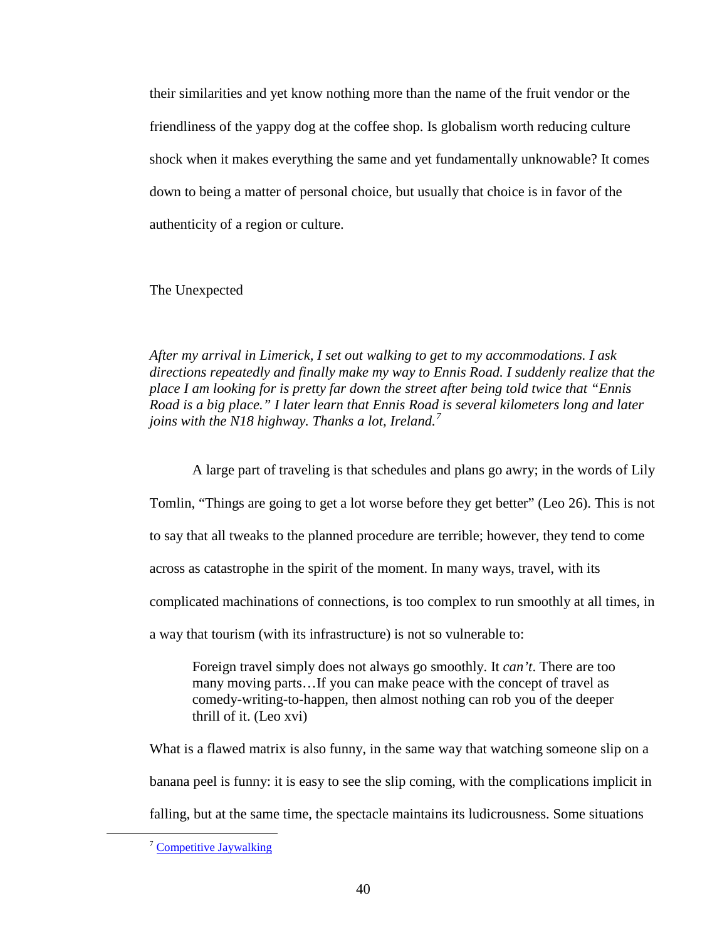their similarities and yet know nothing more than the name of the fruit vendor or the friendliness of the yappy dog at the coffee shop. Is globalism worth reducing culture shock when it makes everything the same and yet fundamentally unknowable? It comes down to being a matter of personal choice, but usually that choice is in favor of the authenticity of a region or culture.

The Unexpected

*After my arrival in Limerick, I set out walking to get to my accommodations. I ask directions repeatedly and finally make my way to Ennis Road. I suddenly realize that the place I am looking for is pretty far down the street after being told twice that "Ennis Road is a big place." I later learn that Ennis Road is several kilometers long and later joins with the N18 highway. Thanks a lot, Ireland.[7](#page-44-0)*

A large part of traveling is that schedules and plans go awry; in the words of Lily Tomlin, "Things are going to get a lot worse before they get better" (Leo 26). This is not to say that all tweaks to the planned procedure are terrible; however, they tend to come across as catastrophe in the spirit of the moment. In many ways, travel, with its complicated machinations of connections, is too complex to run smoothly at all times, in a way that tourism (with its infrastructure) is not so vulnerable to:

Foreign travel simply does not always go smoothly. It *can't*. There are too many moving parts…If you can make peace with the concept of travel as comedy-writing-to-happen, then almost nothing can rob you of the deeper thrill of it. (Leo xvi)

What is a flawed matrix is also funny, in the same way that watching someone slip on a banana peel is funny: it is easy to see the slip coming, with the complications implicit in falling, but at the same time, the spectacle maintains its ludicrousness. Some situations

<span id="page-44-0"></span> <sup>7</sup> [Competitive Jaywalking](http://sarahgoestobilbork.wordpress.com/2012/03/21/competitive-jaywalking/)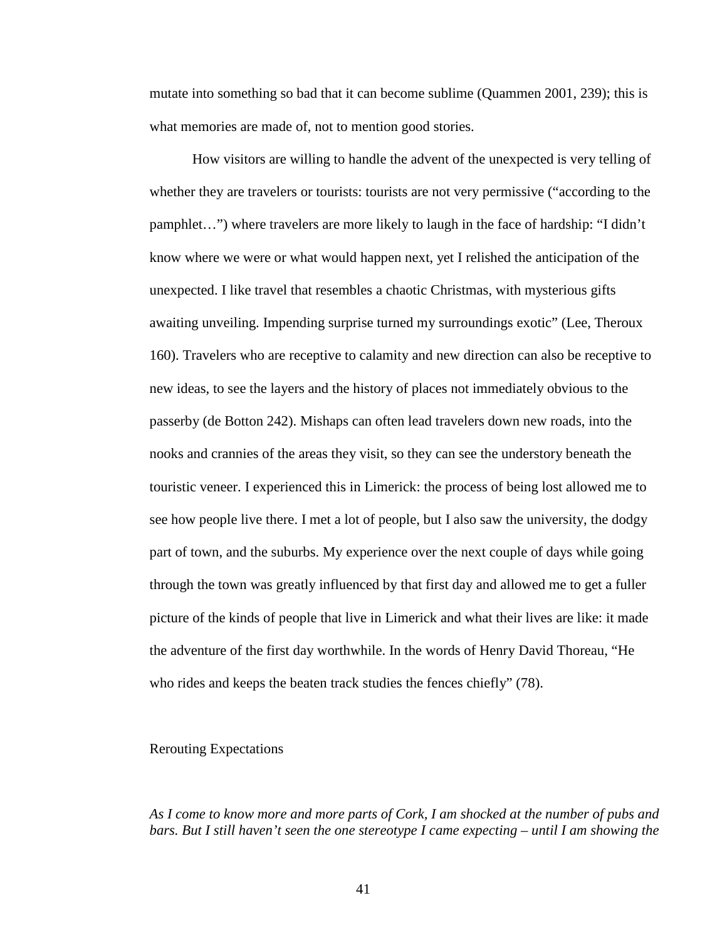mutate into something so bad that it can become sublime (Quammen 2001, 239); this is what memories are made of, not to mention good stories.

How visitors are willing to handle the advent of the unexpected is very telling of whether they are travelers or tourists: tourists are not very permissive ("according to the pamphlet…") where travelers are more likely to laugh in the face of hardship: "I didn't know where we were or what would happen next, yet I relished the anticipation of the unexpected. I like travel that resembles a chaotic Christmas, with mysterious gifts awaiting unveiling. Impending surprise turned my surroundings exotic" (Lee, Theroux 160). Travelers who are receptive to calamity and new direction can also be receptive to new ideas, to see the layers and the history of places not immediately obvious to the passerby (de Botton 242). Mishaps can often lead travelers down new roads, into the nooks and crannies of the areas they visit, so they can see the understory beneath the touristic veneer. I experienced this in Limerick: the process of being lost allowed me to see how people live there. I met a lot of people, but I also saw the university, the dodgy part of town, and the suburbs. My experience over the next couple of days while going through the town was greatly influenced by that first day and allowed me to get a fuller picture of the kinds of people that live in Limerick and what their lives are like: it made the adventure of the first day worthwhile. In the words of Henry David Thoreau, "He who rides and keeps the beaten track studies the fences chiefly" (78).

### Rerouting Expectations

*As I come to know more and more parts of Cork, I am shocked at the number of pubs and bars. But I still haven't seen the one stereotype I came expecting – until I am showing the*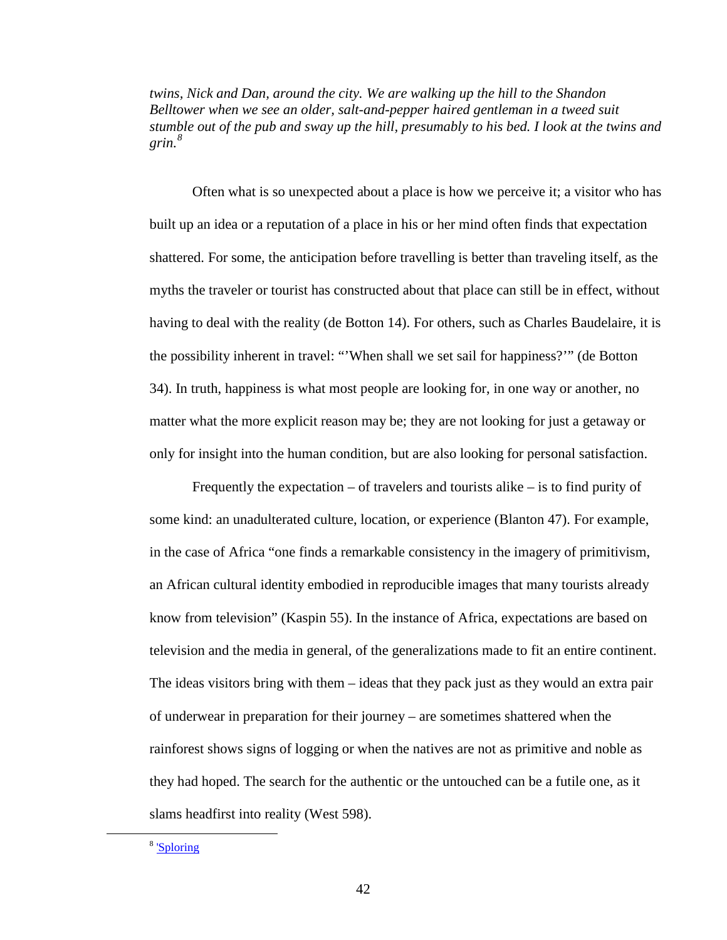*twins, Nick and Dan, around the city. We are walking up the hill to the Shandon Belltower when we see an older, salt-and-pepper haired gentleman in a tweed suit stumble out of the pub and sway up the hill, presumably to his bed. I look at the twins and grin.[8](#page-46-0)*

Often what is so unexpected about a place is how we perceive it; a visitor who has built up an idea or a reputation of a place in his or her mind often finds that expectation shattered. For some, the anticipation before travelling is better than traveling itself, as the myths the traveler or tourist has constructed about that place can still be in effect, without having to deal with the reality (de Botton 14). For others, such as Charles Baudelaire, it is the possibility inherent in travel: "'When shall we set sail for happiness?'" (de Botton 34). In truth, happiness is what most people are looking for, in one way or another, no matter what the more explicit reason may be; they are not looking for just a getaway or only for insight into the human condition, but are also looking for personal satisfaction.

Frequently the expectation – of travelers and tourists alike – is to find purity of some kind: an unadulterated culture, location, or experience (Blanton 47). For example, in the case of Africa "one finds a remarkable consistency in the imagery of primitivism, an African cultural identity embodied in reproducible images that many tourists already know from television" (Kaspin 55). In the instance of Africa, expectations are based on television and the media in general, of the generalizations made to fit an entire continent. The ideas visitors bring with them – ideas that they pack just as they would an extra pair of underwear in preparation for their journey – are sometimes shattered when the rainforest shows signs of logging or when the natives are not as primitive and noble as they had hoped. The search for the authentic or the untouched can be a futile one, as it slams headfirst into reality (West 598).

<span id="page-46-0"></span> <sup>8</sup> ['Sploring](http://sarahgoestobilbork.wordpress.com/2012/03/11/sploring/)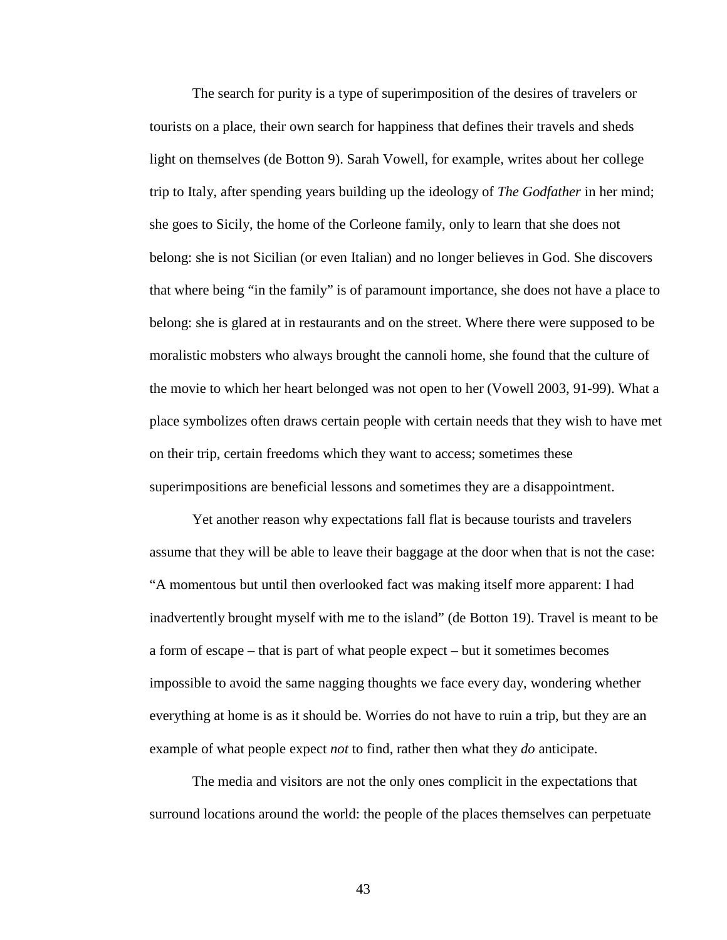The search for purity is a type of superimposition of the desires of travelers or tourists on a place, their own search for happiness that defines their travels and sheds light on themselves (de Botton 9). Sarah Vowell, for example, writes about her college trip to Italy, after spending years building up the ideology of *The Godfather* in her mind; she goes to Sicily, the home of the Corleone family, only to learn that she does not belong: she is not Sicilian (or even Italian) and no longer believes in God. She discovers that where being "in the family" is of paramount importance, she does not have a place to belong: she is glared at in restaurants and on the street. Where there were supposed to be moralistic mobsters who always brought the cannoli home, she found that the culture of the movie to which her heart belonged was not open to her (Vowell 2003, 91-99). What a place symbolizes often draws certain people with certain needs that they wish to have met on their trip, certain freedoms which they want to access; sometimes these superimpositions are beneficial lessons and sometimes they are a disappointment.

Yet another reason why expectations fall flat is because tourists and travelers assume that they will be able to leave their baggage at the door when that is not the case: "A momentous but until then overlooked fact was making itself more apparent: I had inadvertently brought myself with me to the island" (de Botton 19). Travel is meant to be a form of escape – that is part of what people expect – but it sometimes becomes impossible to avoid the same nagging thoughts we face every day, wondering whether everything at home is as it should be. Worries do not have to ruin a trip, but they are an example of what people expect *not* to find, rather then what they *do* anticipate.

The media and visitors are not the only ones complicit in the expectations that surround locations around the world: the people of the places themselves can perpetuate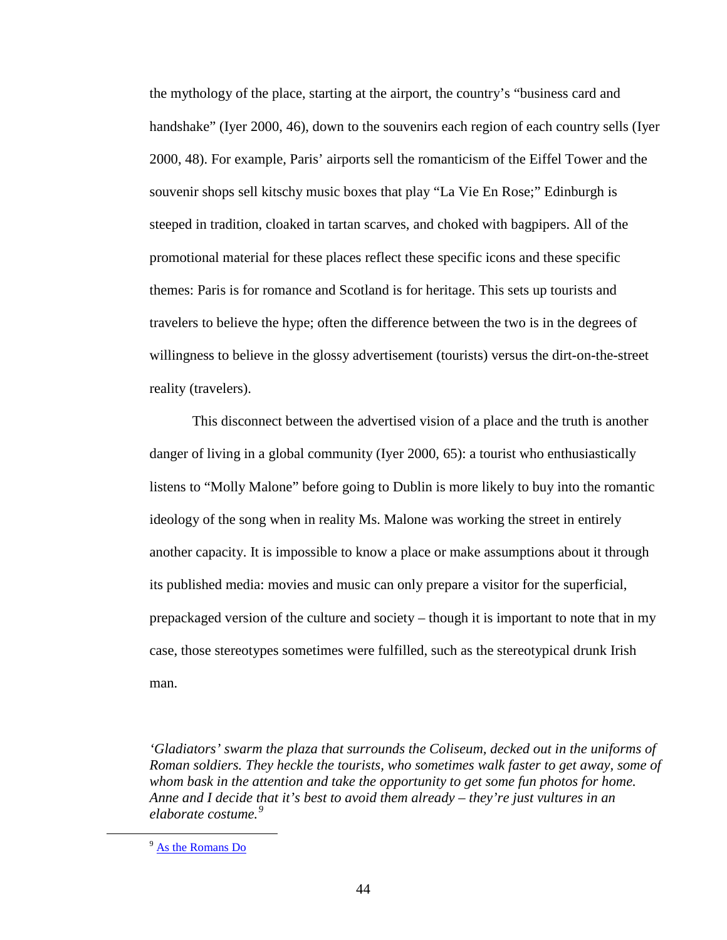the mythology of the place, starting at the airport, the country's "business card and handshake" (Iyer 2000, 46), down to the souvenirs each region of each country sells (Iyer 2000, 48). For example, Paris' airports sell the romanticism of the Eiffel Tower and the souvenir shops sell kitschy music boxes that play "La Vie En Rose;" Edinburgh is steeped in tradition, cloaked in tartan scarves, and choked with bagpipers. All of the promotional material for these places reflect these specific icons and these specific themes: Paris is for romance and Scotland is for heritage. This sets up tourists and travelers to believe the hype; often the difference between the two is in the degrees of willingness to believe in the glossy advertisement (tourists) versus the dirt-on-the-street reality (travelers).

This disconnect between the advertised vision of a place and the truth is another danger of living in a global community (Iyer 2000, 65): a tourist who enthusiastically listens to "Molly Malone" before going to Dublin is more likely to buy into the romantic ideology of the song when in reality Ms. Malone was working the street in entirely another capacity. It is impossible to know a place or make assumptions about it through its published media: movies and music can only prepare a visitor for the superficial, prepackaged version of the culture and society – though it is important to note that in my case, those stereotypes sometimes were fulfilled, such as the stereotypical drunk Irish man.

*'Gladiators' swarm the plaza that surrounds the Coliseum, decked out in the uniforms of Roman soldiers. They heckle the tourists, who sometimes walk faster to get away, some of whom bask in the attention and take the opportunity to get some fun photos for home. Anne and I decide that it's best to avoid them already – they're just vultures in an elaborate costume.[9](#page-48-0)*

<span id="page-48-0"></span><sup>&</sup>lt;sup>9</sup> [As the Romans Do](http://sarahgoestobilbork.wordpress.com/2012/01/12/as-the-romans-do/)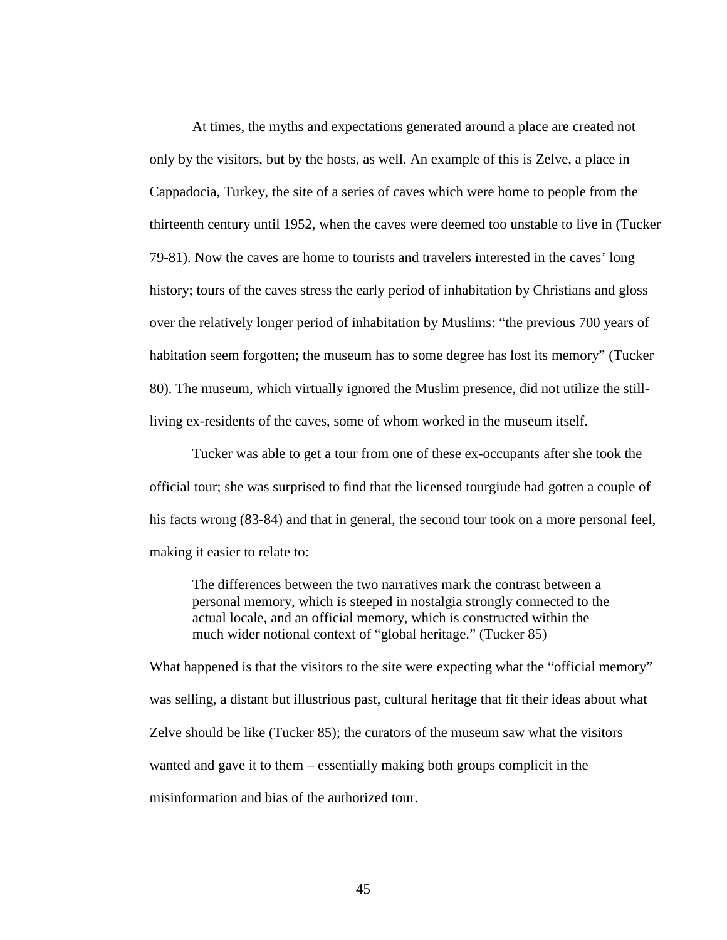At times, the myths and expectations generated around a place are created not only by the visitors, but by the hosts, as well. An example of this is Zelve, a place in Cappadocia, Turkey, the site of a series of caves which were home to people from the thirteenth century until 1952, when the caves were deemed too unstable to live in (Tucker 79-81). Now the caves are home to tourists and travelers interested in the caves' long history; tours of the caves stress the early period of inhabitation by Christians and gloss over the relatively longer period of inhabitation by Muslims: "the previous 700 years of habitation seem forgotten; the museum has to some degree has lost its memory" (Tucker 80). The museum, which virtually ignored the Muslim presence, did not utilize the stillliving ex-residents of the caves, some of whom worked in the museum itself.

Tucker was able to get a tour from one of these ex-occupants after she took the official tour; she was surprised to find that the licensed tourgiude had gotten a couple of his facts wrong (83-84) and that in general, the second tour took on a more personal feel, making it easier to relate to:

The differences between the two narratives mark the contrast between a personal memory, which is steeped in nostalgia strongly connected to the actual locale, and an official memory, which is constructed within the much wider notional context of "global heritage." (Tucker 85)

What happened is that the visitors to the site were expecting what the "official memory" was selling, a distant but illustrious past, cultural heritage that fit their ideas about what Zelve should be like (Tucker 85); the curators of the museum saw what the visitors wanted and gave it to them – essentially making both groups complicit in the misinformation and bias of the authorized tour.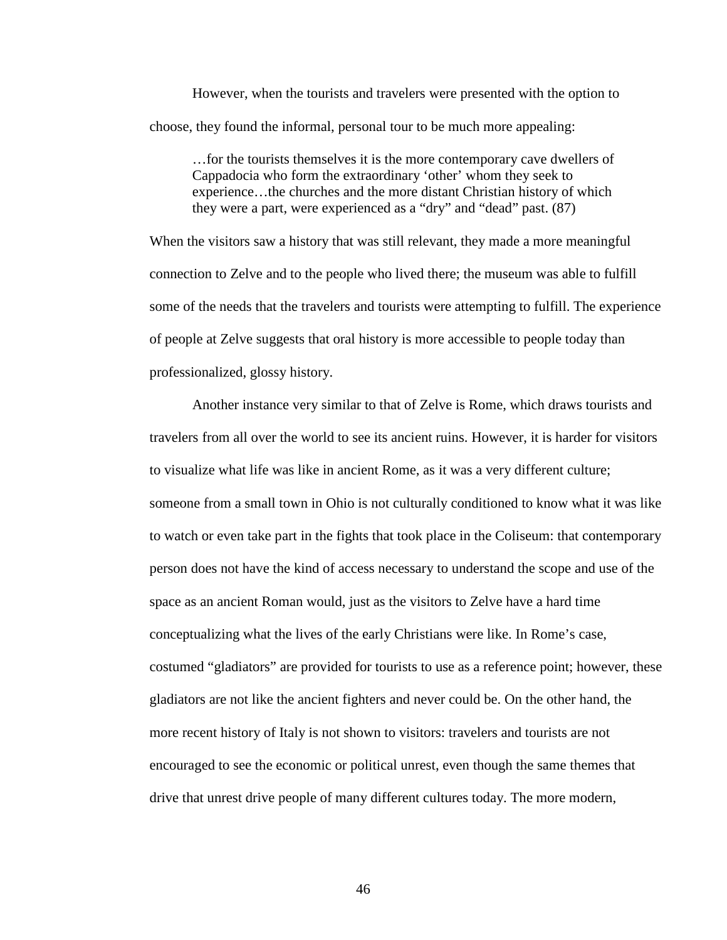However, when the tourists and travelers were presented with the option to choose, they found the informal, personal tour to be much more appealing:

…for the tourists themselves it is the more contemporary cave dwellers of Cappadocia who form the extraordinary 'other' whom they seek to experience…the churches and the more distant Christian history of which they were a part, were experienced as a "dry" and "dead" past. (87)

When the visitors saw a history that was still relevant, they made a more meaningful connection to Zelve and to the people who lived there; the museum was able to fulfill some of the needs that the travelers and tourists were attempting to fulfill. The experience of people at Zelve suggests that oral history is more accessible to people today than professionalized, glossy history.

Another instance very similar to that of Zelve is Rome, which draws tourists and travelers from all over the world to see its ancient ruins. However, it is harder for visitors to visualize what life was like in ancient Rome, as it was a very different culture; someone from a small town in Ohio is not culturally conditioned to know what it was like to watch or even take part in the fights that took place in the Coliseum: that contemporary person does not have the kind of access necessary to understand the scope and use of the space as an ancient Roman would, just as the visitors to Zelve have a hard time conceptualizing what the lives of the early Christians were like. In Rome's case, costumed "gladiators" are provided for tourists to use as a reference point; however, these gladiators are not like the ancient fighters and never could be. On the other hand, the more recent history of Italy is not shown to visitors: travelers and tourists are not encouraged to see the economic or political unrest, even though the same themes that drive that unrest drive people of many different cultures today. The more modern,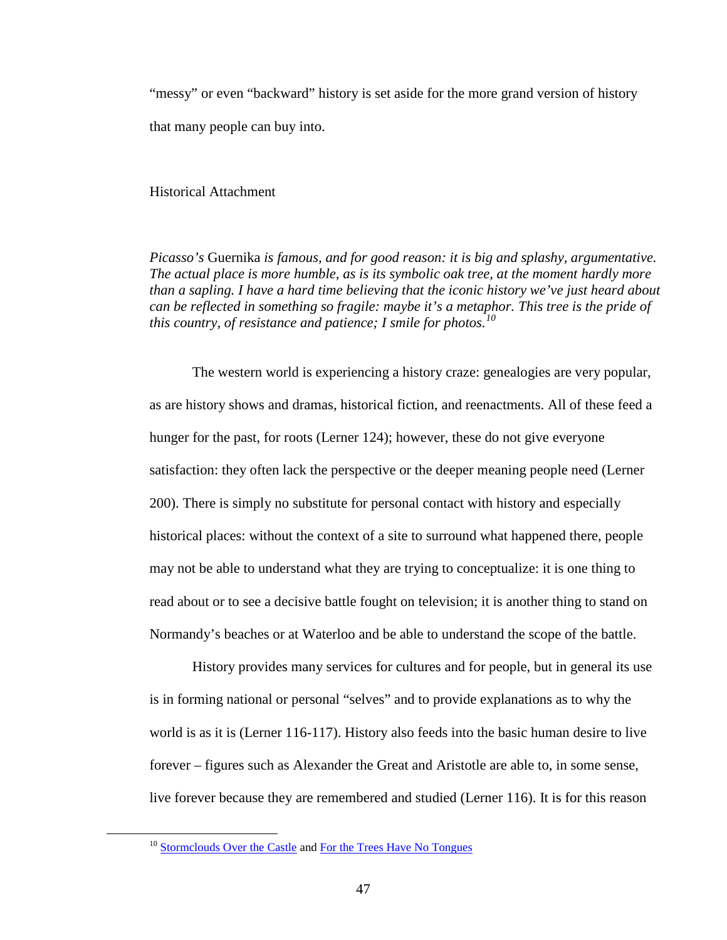"messy" or even "backward" history is set aside for the more grand version of history that many people can buy into.

Historical Attachment

*Picasso's* Guernika *is famous, and for good reason: it is big and splashy, argumentative. The actual place is more humble, as is its symbolic oak tree, at the moment hardly more than a sapling. I have a hard time believing that the iconic history we've just heard about can be reflected in something so fragile: maybe it's a metaphor. This tree is the pride of this country, of resistance and patience; I smile for photos.[10](#page-51-0)*

The western world is experiencing a history craze: genealogies are very popular, as are history shows and dramas, historical fiction, and reenactments. All of these feed a hunger for the past, for roots (Lerner 124); however, these do not give everyone satisfaction: they often lack the perspective or the deeper meaning people need (Lerner 200). There is simply no substitute for personal contact with history and especially historical places: without the context of a site to surround what happened there, people may not be able to understand what they are trying to conceptualize: it is one thing to read about or to see a decisive battle fought on television; it is another thing to stand on Normandy's beaches or at Waterloo and be able to understand the scope of the battle.

History provides many services for cultures and for people, but in general its use is in forming national or personal "selves" and to provide explanations as to why the world is as it is (Lerner 116-117). History also feeds into the basic human desire to live forever – figures such as Alexander the Great and Aristotle are able to, in some sense, live forever because they are remembered and studied (Lerner 116). It is for this reason

<span id="page-51-0"></span><sup>&</sup>lt;sup>10</sup> [Stormclouds Over the Castle](http://sarahgoestobilbork.wordpress.com/2011/09/03/22/) an[d For the Trees Have No Tongues](http://sarahgoestobilbork.wordpress.com/2011/10/26/for-the-trees-have-no-tongues/)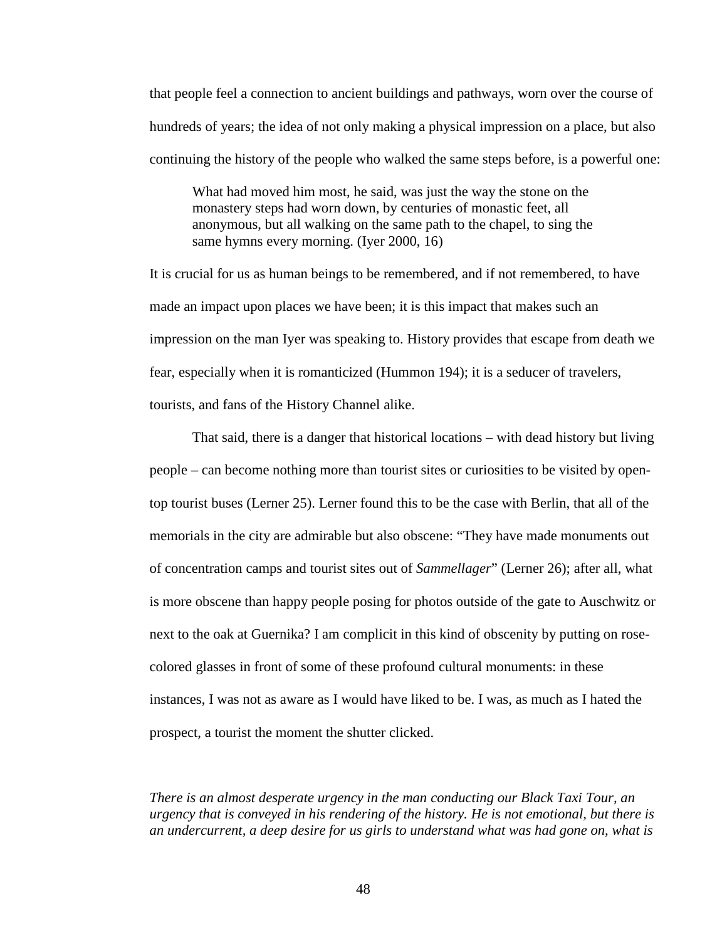that people feel a connection to ancient buildings and pathways, worn over the course of hundreds of years; the idea of not only making a physical impression on a place, but also continuing the history of the people who walked the same steps before, is a powerful one:

What had moved him most, he said, was just the way the stone on the monastery steps had worn down, by centuries of monastic feet, all anonymous, but all walking on the same path to the chapel, to sing the same hymns every morning. (Iyer 2000, 16)

It is crucial for us as human beings to be remembered, and if not remembered, to have made an impact upon places we have been; it is this impact that makes such an impression on the man Iyer was speaking to. History provides that escape from death we fear, especially when it is romanticized (Hummon 194); it is a seducer of travelers, tourists, and fans of the History Channel alike.

That said, there is a danger that historical locations – with dead history but living people – can become nothing more than tourist sites or curiosities to be visited by opentop tourist buses (Lerner 25). Lerner found this to be the case with Berlin, that all of the memorials in the city are admirable but also obscene: "They have made monuments out of concentration camps and tourist sites out of *Sammellager*" (Lerner 26); after all, what is more obscene than happy people posing for photos outside of the gate to Auschwitz or next to the oak at Guernika? I am complicit in this kind of obscenity by putting on rosecolored glasses in front of some of these profound cultural monuments: in these instances, I was not as aware as I would have liked to be. I was, as much as I hated the prospect, a tourist the moment the shutter clicked.

*There is an almost desperate urgency in the man conducting our Black Taxi Tour, an urgency that is conveyed in his rendering of the history. He is not emotional, but there is an undercurrent, a deep desire for us girls to understand what was had gone on, what is*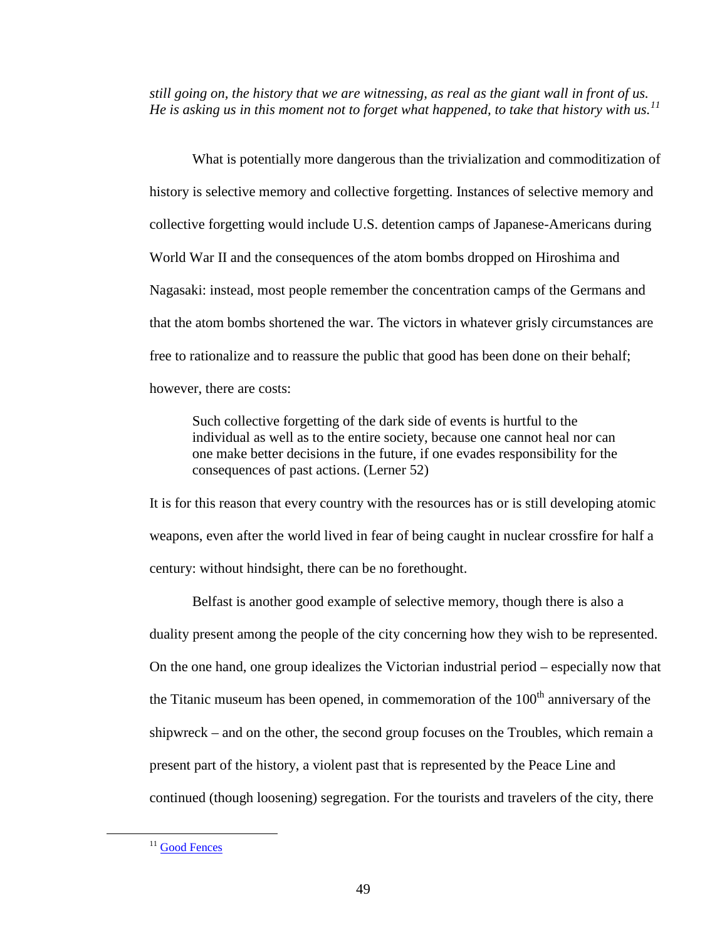*still going on, the history that we are witnessing, as real as the giant wall in front of us. He is asking us in this moment not to forget what happened, to take that history with us.[11](#page-53-0)*

What is potentially more dangerous than the trivialization and commoditization of history is selective memory and collective forgetting. Instances of selective memory and collective forgetting would include U.S. detention camps of Japanese-Americans during World War II and the consequences of the atom bombs dropped on Hiroshima and Nagasaki: instead, most people remember the concentration camps of the Germans and that the atom bombs shortened the war. The victors in whatever grisly circumstances are free to rationalize and to reassure the public that good has been done on their behalf; however, there are costs:

Such collective forgetting of the dark side of events is hurtful to the individual as well as to the entire society, because one cannot heal nor can one make better decisions in the future, if one evades responsibility for the consequences of past actions. (Lerner 52)

It is for this reason that every country with the resources has or is still developing atomic weapons, even after the world lived in fear of being caught in nuclear crossfire for half a century: without hindsight, there can be no forethought.

Belfast is another good example of selective memory, though there is also a duality present among the people of the city concerning how they wish to be represented. On the one hand, one group idealizes the Victorian industrial period – especially now that the Titanic museum has been opened, in commemoration of the  $100<sup>th</sup>$  anniversary of the shipwreck – and on the other, the second group focuses on the Troubles, which remain a present part of the history, a violent past that is represented by the Peace Line and continued (though loosening) segregation. For the tourists and travelers of the city, there

<span id="page-53-0"></span><sup>&</sup>lt;sup>11</sup> [Good Fences](http://sarahgoestobilbork.wordpress.com/2012/11/26/good-fences/)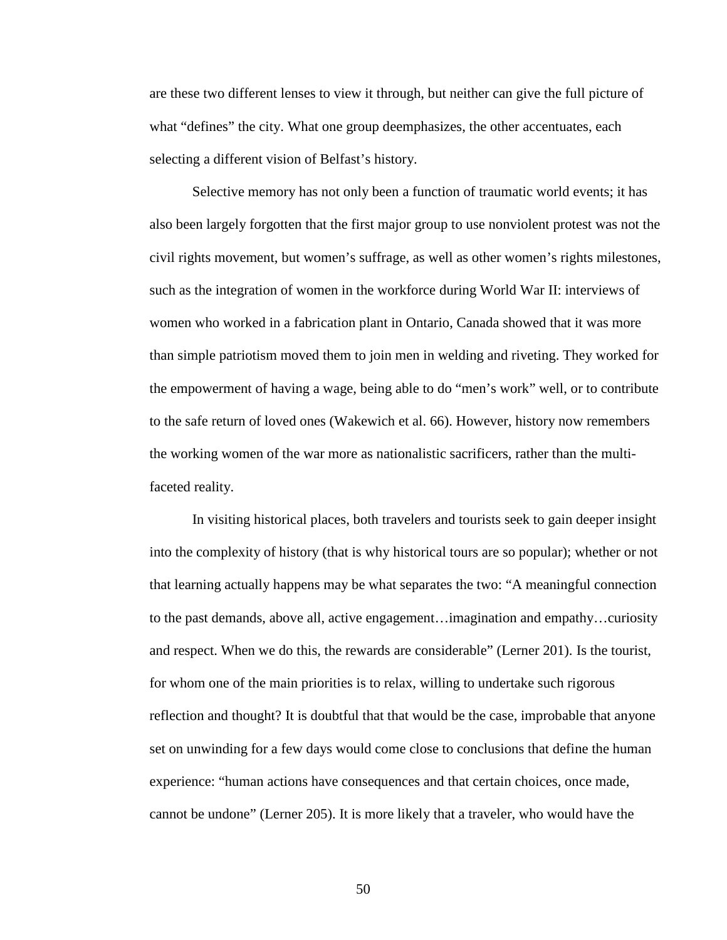are these two different lenses to view it through, but neither can give the full picture of what "defines" the city. What one group deemphasizes, the other accentuates, each selecting a different vision of Belfast's history.

Selective memory has not only been a function of traumatic world events; it has also been largely forgotten that the first major group to use nonviolent protest was not the civil rights movement, but women's suffrage, as well as other women's rights milestones, such as the integration of women in the workforce during World War II: interviews of women who worked in a fabrication plant in Ontario, Canada showed that it was more than simple patriotism moved them to join men in welding and riveting. They worked for the empowerment of having a wage, being able to do "men's work" well, or to contribute to the safe return of loved ones (Wakewich et al. 66). However, history now remembers the working women of the war more as nationalistic sacrificers, rather than the multifaceted reality.

In visiting historical places, both travelers and tourists seek to gain deeper insight into the complexity of history (that is why historical tours are so popular); whether or not that learning actually happens may be what separates the two: "A meaningful connection to the past demands, above all, active engagement…imagination and empathy…curiosity and respect. When we do this, the rewards are considerable" (Lerner 201). Is the tourist, for whom one of the main priorities is to relax, willing to undertake such rigorous reflection and thought? It is doubtful that that would be the case, improbable that anyone set on unwinding for a few days would come close to conclusions that define the human experience: "human actions have consequences and that certain choices, once made, cannot be undone" (Lerner 205). It is more likely that a traveler, who would have the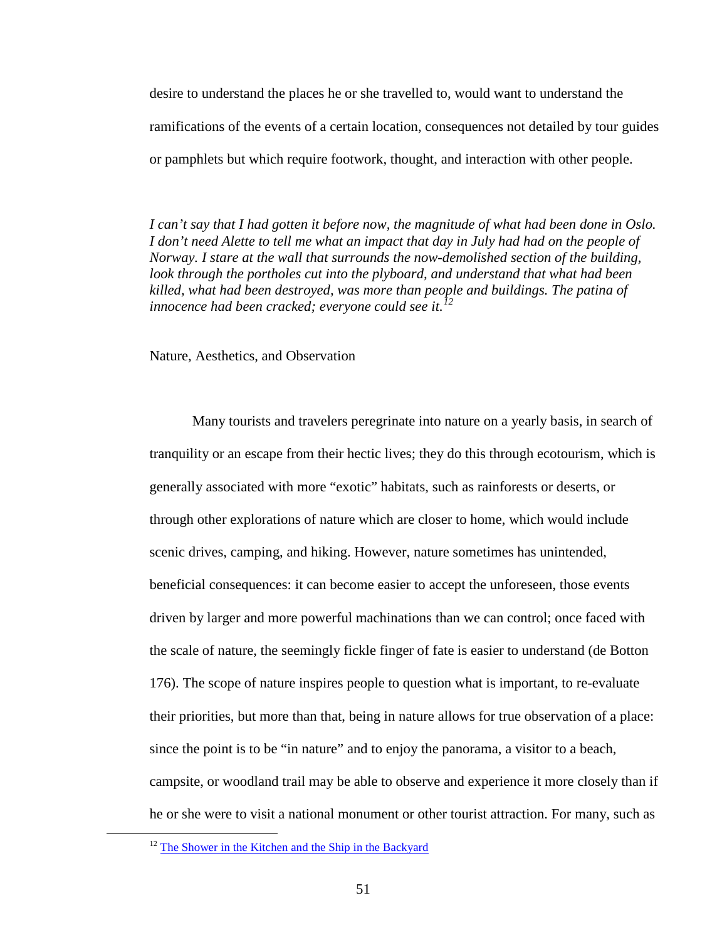desire to understand the places he or she travelled to, would want to understand the ramifications of the events of a certain location, consequences not detailed by tour guides or pamphlets but which require footwork, thought, and interaction with other people.

*I can't say that I had gotten it before now, the magnitude of what had been done in Oslo.*  I don't need Alette to tell me what an impact that day in July had had on the people of *Norway. I stare at the wall that surrounds the now-demolished section of the building,*  look through the portholes cut into the plyboard, and understand that what had been *killed, what had been destroyed, was more than people and buildings. The patina of innocence had been cracked; everyone could see it.[12](#page-55-0)*

Nature, Aesthetics, and Observation

Many tourists and travelers peregrinate into nature on a yearly basis, in search of tranquility or an escape from their hectic lives; they do this through ecotourism, which is generally associated with more "exotic" habitats, such as rainforests or deserts, or through other explorations of nature which are closer to home, which would include scenic drives, camping, and hiking. However, nature sometimes has unintended, beneficial consequences: it can become easier to accept the unforeseen, those events driven by larger and more powerful machinations than we can control; once faced with the scale of nature, the seemingly fickle finger of fate is easier to understand (de Botton 176). The scope of nature inspires people to question what is important, to re-evaluate their priorities, but more than that, being in nature allows for true observation of a place: since the point is to be "in nature" and to enjoy the panorama, a visitor to a beach, campsite, or woodland trail may be able to observe and experience it more closely than if he or she were to visit a national monument or other tourist attraction. For many, such as

<span id="page-55-0"></span> $12$  [The Shower in the Kitchen and the Ship in the Backyard](http://sarahgoestobilbork.wordpress.com/2012/05/24/the-shower-in-the-kitchen-and-the-ship-in-the-backyard/)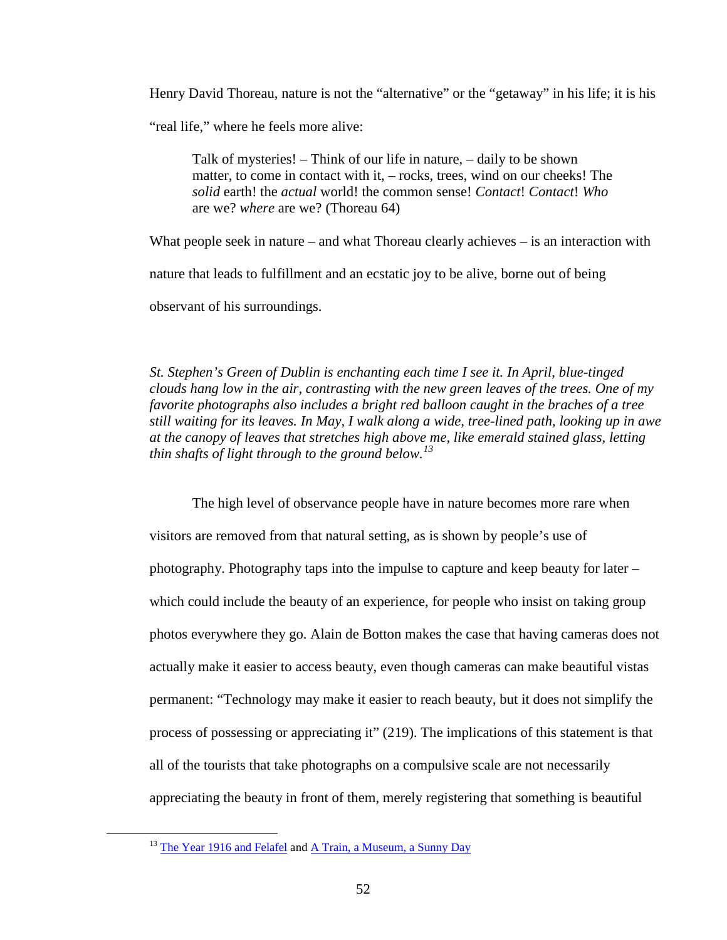Henry David Thoreau, nature is not the "alternative" or the "getaway" in his life; it is his

"real life," where he feels more alive:

Talk of mysteries! – Think of our life in nature, – daily to be shown matter, to come in contact with it, – rocks, trees, wind on our cheeks! The *solid* earth! the *actual* world! the common sense! *Contact*! *Contact*! *Who* are we? *where* are we? (Thoreau 64)

What people seek in nature – and what Thoreau clearly achieves – is an interaction with nature that leads to fulfillment and an ecstatic joy to be alive, borne out of being observant of his surroundings.

*St. Stephen's Green of Dublin is enchanting each time I see it. In April, blue-tinged clouds hang low in the air, contrasting with the new green leaves of the trees. One of my favorite photographs also includes a bright red balloon caught in the braches of a tree still waiting for its leaves. In May, I walk along a wide, tree-lined path, looking up in awe at the canopy of leaves that stretches high above me, like emerald stained glass, letting thin shafts of light through to the ground below.[13](#page-56-0)*

The high level of observance people have in nature becomes more rare when visitors are removed from that natural setting, as is shown by people's use of photography. Photography taps into the impulse to capture and keep beauty for later – which could include the beauty of an experience, for people who insist on taking group photos everywhere they go. Alain de Botton makes the case that having cameras does not actually make it easier to access beauty, even though cameras can make beautiful vistas permanent: "Technology may make it easier to reach beauty, but it does not simplify the process of possessing or appreciating it" (219). The implications of this statement is that all of the tourists that take photographs on a compulsive scale are not necessarily appreciating the beauty in front of them, merely registering that something is beautiful

<span id="page-56-0"></span><sup>&</sup>lt;sup>13</sup> [The Year 1916 and Felafel](http://sarahgoestobilbork.wordpress.com/2012/10/21/dublin-the-year-1916-and-felafel/) an[d A Train, a Museum, a Sunny Day](http://sarahgoestobilbork.wordpress.com/2012/10/21/a-train-a-museum-a-sunny-day/)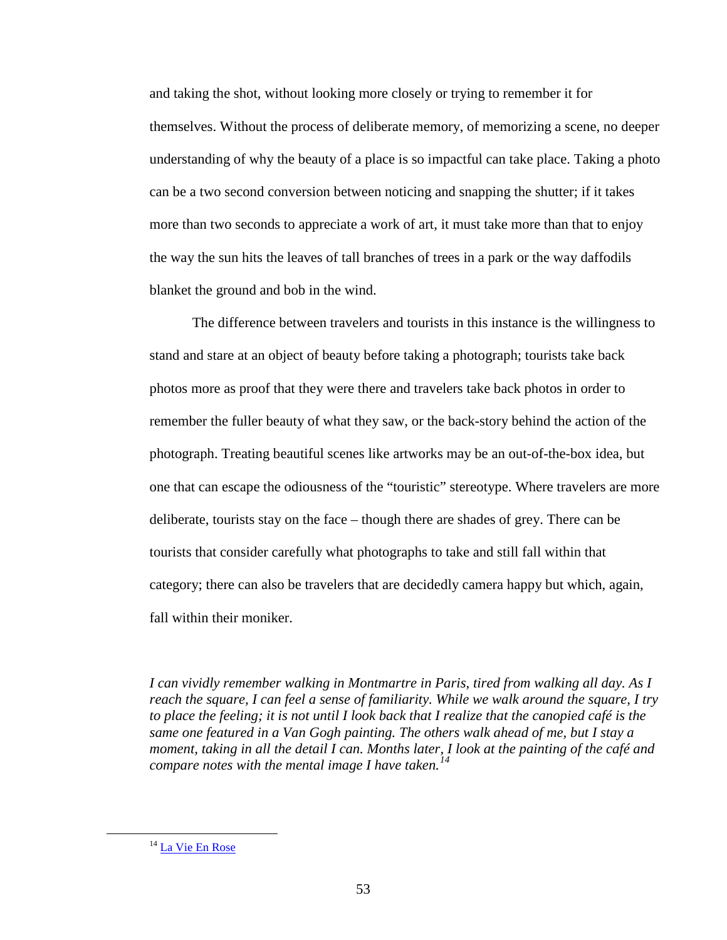and taking the shot, without looking more closely or trying to remember it for themselves. Without the process of deliberate memory, of memorizing a scene, no deeper understanding of why the beauty of a place is so impactful can take place. Taking a photo can be a two second conversion between noticing and snapping the shutter; if it takes more than two seconds to appreciate a work of art, it must take more than that to enjoy the way the sun hits the leaves of tall branches of trees in a park or the way daffodils blanket the ground and bob in the wind.

The difference between travelers and tourists in this instance is the willingness to stand and stare at an object of beauty before taking a photograph; tourists take back photos more as proof that they were there and travelers take back photos in order to remember the fuller beauty of what they saw, or the back-story behind the action of the photograph. Treating beautiful scenes like artworks may be an out-of-the-box idea, but one that can escape the odiousness of the "touristic" stereotype. Where travelers are more deliberate, tourists stay on the face – though there are shades of grey. There can be tourists that consider carefully what photographs to take and still fall within that category; there can also be travelers that are decidedly camera happy but which, again, fall within their moniker.

*I can vividly remember walking in Montmartre in Paris, tired from walking all day. As I reach the square, I can feel a sense of familiarity. While we walk around the square, I try to place the feeling; it is not until I look back that I realize that the canopied café is the same one featured in a Van Gogh painting. The others walk ahead of me, but I stay a moment, taking in all the detail I can. Months later, I look at the painting of the café and compare notes with the mental image I have taken.[14](#page-57-0)*

<span id="page-57-0"></span><sup>&</sup>lt;sup>14</sup> [La Vie En Rose](http://sarahgoestobilbork.wordpress.com/2011/12/14/la-vie-en-rose/)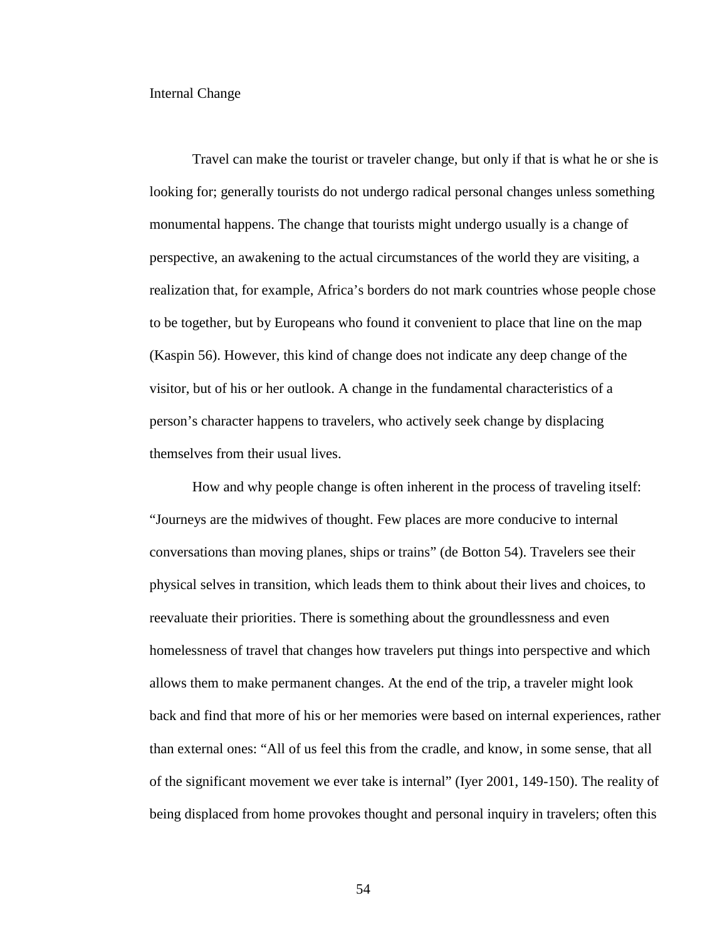#### Internal Change

Travel can make the tourist or traveler change, but only if that is what he or she is looking for; generally tourists do not undergo radical personal changes unless something monumental happens. The change that tourists might undergo usually is a change of perspective, an awakening to the actual circumstances of the world they are visiting, a realization that, for example, Africa's borders do not mark countries whose people chose to be together, but by Europeans who found it convenient to place that line on the map (Kaspin 56). However, this kind of change does not indicate any deep change of the visitor, but of his or her outlook. A change in the fundamental characteristics of a person's character happens to travelers, who actively seek change by displacing themselves from their usual lives.

How and why people change is often inherent in the process of traveling itself: "Journeys are the midwives of thought. Few places are more conducive to internal conversations than moving planes, ships or trains" (de Botton 54). Travelers see their physical selves in transition, which leads them to think about their lives and choices, to reevaluate their priorities. There is something about the groundlessness and even homelessness of travel that changes how travelers put things into perspective and which allows them to make permanent changes. At the end of the trip, a traveler might look back and find that more of his or her memories were based on internal experiences, rather than external ones: "All of us feel this from the cradle, and know, in some sense, that all of the significant movement we ever take is internal" (Iyer 2001, 149-150). The reality of being displaced from home provokes thought and personal inquiry in travelers; often this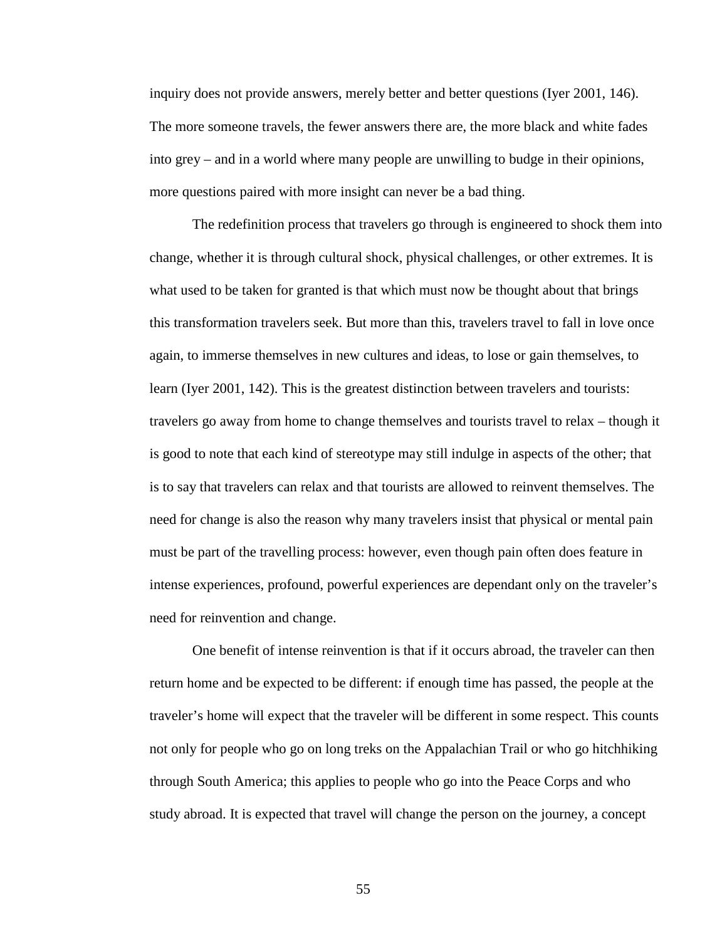inquiry does not provide answers, merely better and better questions (Iyer 2001, 146). The more someone travels, the fewer answers there are, the more black and white fades into grey – and in a world where many people are unwilling to budge in their opinions, more questions paired with more insight can never be a bad thing.

The redefinition process that travelers go through is engineered to shock them into change, whether it is through cultural shock, physical challenges, or other extremes. It is what used to be taken for granted is that which must now be thought about that brings this transformation travelers seek. But more than this, travelers travel to fall in love once again, to immerse themselves in new cultures and ideas, to lose or gain themselves, to learn (Iyer 2001, 142). This is the greatest distinction between travelers and tourists: travelers go away from home to change themselves and tourists travel to relax – though it is good to note that each kind of stereotype may still indulge in aspects of the other; that is to say that travelers can relax and that tourists are allowed to reinvent themselves. The need for change is also the reason why many travelers insist that physical or mental pain must be part of the travelling process: however, even though pain often does feature in intense experiences, profound, powerful experiences are dependant only on the traveler's need for reinvention and change.

One benefit of intense reinvention is that if it occurs abroad, the traveler can then return home and be expected to be different: if enough time has passed, the people at the traveler's home will expect that the traveler will be different in some respect. This counts not only for people who go on long treks on the Appalachian Trail or who go hitchhiking through South America; this applies to people who go into the Peace Corps and who study abroad. It is expected that travel will change the person on the journey, a concept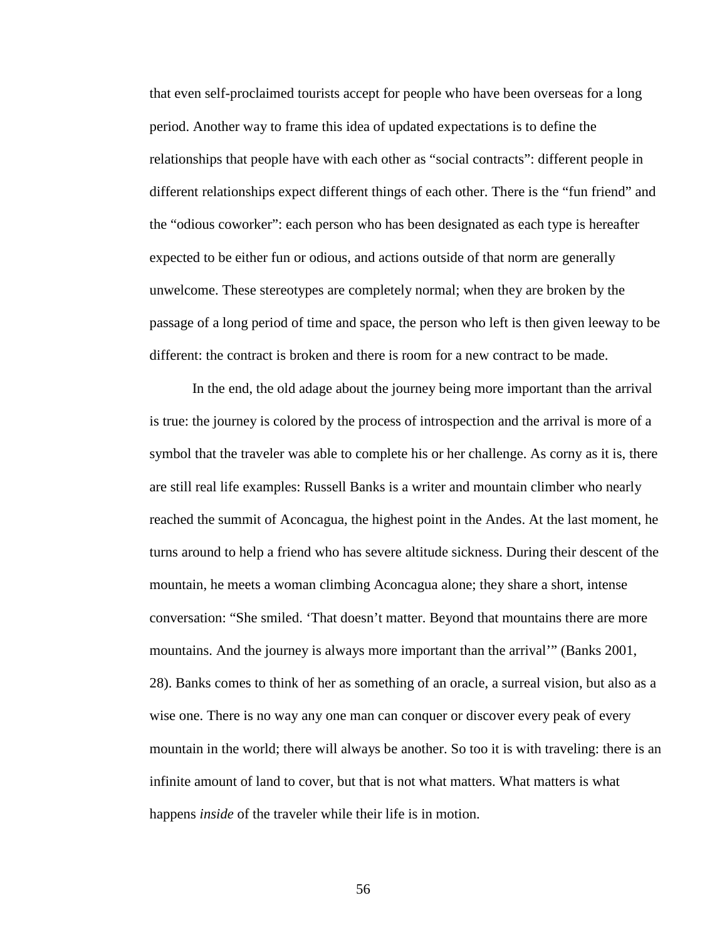that even self-proclaimed tourists accept for people who have been overseas for a long period. Another way to frame this idea of updated expectations is to define the relationships that people have with each other as "social contracts": different people in different relationships expect different things of each other. There is the "fun friend" and the "odious coworker": each person who has been designated as each type is hereafter expected to be either fun or odious, and actions outside of that norm are generally unwelcome. These stereotypes are completely normal; when they are broken by the passage of a long period of time and space, the person who left is then given leeway to be different: the contract is broken and there is room for a new contract to be made.

In the end, the old adage about the journey being more important than the arrival is true: the journey is colored by the process of introspection and the arrival is more of a symbol that the traveler was able to complete his or her challenge. As corny as it is, there are still real life examples: Russell Banks is a writer and mountain climber who nearly reached the summit of Aconcagua, the highest point in the Andes. At the last moment, he turns around to help a friend who has severe altitude sickness. During their descent of the mountain, he meets a woman climbing Aconcagua alone; they share a short, intense conversation: "She smiled. 'That doesn't matter. Beyond that mountains there are more mountains. And the journey is always more important than the arrival'" (Banks 2001, 28). Banks comes to think of her as something of an oracle, a surreal vision, but also as a wise one. There is no way any one man can conquer or discover every peak of every mountain in the world; there will always be another. So too it is with traveling: there is an infinite amount of land to cover, but that is not what matters. What matters is what happens *inside* of the traveler while their life is in motion.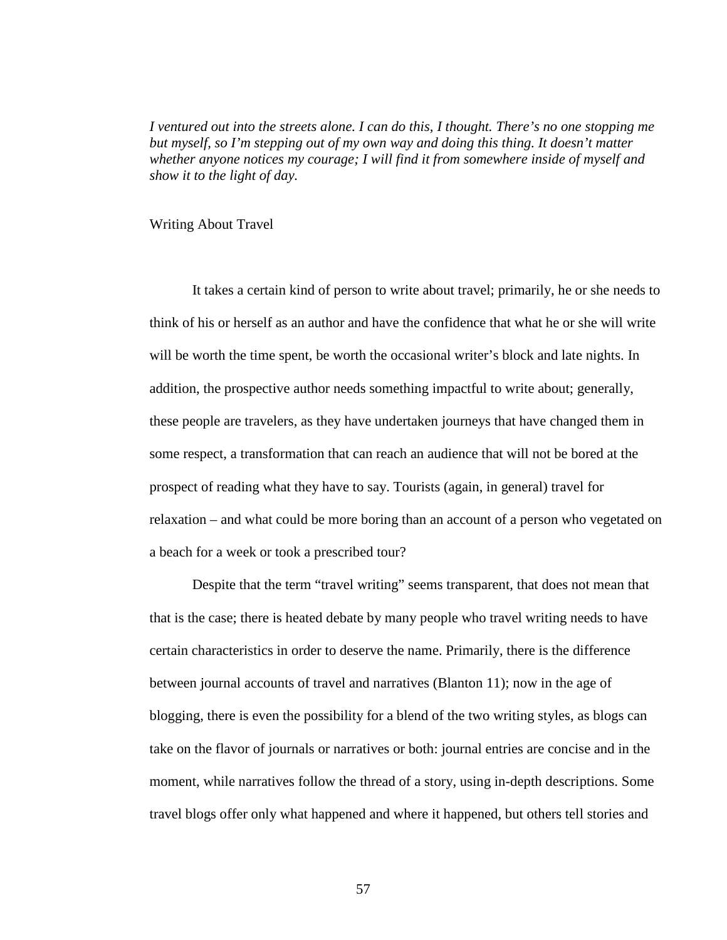*I ventured out into the streets alone. I can do this, I thought. There's no one stopping me but myself, so I'm stepping out of my own way and doing this thing. It doesn't matter whether anyone notices my courage; I will find it from somewhere inside of myself and show it to the light of day.*

#### Writing About Travel

It takes a certain kind of person to write about travel; primarily, he or she needs to think of his or herself as an author and have the confidence that what he or she will write will be worth the time spent, be worth the occasional writer's block and late nights. In addition, the prospective author needs something impactful to write about; generally, these people are travelers, as they have undertaken journeys that have changed them in some respect, a transformation that can reach an audience that will not be bored at the prospect of reading what they have to say. Tourists (again, in general) travel for relaxation – and what could be more boring than an account of a person who vegetated on a beach for a week or took a prescribed tour?

Despite that the term "travel writing" seems transparent, that does not mean that that is the case; there is heated debate by many people who travel writing needs to have certain characteristics in order to deserve the name. Primarily, there is the difference between journal accounts of travel and narratives (Blanton 11); now in the age of blogging, there is even the possibility for a blend of the two writing styles, as blogs can take on the flavor of journals or narratives or both: journal entries are concise and in the moment, while narratives follow the thread of a story, using in-depth descriptions. Some travel blogs offer only what happened and where it happened, but others tell stories and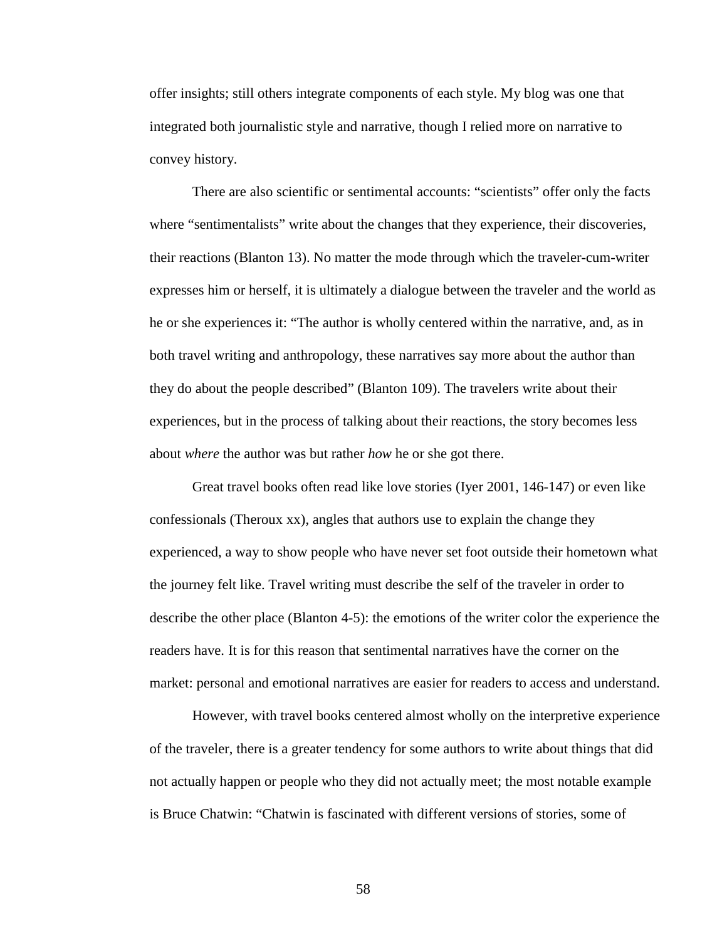offer insights; still others integrate components of each style. My blog was one that integrated both journalistic style and narrative, though I relied more on narrative to convey history.

There are also scientific or sentimental accounts: "scientists" offer only the facts where "sentimentalists" write about the changes that they experience, their discoveries, their reactions (Blanton 13). No matter the mode through which the traveler-cum-writer expresses him or herself, it is ultimately a dialogue between the traveler and the world as he or she experiences it: "The author is wholly centered within the narrative, and, as in both travel writing and anthropology, these narratives say more about the author than they do about the people described" (Blanton 109). The travelers write about their experiences, but in the process of talking about their reactions, the story becomes less about *where* the author was but rather *how* he or she got there.

Great travel books often read like love stories (Iyer 2001, 146-147) or even like confessionals (Theroux xx), angles that authors use to explain the change they experienced, a way to show people who have never set foot outside their hometown what the journey felt like. Travel writing must describe the self of the traveler in order to describe the other place (Blanton 4-5): the emotions of the writer color the experience the readers have. It is for this reason that sentimental narratives have the corner on the market: personal and emotional narratives are easier for readers to access and understand.

However, with travel books centered almost wholly on the interpretive experience of the traveler, there is a greater tendency for some authors to write about things that did not actually happen or people who they did not actually meet; the most notable example is Bruce Chatwin: "Chatwin is fascinated with different versions of stories, some of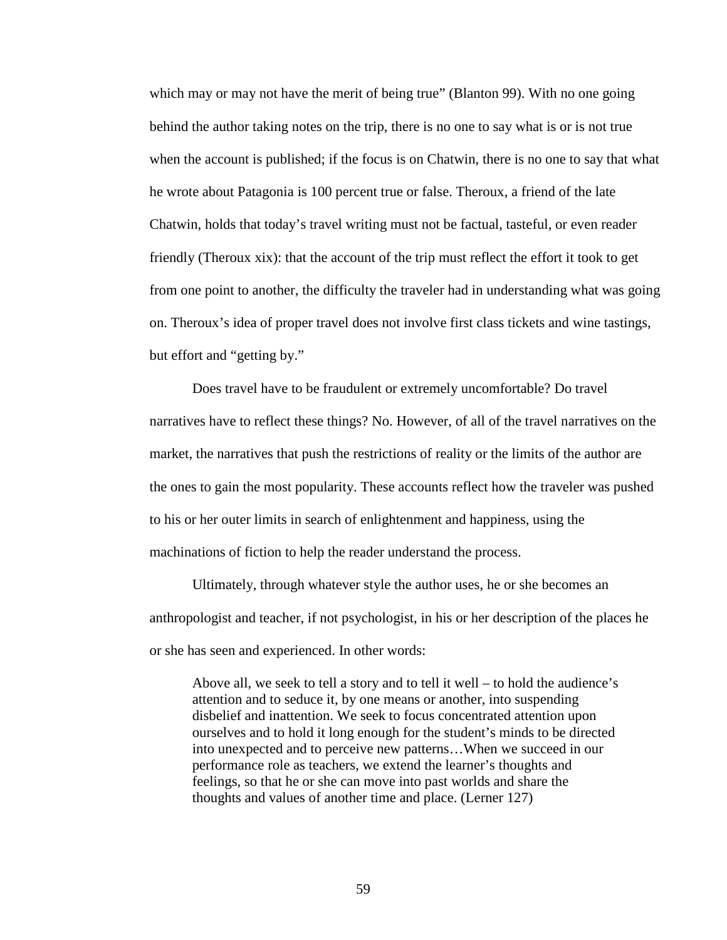which may or may not have the merit of being true" (Blanton 99). With no one going behind the author taking notes on the trip, there is no one to say what is or is not true when the account is published; if the focus is on Chatwin, there is no one to say that what he wrote about Patagonia is 100 percent true or false. Theroux, a friend of the late Chatwin, holds that today's travel writing must not be factual, tasteful, or even reader friendly (Theroux xix): that the account of the trip must reflect the effort it took to get from one point to another, the difficulty the traveler had in understanding what was going on. Theroux's idea of proper travel does not involve first class tickets and wine tastings, but effort and "getting by."

Does travel have to be fraudulent or extremely uncomfortable? Do travel narratives have to reflect these things? No. However, of all of the travel narratives on the market, the narratives that push the restrictions of reality or the limits of the author are the ones to gain the most popularity. These accounts reflect how the traveler was pushed to his or her outer limits in search of enlightenment and happiness, using the machinations of fiction to help the reader understand the process.

Ultimately, through whatever style the author uses, he or she becomes an anthropologist and teacher, if not psychologist, in his or her description of the places he or she has seen and experienced. In other words:

Above all, we seek to tell a story and to tell it well – to hold the audience's attention and to seduce it, by one means or another, into suspending disbelief and inattention. We seek to focus concentrated attention upon ourselves and to hold it long enough for the student's minds to be directed into unexpected and to perceive new patterns…When we succeed in our performance role as teachers, we extend the learner's thoughts and feelings, so that he or she can move into past worlds and share the thoughts and values of another time and place. (Lerner 127)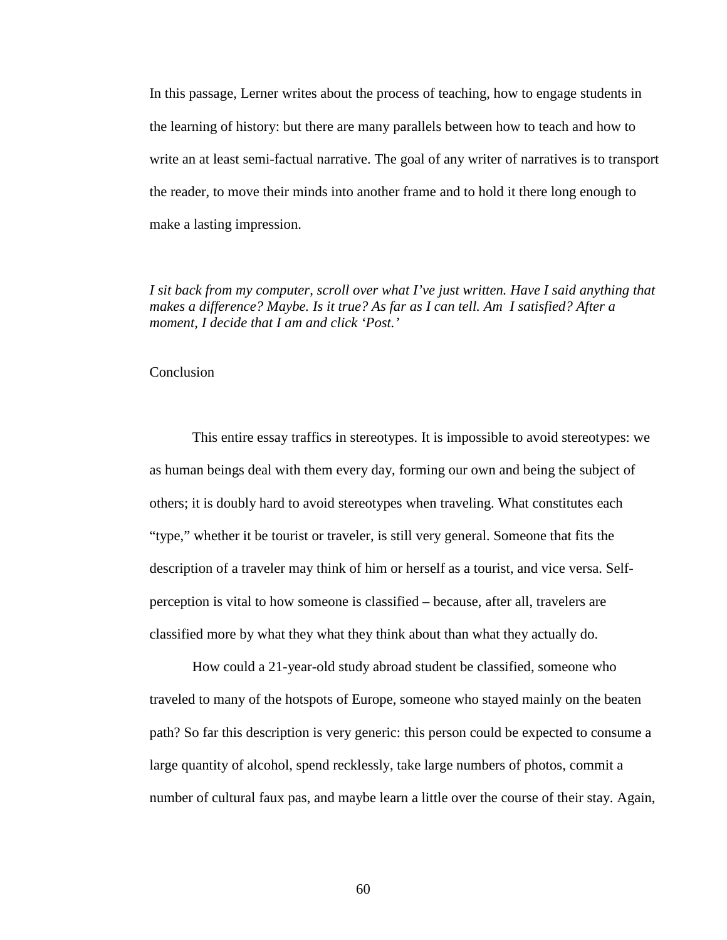In this passage, Lerner writes about the process of teaching, how to engage students in the learning of history: but there are many parallels between how to teach and how to write an at least semi-factual narrative. The goal of any writer of narratives is to transport the reader, to move their minds into another frame and to hold it there long enough to make a lasting impression.

*I sit back from my computer, scroll over what I've just written. Have I said anything that makes a difference? Maybe. Is it true? As far as I can tell. Am I satisfied? After a moment, I decide that I am and click 'Post.'*

## Conclusion

This entire essay traffics in stereotypes. It is impossible to avoid stereotypes: we as human beings deal with them every day, forming our own and being the subject of others; it is doubly hard to avoid stereotypes when traveling. What constitutes each "type," whether it be tourist or traveler, is still very general. Someone that fits the description of a traveler may think of him or herself as a tourist, and vice versa. Selfperception is vital to how someone is classified – because, after all, travelers are classified more by what they what they think about than what they actually do.

How could a 21-year-old study abroad student be classified, someone who traveled to many of the hotspots of Europe, someone who stayed mainly on the beaten path? So far this description is very generic: this person could be expected to consume a large quantity of alcohol, spend recklessly, take large numbers of photos, commit a number of cultural faux pas, and maybe learn a little over the course of their stay. Again,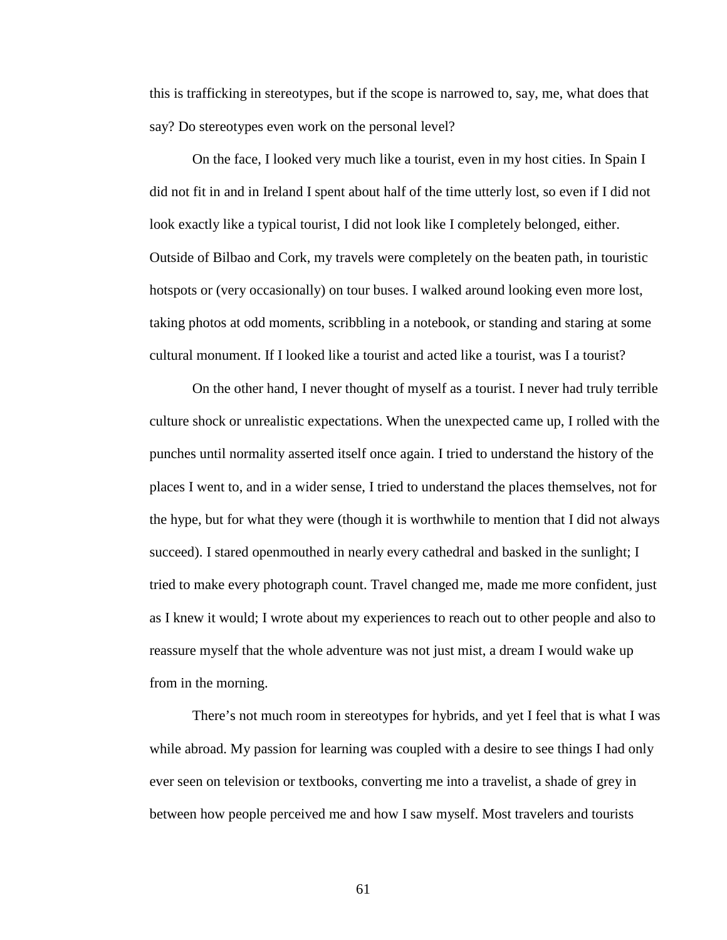this is trafficking in stereotypes, but if the scope is narrowed to, say, me, what does that say? Do stereotypes even work on the personal level?

On the face, I looked very much like a tourist, even in my host cities. In Spain I did not fit in and in Ireland I spent about half of the time utterly lost, so even if I did not look exactly like a typical tourist, I did not look like I completely belonged, either. Outside of Bilbao and Cork, my travels were completely on the beaten path, in touristic hotspots or (very occasionally) on tour buses. I walked around looking even more lost, taking photos at odd moments, scribbling in a notebook, or standing and staring at some cultural monument. If I looked like a tourist and acted like a tourist, was I a tourist?

On the other hand, I never thought of myself as a tourist. I never had truly terrible culture shock or unrealistic expectations. When the unexpected came up, I rolled with the punches until normality asserted itself once again. I tried to understand the history of the places I went to, and in a wider sense, I tried to understand the places themselves, not for the hype, but for what they were (though it is worthwhile to mention that I did not always succeed). I stared openmouthed in nearly every cathedral and basked in the sunlight; I tried to make every photograph count. Travel changed me, made me more confident, just as I knew it would; I wrote about my experiences to reach out to other people and also to reassure myself that the whole adventure was not just mist, a dream I would wake up from in the morning.

There's not much room in stereotypes for hybrids, and yet I feel that is what I was while abroad. My passion for learning was coupled with a desire to see things I had only ever seen on television or textbooks, converting me into a travelist, a shade of grey in between how people perceived me and how I saw myself. Most travelers and tourists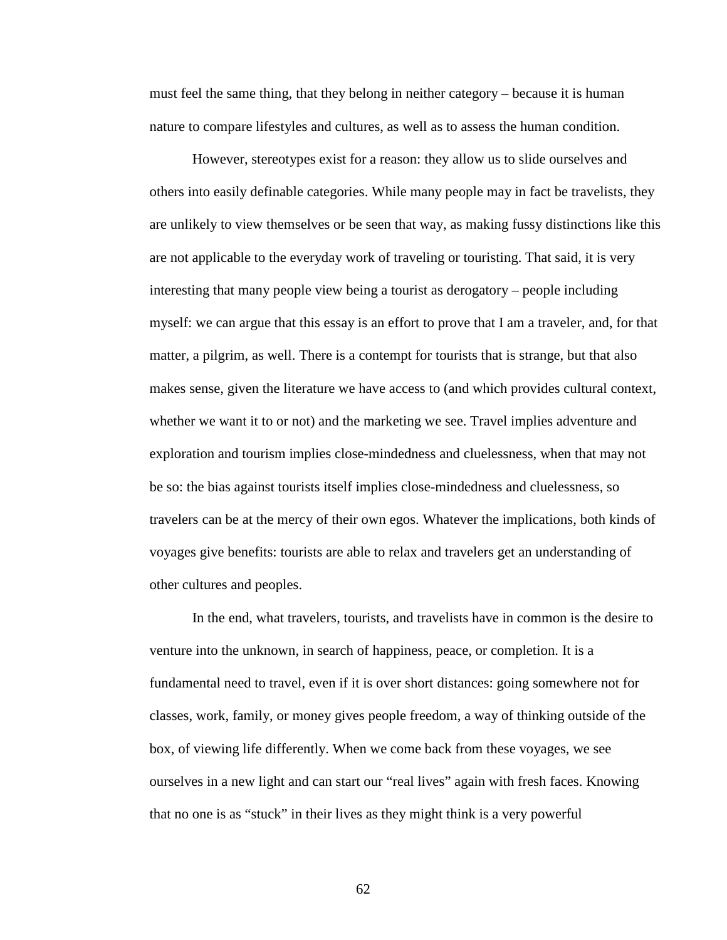must feel the same thing, that they belong in neither category – because it is human nature to compare lifestyles and cultures, as well as to assess the human condition.

However, stereotypes exist for a reason: they allow us to slide ourselves and others into easily definable categories. While many people may in fact be travelists, they are unlikely to view themselves or be seen that way, as making fussy distinctions like this are not applicable to the everyday work of traveling or touristing. That said, it is very interesting that many people view being a tourist as derogatory – people including myself: we can argue that this essay is an effort to prove that I am a traveler, and, for that matter, a pilgrim, as well. There is a contempt for tourists that is strange, but that also makes sense, given the literature we have access to (and which provides cultural context, whether we want it to or not) and the marketing we see. Travel implies adventure and exploration and tourism implies close-mindedness and cluelessness, when that may not be so: the bias against tourists itself implies close-mindedness and cluelessness, so travelers can be at the mercy of their own egos. Whatever the implications, both kinds of voyages give benefits: tourists are able to relax and travelers get an understanding of other cultures and peoples.

In the end, what travelers, tourists, and travelists have in common is the desire to venture into the unknown, in search of happiness, peace, or completion. It is a fundamental need to travel, even if it is over short distances: going somewhere not for classes, work, family, or money gives people freedom, a way of thinking outside of the box, of viewing life differently. When we come back from these voyages, we see ourselves in a new light and can start our "real lives" again with fresh faces. Knowing that no one is as "stuck" in their lives as they might think is a very powerful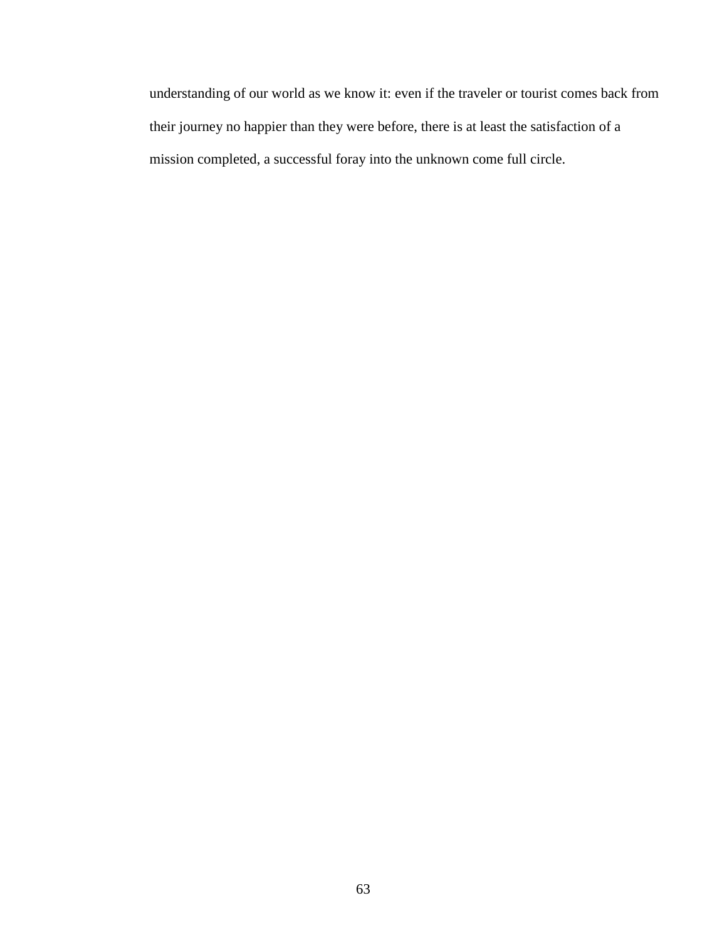understanding of our world as we know it: even if the traveler or tourist comes back from their journey no happier than they were before, there is at least the satisfaction of a mission completed, a successful foray into the unknown come full circle.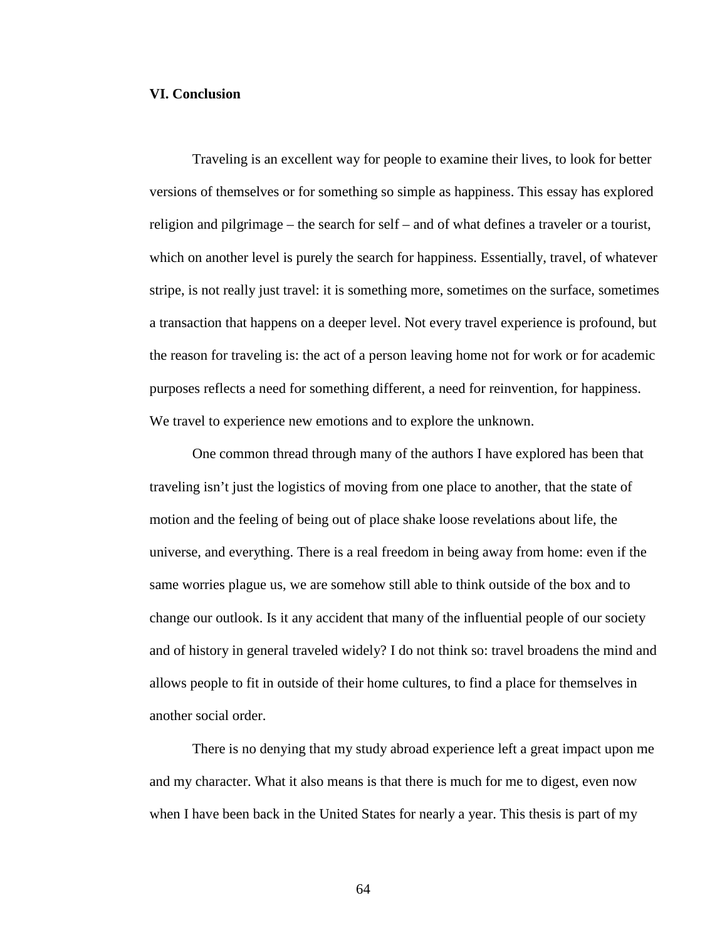## **VI. Conclusion**

Traveling is an excellent way for people to examine their lives, to look for better versions of themselves or for something so simple as happiness. This essay has explored religion and pilgrimage – the search for self – and of what defines a traveler or a tourist, which on another level is purely the search for happiness. Essentially, travel, of whatever stripe, is not really just travel: it is something more, sometimes on the surface, sometimes a transaction that happens on a deeper level. Not every travel experience is profound, but the reason for traveling is: the act of a person leaving home not for work or for academic purposes reflects a need for something different, a need for reinvention, for happiness. We travel to experience new emotions and to explore the unknown.

One common thread through many of the authors I have explored has been that traveling isn't just the logistics of moving from one place to another, that the state of motion and the feeling of being out of place shake loose revelations about life, the universe, and everything. There is a real freedom in being away from home: even if the same worries plague us, we are somehow still able to think outside of the box and to change our outlook. Is it any accident that many of the influential people of our society and of history in general traveled widely? I do not think so: travel broadens the mind and allows people to fit in outside of their home cultures, to find a place for themselves in another social order.

There is no denying that my study abroad experience left a great impact upon me and my character. What it also means is that there is much for me to digest, even now when I have been back in the United States for nearly a year. This thesis is part of my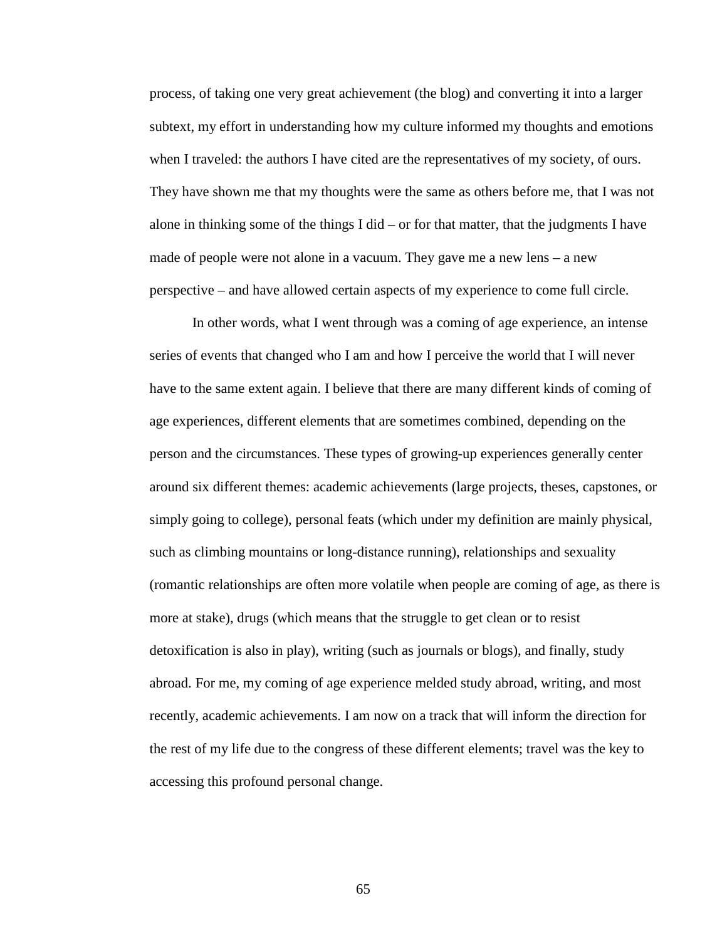process, of taking one very great achievement (the blog) and converting it into a larger subtext, my effort in understanding how my culture informed my thoughts and emotions when I traveled: the authors I have cited are the representatives of my society, of ours. They have shown me that my thoughts were the same as others before me, that I was not alone in thinking some of the things I did – or for that matter, that the judgments I have made of people were not alone in a vacuum. They gave me a new lens – a new perspective – and have allowed certain aspects of my experience to come full circle.

In other words, what I went through was a coming of age experience, an intense series of events that changed who I am and how I perceive the world that I will never have to the same extent again. I believe that there are many different kinds of coming of age experiences, different elements that are sometimes combined, depending on the person and the circumstances. These types of growing-up experiences generally center around six different themes: academic achievements (large projects, theses, capstones, or simply going to college), personal feats (which under my definition are mainly physical, such as climbing mountains or long-distance running), relationships and sexuality (romantic relationships are often more volatile when people are coming of age, as there is more at stake), drugs (which means that the struggle to get clean or to resist detoxification is also in play), writing (such as journals or blogs), and finally, study abroad. For me, my coming of age experience melded study abroad, writing, and most recently, academic achievements. I am now on a track that will inform the direction for the rest of my life due to the congress of these different elements; travel was the key to accessing this profound personal change.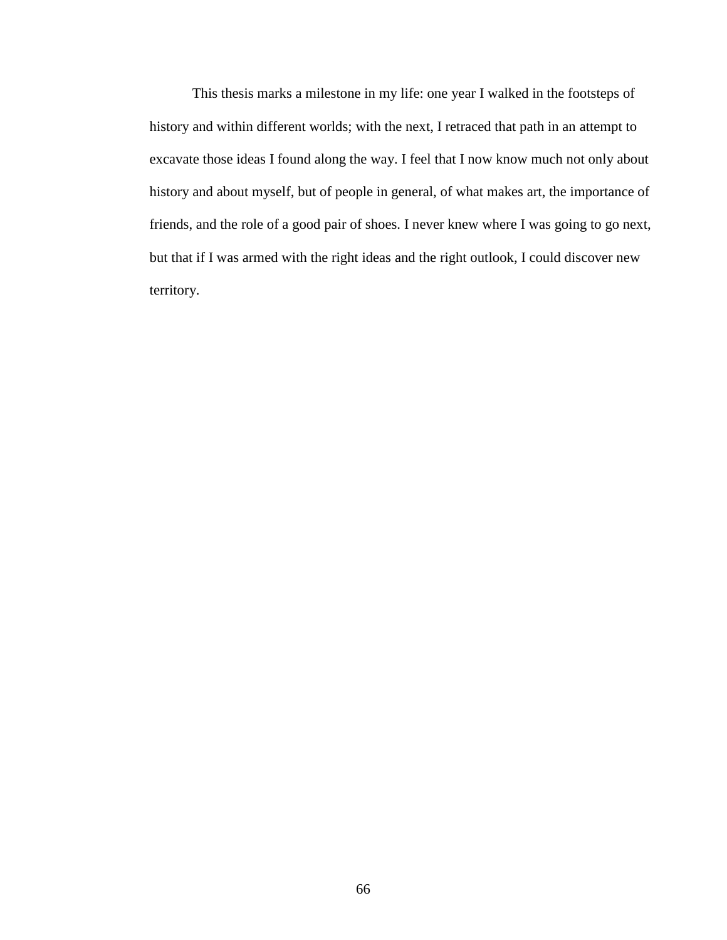This thesis marks a milestone in my life: one year I walked in the footsteps of history and within different worlds; with the next, I retraced that path in an attempt to excavate those ideas I found along the way. I feel that I now know much not only about history and about myself, but of people in general, of what makes art, the importance of friends, and the role of a good pair of shoes. I never knew where I was going to go next, but that if I was armed with the right ideas and the right outlook, I could discover new territory.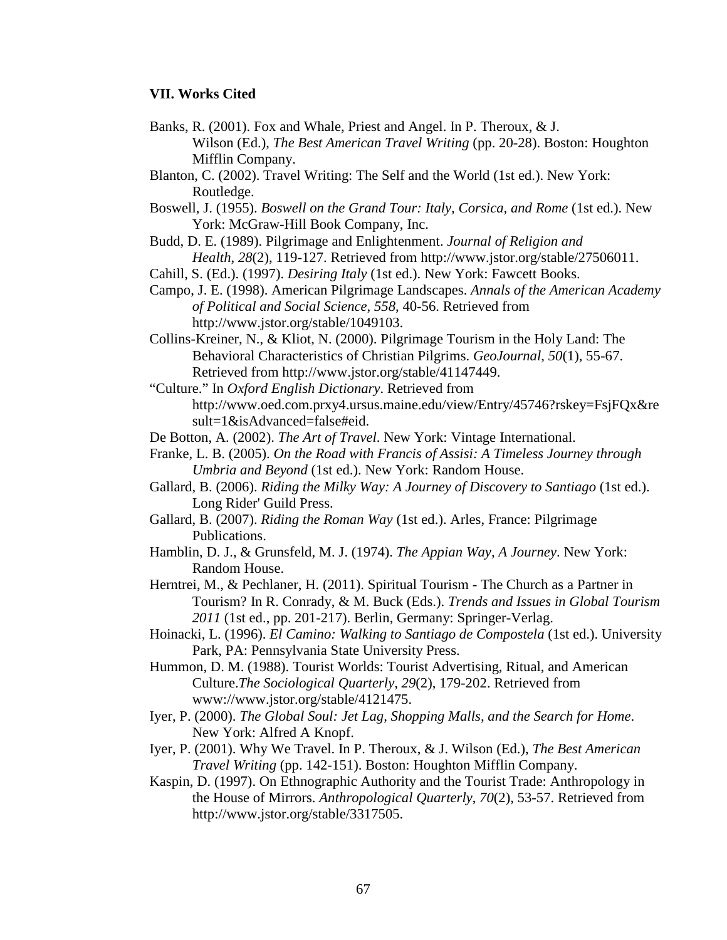# **VII. Works Cited**

- Banks, R. (2001). Fox and Whale, Priest and Angel. In P. Theroux, & J. Wilson (Ed.), *The Best American Travel Writing* (pp. 20-28). Boston: Houghton Mifflin Company.
- Blanton, C. (2002). Travel Writing: The Self and the World (1st ed.). New York: Routledge.
- Boswell, J. (1955). *Boswell on the Grand Tour: Italy, Corsica, and Rome* (1st ed.). New York: McGraw-Hill Book Company, Inc.
- Budd, D. E. (1989). Pilgrimage and Enlightenment. *Journal of Religion and Health*, *28*(2), 119-127. Retrieved from http://www.jstor.org/stable/27506011.
- Cahill, S. (Ed.). (1997). *Desiring Italy* (1st ed.). New York: Fawcett Books.
- Campo, J. E. (1998). American Pilgrimage Landscapes. *Annals of the American Academy of Political and Social Science*, *558*, 40-56. Retrieved from http://www.jstor.org/stable/1049103.
- Collins-Kreiner, N., & Kliot, N. (2000). Pilgrimage Tourism in the Holy Land: The Behavioral Characteristics of Christian Pilgrims. *GeoJournal*, *50*(1), 55-67. Retrieved from http://www.jstor.org/stable/41147449.
- "Culture." In *Oxford English Dictionary*. Retrieved from http://www.oed.com.prxy4.ursus.maine.edu/view/Entry/45746?rskey=FsjFQx&re sult=1&isAdvanced=false#eid.
- De Botton, A. (2002). *The Art of Travel*. New York: Vintage International.
- Franke, L. B. (2005). *On the Road with Francis of Assisi: A Timeless Journey through Umbria and Beyond* (1st ed.). New York: Random House.
- Gallard, B. (2006). *Riding the Milky Way: A Journey of Discovery to Santiago* (1st ed.). Long Rider' Guild Press.
- Gallard, B. (2007). *Riding the Roman Way* (1st ed.). Arles, France: Pilgrimage Publications.
- Hamblin, D. J., & Grunsfeld, M. J. (1974). *The Appian Way, A Journey*. New York: Random House.
- Herntrei, M., & Pechlaner, H. (2011). Spiritual Tourism The Church as a Partner in Tourism? In R. Conrady, & M. Buck (Eds.). *Trends and Issues in Global Tourism 2011* (1st ed., pp. 201-217). Berlin, Germany: Springer-Verlag.
- Hoinacki, L. (1996). *El Camino: Walking to Santiago de Compostela* (1st ed.). University Park, PA: Pennsylvania State University Press.
- Hummon, D. M. (1988). Tourist Worlds: Tourist Advertising, Ritual, and American Culture.*The Sociological Quarterly*, *29*(2), 179-202. Retrieved from www://www.jstor.org/stable/4121475.
- Iyer, P. (2000). *The Global Soul: Jet Lag, Shopping Malls, and the Search for Home*. New York: Alfred A Knopf.
- Iyer, P. (2001). Why We Travel. In P. Theroux, & J. Wilson (Ed.), *The Best American Travel Writing* (pp. 142-151). Boston: Houghton Mifflin Company.
- Kaspin, D. (1997). On Ethnographic Authority and the Tourist Trade: Anthropology in the House of Mirrors. *Anthropological Quarterly*, *70*(2), 53-57. Retrieved from http://www.jstor.org/stable/3317505.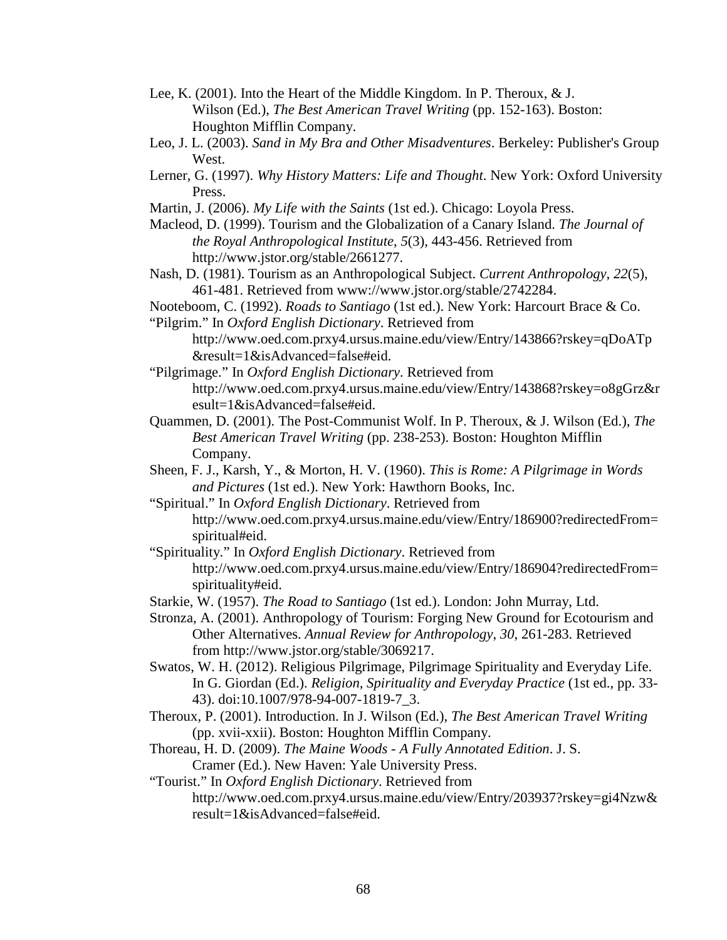- Lee, K. (2001). Into the Heart of the Middle Kingdom. In P. Theroux, & J. Wilson (Ed.), *The Best American Travel Writing* (pp. 152-163). Boston: Houghton Mifflin Company.
- Leo, J. L. (2003). *Sand in My Bra and Other Misadventures*. Berkeley: Publisher's Group West.
- Lerner, G. (1997). *Why History Matters: Life and Thought*. New York: Oxford University Press.
- Martin, J. (2006). *My Life with the Saints* (1st ed.). Chicago: Loyola Press.
- Macleod, D. (1999). Tourism and the Globalization of a Canary Island. *The Journal of the Royal Anthropological Institute*, *5*(3), 443-456. Retrieved from http://www.jstor.org/stable/2661277.
- Nash, D. (1981). Tourism as an Anthropological Subject. *Current Anthropology*, *22*(5), 461-481. Retrieved from www://www.jstor.org/stable/2742284.
- Nooteboom, C. (1992). *Roads to Santiago* (1st ed.). New York: Harcourt Brace & Co. "Pilgrim." In *Oxford English Dictionary*. Retrieved from
	- http://www.oed.com.prxy4.ursus.maine.edu/view/Entry/143866?rskey=qDoATp &result=1&isAdvanced=false#eid.
- "Pilgrimage." In *Oxford English Dictionary*. Retrieved from http://www.oed.com.prxy4.ursus.maine.edu/view/Entry/143868?rskey=o8gGrz&r esult=1&isAdvanced=false#eid.
- Quammen, D. (2001). The Post-Communist Wolf. In P. Theroux, & J. Wilson (Ed.), *The Best American Travel Writing* (pp. 238-253). Boston: Houghton Mifflin Company.
- Sheen, F. J., Karsh, Y., & Morton, H. V. (1960). *This is Rome: A Pilgrimage in Words and Pictures* (1st ed.). New York: Hawthorn Books, Inc.
- "Spiritual." In *Oxford English Dictionary*. Retrieved from http://www.oed.com.prxy4.ursus.maine.edu/view/Entry/186900?redirectedFrom= spiritual#eid.
- "Spirituality." In *Oxford English Dictionary*. Retrieved from http://www.oed.com.prxy4.ursus.maine.edu/view/Entry/186904?redirectedFrom= spirituality#eid.
- Starkie, W. (1957). *The Road to Santiago* (1st ed.). London: John Murray, Ltd.
- Stronza, A. (2001). Anthropology of Tourism: Forging New Ground for Ecotourism and Other Alternatives. *Annual Review for Anthropology*, *30*, 261-283. Retrieved from http://www.jstor.org/stable/3069217.
- Swatos, W. H. (2012). Religious Pilgrimage, Pilgrimage Spirituality and Everyday Life. In G. Giordan (Ed.). *Religion, Spirituality and Everyday Practice* (1st ed., pp. 33- 43). doi:10.1007/978-94-007-1819-7\_3.
- Theroux, P. (2001). Introduction. In J. Wilson (Ed.), *The Best American Travel Writing*  (pp. xvii-xxii). Boston: Houghton Mifflin Company.
- Thoreau, H. D. (2009). *The Maine Woods - A Fully Annotated Edition*. J. S. Cramer (Ed.). New Haven: Yale University Press.
- "Tourist." In *Oxford English Dictionary*. Retrieved from
	- http://www.oed.com.prxy4.ursus.maine.edu/view/Entry/203937?rskey=gi4Nzw& result=1&isAdvanced=false#eid.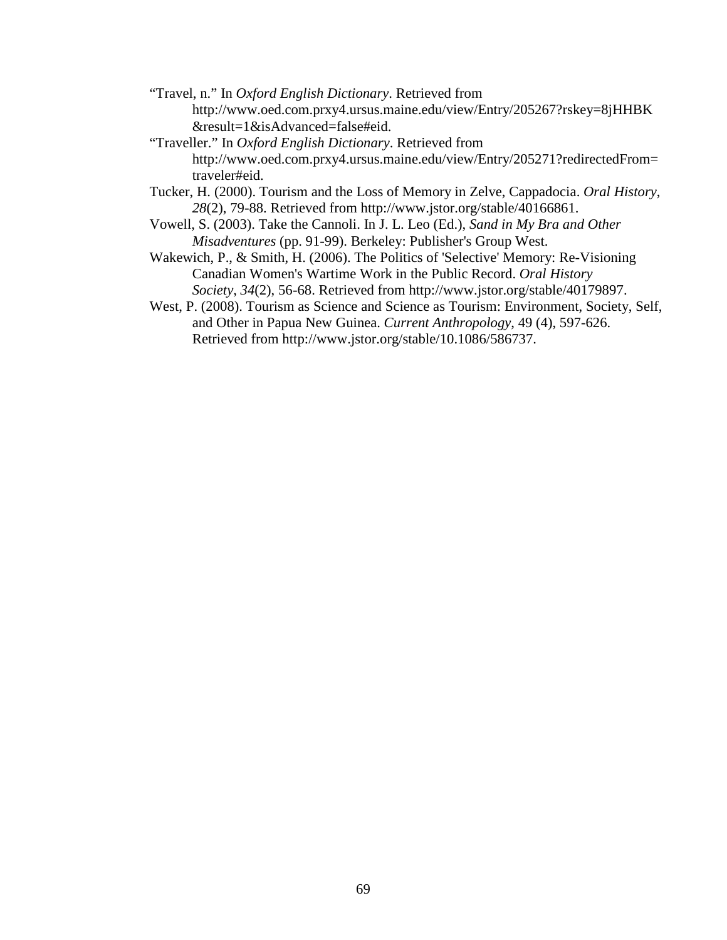- "Travel, n." In *Oxford English Dictionary*. Retrieved from http://www.oed.com.prxy4.ursus.maine.edu/view/Entry/205267?rskey=8jHHBK &result=1&isAdvanced=false#eid.
- "Traveller." In *Oxford English Dictionary*. Retrieved from http://www.oed.com.prxy4.ursus.maine.edu/view/Entry/205271?redirectedFrom= traveler#eid.
- Tucker, H. (2000). Tourism and the Loss of Memory in Zelve, Cappadocia. *Oral History*, *28*(2), 79-88. Retrieved from http://www.jstor.org/stable/40166861.
- Vowell, S. (2003). Take the Cannoli. In J. L. Leo (Ed.), *Sand in My Bra and Other Misadventures* (pp. 91-99). Berkeley: Publisher's Group West.
- Wakewich, P., & Smith, H. (2006). The Politics of 'Selective' Memory: Re-Visioning Canadian Women's Wartime Work in the Public Record. *Oral History Society*, *34*(2), 56-68. Retrieved from http://www.jstor.org/stable/40179897.
- West, P. (2008). Tourism as Science and Science as Tourism: Environment, Society, Self, and Other in Papua New Guinea. *Current Anthropology*, 49 (4), 597-626. Retrieved from http://www.jstor.org/stable/10.1086/586737.